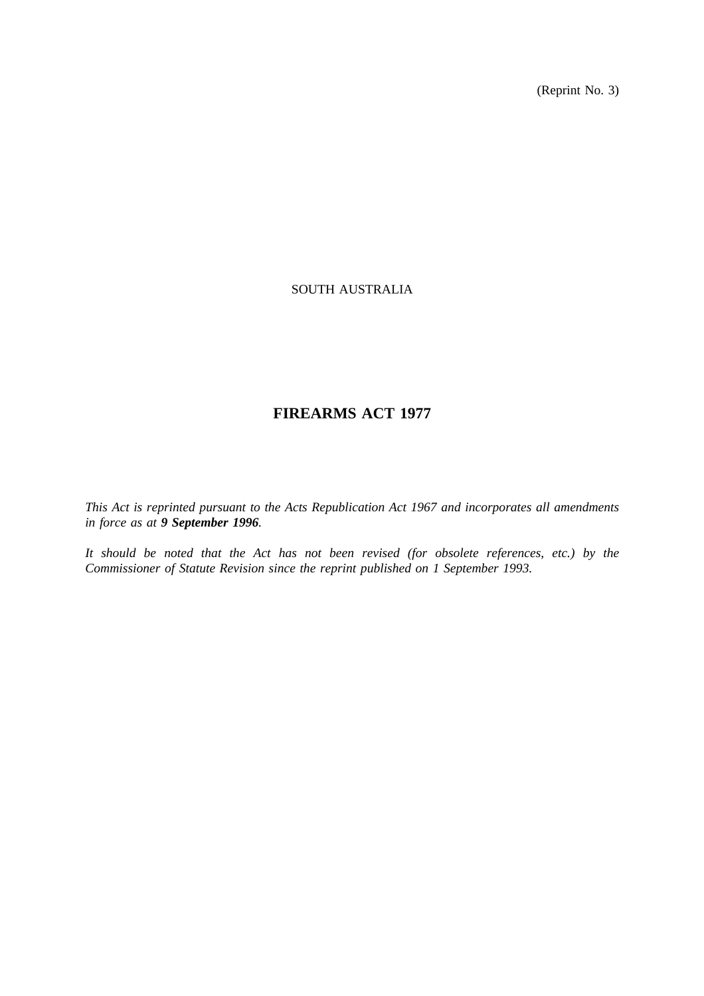(Reprint No. 3)

# SOUTH AUSTRALIA

# **FIREARMS ACT 1977**

*This Act is reprinted pursuant to the Acts Republication Act 1967 and incorporates all amendments in force as at 9 September 1996.*

*It should be noted that the Act has not been revised (for obsolete references, etc.) by the Commissioner of Statute Revision since the reprint published on 1 September 1993.*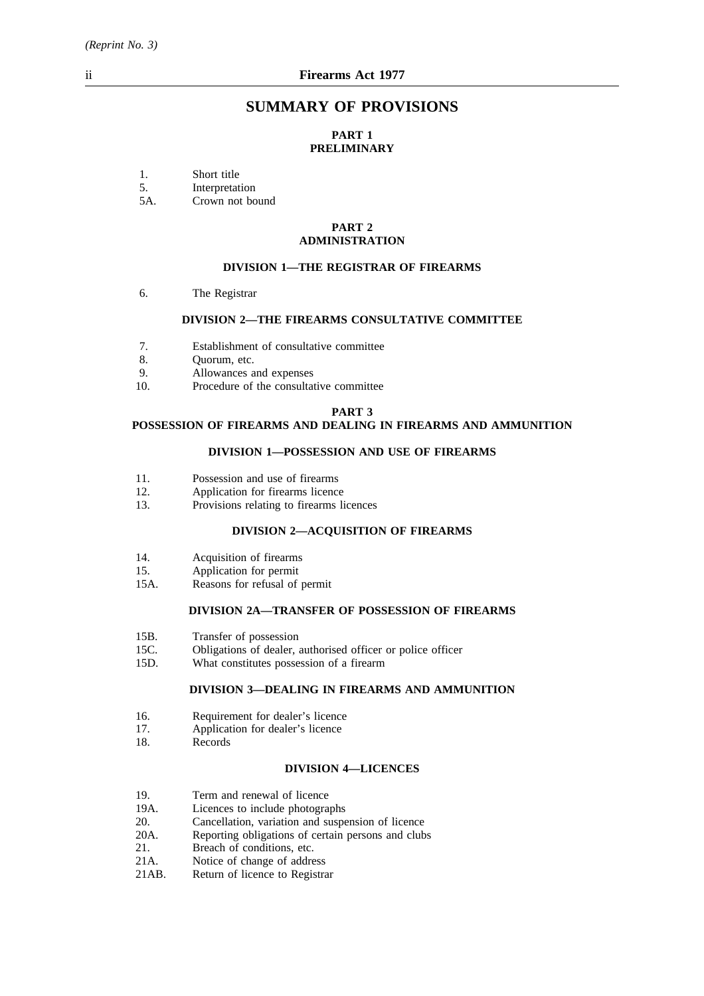# **SUMMARY OF PROVISIONS**

# **PART 1 PRELIMINARY**

1. Short title<br>5. Interpretat

5. Interpretation<br>5A. Crown not bo

Crown not bound

#### **PART 2 ADMINISTRATION**

#### **DIVISION 1—THE REGISTRAR OF FIREARMS**

6. The Registrar

## **DIVISION 2—THE FIREARMS CONSULTATIVE COMMITTEE**

- 7. Establishment of consultative committee
- 8. Quorum, etc.
- 9. Allowances and expenses
- 10. Procedure of the consultative committee

#### **PART 3**

# **POSSESSION OF FIREARMS AND DEALING IN FIREARMS AND AMMUNITION**

#### **DIVISION 1—POSSESSION AND USE OF FIREARMS**

- 11. Possession and use of firearms
- 12. Application for firearms licence
- 13. Provisions relating to firearms licences

#### **DIVISION 2—ACQUISITION OF FIREARMS**

- 14. Acquisition of firearms
- 15. Application for permit
- 15A. Reasons for refusal of permit

### **DIVISION 2A—TRANSFER OF POSSESSION OF FIREARMS**

- 15B. Transfer of possession
- 15C. Obligations of dealer, authorised officer or police officer
- 15D. What constitutes possession of a firearm

#### **DIVISION 3—DEALING IN FIREARMS AND AMMUNITION**

- 16. Requirement for dealer's licence
- 17. Application for dealer's licence<br>18. Records
- Records

#### **DIVISION 4—LICENCES**

- 19. Term and renewal of licence<br>19A. Licences to include photogra
- Licences to include photographs
- 20. Cancellation, variation and suspension of licence
- 20A. Reporting obligations of certain persons and clubs<br>21. Breach of conditions, etc.
- 21. Breach of conditions, etc.<br>21A. Notice of change of address
- 21A. Notice of change of address<br>21AB. Return of licence to Registra
- Return of licence to Registrar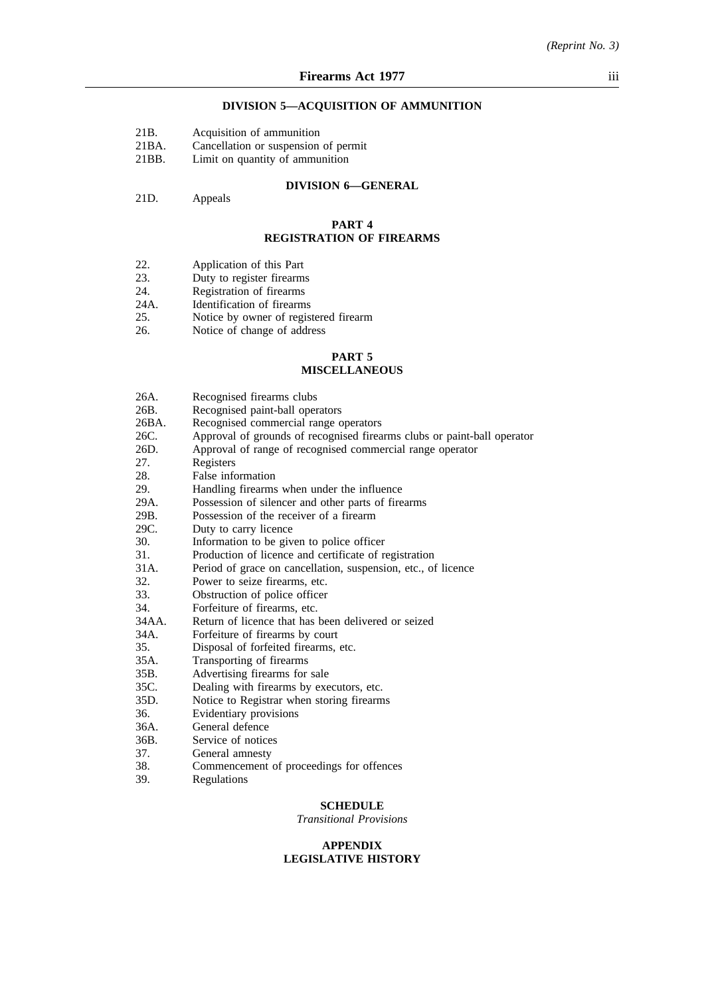#### **DIVISION 5—ACQUISITION OF AMMUNITION**

|  | 21 <sub>B</sub> |  |  | Acquisition of ammunition |
|--|-----------------|--|--|---------------------------|
|--|-----------------|--|--|---------------------------|

21BA. Cancellation or suspension of permit

21BB. Limit on quantity of ammunition

#### **DIVISION 6—GENERAL**

21D. Appeals

#### **PART 4 REGISTRATION OF FIREARMS**

- 22. Application of this Part<br>23. Duty to register firearms
- 23. Duty to register firearms<br>24. Registration of firearms
- 
- 24. Registration of firearms<br>24A. Identification of firearms
- 24A. Identification of firearms<br>25. Notice by owner of regist 25. Notice by owner of registered firearm<br>26. Notice of change of address
- Notice of change of address

# **PART 5 MISCELLANEOUS**

| 26A.  | Recognised firearms clubs                                               |
|-------|-------------------------------------------------------------------------|
| 26B.  | Recognised paint-ball operators                                         |
| 26BA. | Recognised commercial range operators                                   |
| 26C.  | Approval of grounds of recognised firearms clubs or paint-ball operator |
| 26D.  | Approval of range of recognised commercial range operator               |
| 27.   | Registers                                                               |
| 28.   | False information                                                       |
| 29.   | Handling firearms when under the influence                              |
| 29A.  | Possession of silencer and other parts of firearms                      |
| 29B.  | Possession of the receiver of a firearm                                 |
| 29C.  | Duty to carry licence                                                   |
| 30.   | Information to be given to police officer                               |
| 31.   | Production of licence and certificate of registration                   |
| 31A.  | Period of grace on cancellation, suspension, etc., of licence           |
| 32.   | Power to seize firearms, etc.                                           |
| 33.   | Obstruction of police officer                                           |
| 34.   | Forfeiture of firearms, etc.                                            |
| 34AA. | Return of licence that has been delivered or seized                     |
| 34A.  | Forfeiture of firearms by court                                         |
| 35.   | Disposal of forfeited firearms, etc.                                    |
| 35A.  | Transporting of firearms                                                |
| 35B.  | Advertising firearms for sale                                           |
| 35C.  | Dealing with firearms by executors, etc.                                |
| 35D.  | Notice to Registrar when storing firearms                               |
| 36.   | Evidentiary provisions                                                  |
| 36A.  | General defence                                                         |
| 36B.  | Service of notices                                                      |
| 37.   | General amnesty                                                         |
| 38.   | Commencement of proceedings for offences                                |
| 39.   | Regulations                                                             |
|       |                                                                         |

#### **SCHEDULE**

*Transitional Provisions*

#### **APPENDIX LEGISLATIVE HISTORY**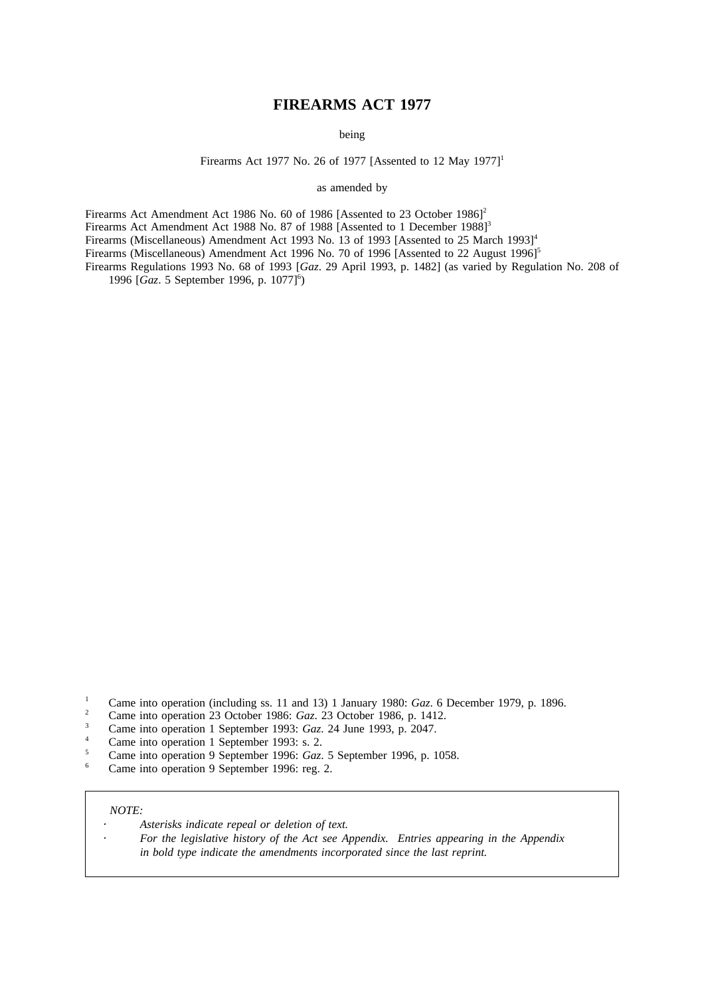# **FIREARMS ACT 1977**

being

Firearms Act 1977 No. 26 of 1977 [Assented to 12 May 1977]<sup>1</sup>

as amended by

Firearms Act Amendment Act 1986 No. 60 of 1986 [Assented to 23 October 1986]<sup>2</sup>

Firearms Act Amendment Act 1988 No. 87 of 1988 [Assented to 1 December 1988]<sup>3</sup>

Firearms (Miscellaneous) Amendment Act 1993 No. 13 of 1993 [Assented to 25 March 1993]<sup>4</sup>

Firearms (Miscellaneous) Amendment Act 1996 No. 70 of 1996 [Assented to 22 August 1996]<sup>5</sup>

Firearms Regulations 1993 No. 68 of 1993 [*Gaz*. 29 April 1993, p. 1482] (as varied by Regulation No. 208 of 1996 [Gaz. 5 September 1996, p. 1077]<sup>6</sup>)

- <sup>2</sup> Came into operation 23 October 1986: *Gaz*. 23 October 1986, p. 1412.
- <sup>3</sup> Came into operation 1 September 1993: *Gaz*. 24 June 1993, p. 2047.
- <sup>4</sup> Came into operation 1 September 1993: s. 2.<br> $\frac{5}{2}$  Came into operation 0 September 1996: Can
- <sup>5</sup> Came into operation 9 September 1996: *Gaz*. 5 September 1996, p. 1058.
- Came into operation 9 September 1996: reg. 2.

#### *NOTE:*

- *Asterisks indicate repeal or deletion of text.*
	- *For the legislative history of the Act see Appendix. Entries appearing in the Appendix in bold type indicate the amendments incorporated since the last reprint.*

<sup>&</sup>lt;sup>1</sup> Came into operation (including ss. 11 and 13) 1 January 1980: *Gaz*. 6 December 1979, p. 1896.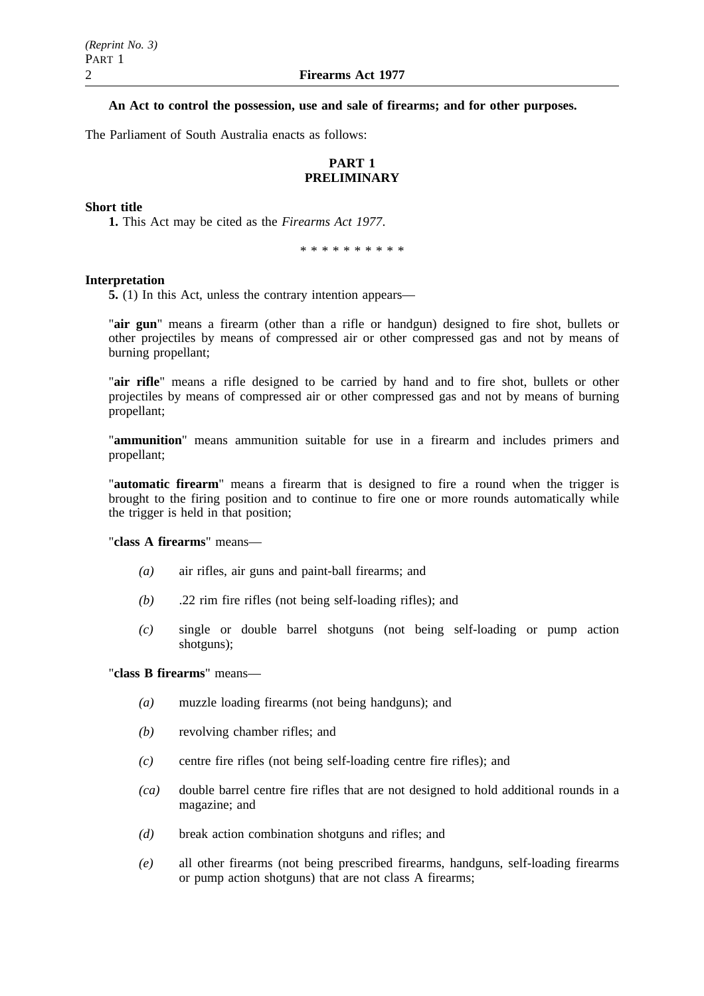# **An Act to control the possession, use and sale of firearms; and for other purposes.**

The Parliament of South Australia enacts as follows:

# **PART 1 PRELIMINARY**

### **Short title**

**1.** This Act may be cited as the *Firearms Act 1977*.

\*\*\*\*\*\*\*\*\*\*

#### **Interpretation**

**5.** (1) In this Act, unless the contrary intention appears—

"**air gun**" means a firearm (other than a rifle or handgun) designed to fire shot, bullets or other projectiles by means of compressed air or other compressed gas and not by means of burning propellant;

"**air rifle**" means a rifle designed to be carried by hand and to fire shot, bullets or other projectiles by means of compressed air or other compressed gas and not by means of burning propellant;

"**ammunition**" means ammunition suitable for use in a firearm and includes primers and propellant;

"**automatic firearm**" means a firearm that is designed to fire a round when the trigger is brought to the firing position and to continue to fire one or more rounds automatically while the trigger is held in that position;

"**class A firearms**" means—

- *(a)* air rifles, air guns and paint-ball firearms; and
- *(b)* .22 rim fire rifles (not being self-loading rifles); and
- *(c)* single or double barrel shotguns (not being self-loading or pump action shotguns);

# "**class B firearms**" means—

- *(a)* muzzle loading firearms (not being handguns); and
- *(b)* revolving chamber rifles; and
- *(c)* centre fire rifles (not being self-loading centre fire rifles); and
- *(ca)* double barrel centre fire rifles that are not designed to hold additional rounds in a magazine; and
- *(d)* break action combination shotguns and rifles; and
- *(e)* all other firearms (not being prescribed firearms, handguns, self-loading firearms or pump action shotguns) that are not class A firearms;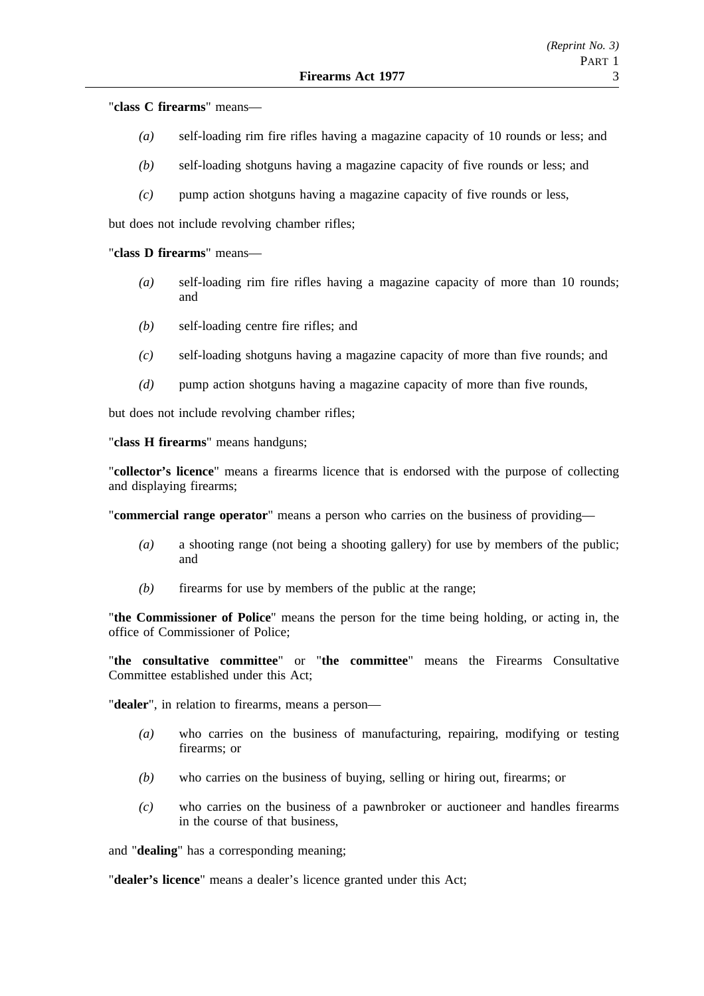"**class C firearms**" means—

- *(a)* self-loading rim fire rifles having a magazine capacity of 10 rounds or less; and
- *(b)* self-loading shotguns having a magazine capacity of five rounds or less; and
- *(c)* pump action shotguns having a magazine capacity of five rounds or less,

but does not include revolving chamber rifles;

### "**class D firearms**" means—

- *(a)* self-loading rim fire rifles having a magazine capacity of more than 10 rounds; and
- *(b)* self-loading centre fire rifles; and
- *(c)* self-loading shotguns having a magazine capacity of more than five rounds; and
- *(d)* pump action shotguns having a magazine capacity of more than five rounds,

but does not include revolving chamber rifles;

"**class H firearms**" means handguns;

"**collector's licence**" means a firearms licence that is endorsed with the purpose of collecting and displaying firearms;

"**commercial range operator**" means a person who carries on the business of providing—

- *(a)* a shooting range (not being a shooting gallery) for use by members of the public; and
- *(b)* firearms for use by members of the public at the range;

"**the Commissioner of Police**" means the person for the time being holding, or acting in, the office of Commissioner of Police;

"**the consultative committee**" or "**the committee**" means the Firearms Consultative Committee established under this Act;

"**dealer**", in relation to firearms, means a person—

- *(a)* who carries on the business of manufacturing, repairing, modifying or testing firearms; or
- *(b)* who carries on the business of buying, selling or hiring out, firearms; or
- *(c)* who carries on the business of a pawnbroker or auctioneer and handles firearms in the course of that business,

and "**dealing**" has a corresponding meaning;

"**dealer's licence**" means a dealer's licence granted under this Act;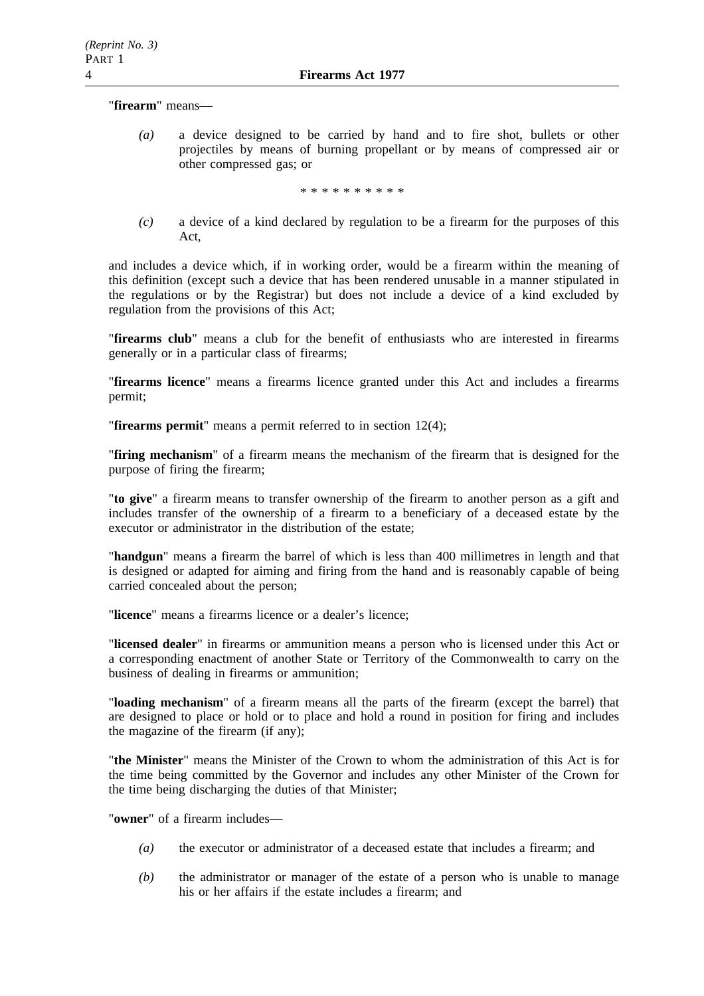"**firearm**" means—

*(a)* a device designed to be carried by hand and to fire shot, bullets or other projectiles by means of burning propellant or by means of compressed air or other compressed gas; or

\*\*\*\*\*\*\*\*\*\*

*(c)* a device of a kind declared by regulation to be a firearm for the purposes of this Act,

and includes a device which, if in working order, would be a firearm within the meaning of this definition (except such a device that has been rendered unusable in a manner stipulated in the regulations or by the Registrar) but does not include a device of a kind excluded by regulation from the provisions of this Act;

"**firearms club**" means a club for the benefit of enthusiasts who are interested in firearms generally or in a particular class of firearms;

"**firearms licence**" means a firearms licence granted under this Act and includes a firearms permit;

"**firearms permit**" means a permit referred to in section 12(4);

"**firing mechanism**" of a firearm means the mechanism of the firearm that is designed for the purpose of firing the firearm;

"**to give**" a firearm means to transfer ownership of the firearm to another person as a gift and includes transfer of the ownership of a firearm to a beneficiary of a deceased estate by the executor or administrator in the distribution of the estate;

"**handgun**" means a firearm the barrel of which is less than 400 millimetres in length and that is designed or adapted for aiming and firing from the hand and is reasonably capable of being carried concealed about the person;

"**licence**" means a firearms licence or a dealer's licence;

"**licensed dealer**" in firearms or ammunition means a person who is licensed under this Act or a corresponding enactment of another State or Territory of the Commonwealth to carry on the business of dealing in firearms or ammunition;

"**loading mechanism**" of a firearm means all the parts of the firearm (except the barrel) that are designed to place or hold or to place and hold a round in position for firing and includes the magazine of the firearm (if any);

"**the Minister**" means the Minister of the Crown to whom the administration of this Act is for the time being committed by the Governor and includes any other Minister of the Crown for the time being discharging the duties of that Minister;

"**owner**" of a firearm includes—

- *(a)* the executor or administrator of a deceased estate that includes a firearm; and
- *(b)* the administrator or manager of the estate of a person who is unable to manage his or her affairs if the estate includes a firearm; and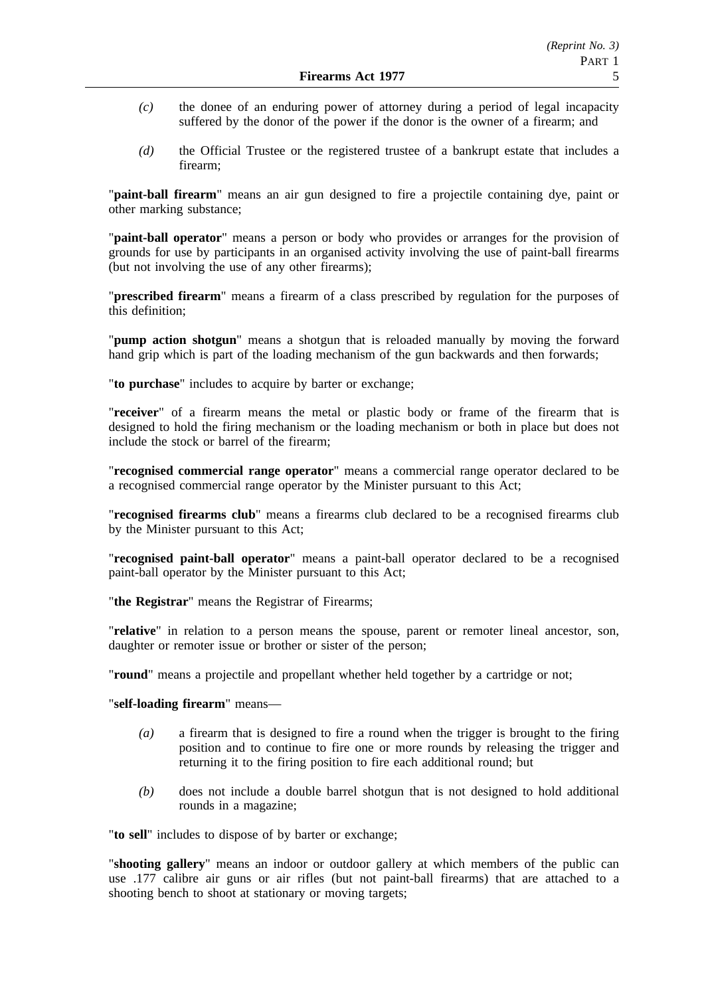- *(c)* the donee of an enduring power of attorney during a period of legal incapacity suffered by the donor of the power if the donor is the owner of a firearm; and
- *(d)* the Official Trustee or the registered trustee of a bankrupt estate that includes a firearm;

"**paint-ball firearm**" means an air gun designed to fire a projectile containing dye, paint or other marking substance;

"**paint-ball operator**" means a person or body who provides or arranges for the provision of grounds for use by participants in an organised activity involving the use of paint-ball firearms (but not involving the use of any other firearms);

"**prescribed firearm**" means a firearm of a class prescribed by regulation for the purposes of this definition;

"**pump action shotgun**" means a shotgun that is reloaded manually by moving the forward hand grip which is part of the loading mechanism of the gun backwards and then forwards;

"**to purchase**" includes to acquire by barter or exchange;

"**receiver**" of a firearm means the metal or plastic body or frame of the firearm that is designed to hold the firing mechanism or the loading mechanism or both in place but does not include the stock or barrel of the firearm;

"**recognised commercial range operator**" means a commercial range operator declared to be a recognised commercial range operator by the Minister pursuant to this Act;

"**recognised firearms club**" means a firearms club declared to be a recognised firearms club by the Minister pursuant to this Act;

"**recognised paint-ball operator**" means a paint-ball operator declared to be a recognised paint-ball operator by the Minister pursuant to this Act;

"**the Registrar**" means the Registrar of Firearms;

"**relative**" in relation to a person means the spouse, parent or remoter lineal ancestor, son, daughter or remoter issue or brother or sister of the person;

"**round**" means a projectile and propellant whether held together by a cartridge or not;

### "**self-loading firearm**" means—

- *(a)* a firearm that is designed to fire a round when the trigger is brought to the firing position and to continue to fire one or more rounds by releasing the trigger and returning it to the firing position to fire each additional round; but
- *(b)* does not include a double barrel shotgun that is not designed to hold additional rounds in a magazine;

"**to sell**" includes to dispose of by barter or exchange;

"**shooting gallery**" means an indoor or outdoor gallery at which members of the public can use .177 calibre air guns or air rifles (but not paint-ball firearms) that are attached to a shooting bench to shoot at stationary or moving targets;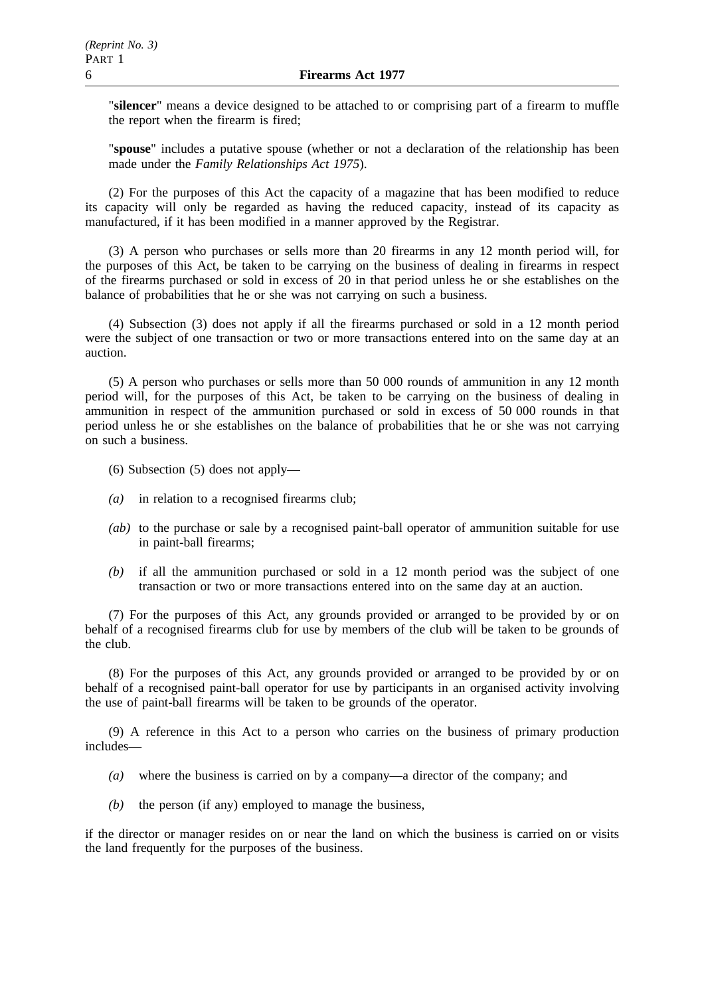"**silencer**" means a device designed to be attached to or comprising part of a firearm to muffle the report when the firearm is fired;

"**spouse**" includes a putative spouse (whether or not a declaration of the relationship has been made under the *Family Relationships Act 1975*).

(2) For the purposes of this Act the capacity of a magazine that has been modified to reduce its capacity will only be regarded as having the reduced capacity, instead of its capacity as manufactured, if it has been modified in a manner approved by the Registrar.

(3) A person who purchases or sells more than 20 firearms in any 12 month period will, for the purposes of this Act, be taken to be carrying on the business of dealing in firearms in respect of the firearms purchased or sold in excess of 20 in that period unless he or she establishes on the balance of probabilities that he or she was not carrying on such a business.

(4) Subsection (3) does not apply if all the firearms purchased or sold in a 12 month period were the subject of one transaction or two or more transactions entered into on the same day at an auction.

(5) A person who purchases or sells more than 50 000 rounds of ammunition in any 12 month period will, for the purposes of this Act, be taken to be carrying on the business of dealing in ammunition in respect of the ammunition purchased or sold in excess of 50 000 rounds in that period unless he or she establishes on the balance of probabilities that he or she was not carrying on such a business.

- (6) Subsection (5) does not apply—
- *(a)* in relation to a recognised firearms club;
- *(ab)* to the purchase or sale by a recognised paint-ball operator of ammunition suitable for use in paint-ball firearms;
- *(b)* if all the ammunition purchased or sold in a 12 month period was the subject of one transaction or two or more transactions entered into on the same day at an auction.

(7) For the purposes of this Act, any grounds provided or arranged to be provided by or on behalf of a recognised firearms club for use by members of the club will be taken to be grounds of the club.

(8) For the purposes of this Act, any grounds provided or arranged to be provided by or on behalf of a recognised paint-ball operator for use by participants in an organised activity involving the use of paint-ball firearms will be taken to be grounds of the operator.

(9) A reference in this Act to a person who carries on the business of primary production includes—

- *(a)* where the business is carried on by a company—a director of the company; and
- *(b)* the person (if any) employed to manage the business,

if the director or manager resides on or near the land on which the business is carried on or visits the land frequently for the purposes of the business.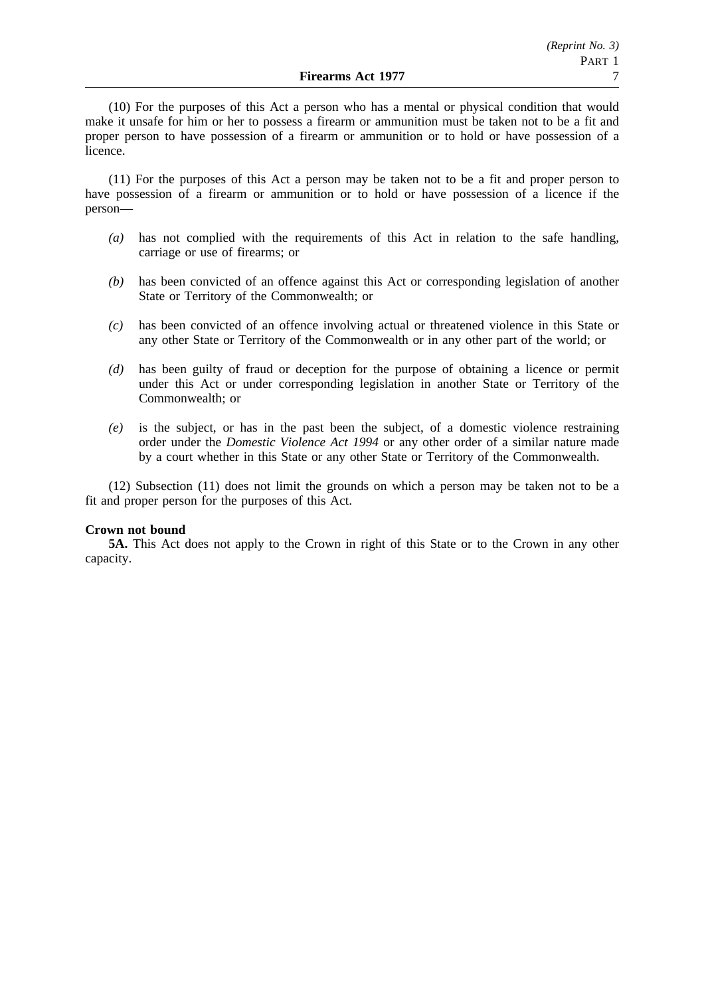(10) For the purposes of this Act a person who has a mental or physical condition that would make it unsafe for him or her to possess a firearm or ammunition must be taken not to be a fit and proper person to have possession of a firearm or ammunition or to hold or have possession of a licence.

(11) For the purposes of this Act a person may be taken not to be a fit and proper person to have possession of a firearm or ammunition or to hold or have possession of a licence if the person—

- *(a)* has not complied with the requirements of this Act in relation to the safe handling, carriage or use of firearms; or
- *(b)* has been convicted of an offence against this Act or corresponding legislation of another State or Territory of the Commonwealth; or
- *(c)* has been convicted of an offence involving actual or threatened violence in this State or any other State or Territory of the Commonwealth or in any other part of the world; or
- *(d)* has been guilty of fraud or deception for the purpose of obtaining a licence or permit under this Act or under corresponding legislation in another State or Territory of the Commonwealth; or
- *(e)* is the subject, or has in the past been the subject, of a domestic violence restraining order under the *Domestic Violence Act 1994* or any other order of a similar nature made by a court whether in this State or any other State or Territory of the Commonwealth.

(12) Subsection (11) does not limit the grounds on which a person may be taken not to be a fit and proper person for the purposes of this Act.

### **Crown not bound**

**5A.** This Act does not apply to the Crown in right of this State or to the Crown in any other capacity.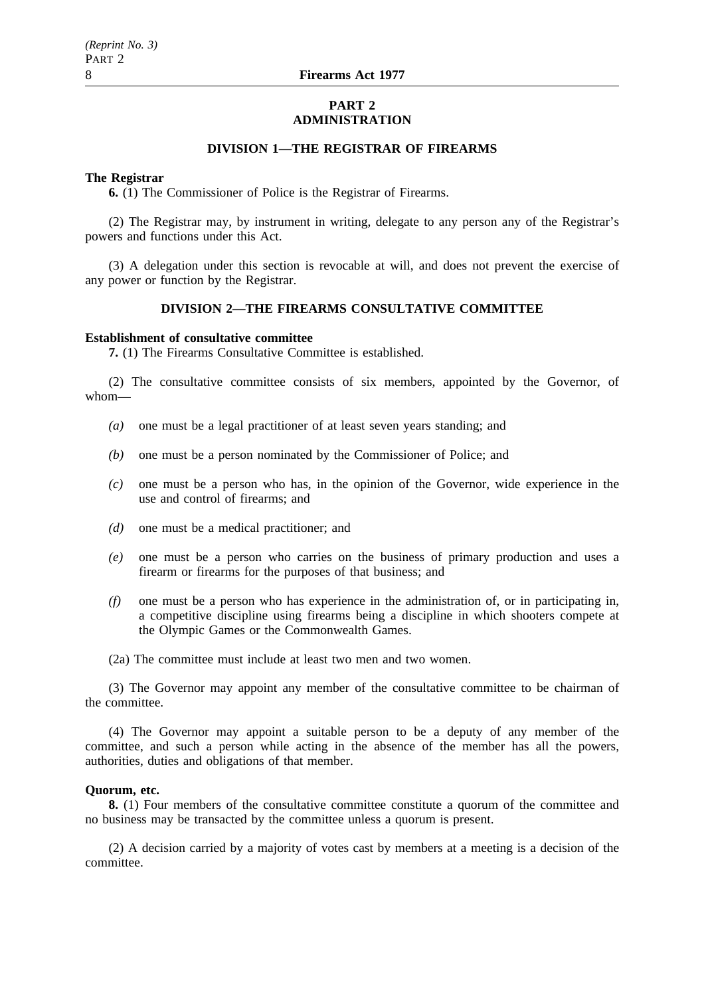#### **PART 2 ADMINISTRATION**

# **DIVISION 1—THE REGISTRAR OF FIREARMS**

#### **The Registrar**

**6.** (1) The Commissioner of Police is the Registrar of Firearms.

(2) The Registrar may, by instrument in writing, delegate to any person any of the Registrar's powers and functions under this Act.

(3) A delegation under this section is revocable at will, and does not prevent the exercise of any power or function by the Registrar.

# **DIVISION 2—THE FIREARMS CONSULTATIVE COMMITTEE**

#### **Establishment of consultative committee**

**7.** (1) The Firearms Consultative Committee is established.

(2) The consultative committee consists of six members, appointed by the Governor, of whom—

- *(a)* one must be a legal practitioner of at least seven years standing; and
- *(b)* one must be a person nominated by the Commissioner of Police; and
- *(c)* one must be a person who has, in the opinion of the Governor, wide experience in the use and control of firearms; and
- *(d)* one must be a medical practitioner; and
- *(e)* one must be a person who carries on the business of primary production and uses a firearm or firearms for the purposes of that business; and
- *(f)* one must be a person who has experience in the administration of, or in participating in, a competitive discipline using firearms being a discipline in which shooters compete at the Olympic Games or the Commonwealth Games.
- (2a) The committee must include at least two men and two women.

(3) The Governor may appoint any member of the consultative committee to be chairman of the committee.

(4) The Governor may appoint a suitable person to be a deputy of any member of the committee, and such a person while acting in the absence of the member has all the powers, authorities, duties and obligations of that member.

#### **Quorum, etc.**

**8.** (1) Four members of the consultative committee constitute a quorum of the committee and no business may be transacted by the committee unless a quorum is present.

(2) A decision carried by a majority of votes cast by members at a meeting is a decision of the committee.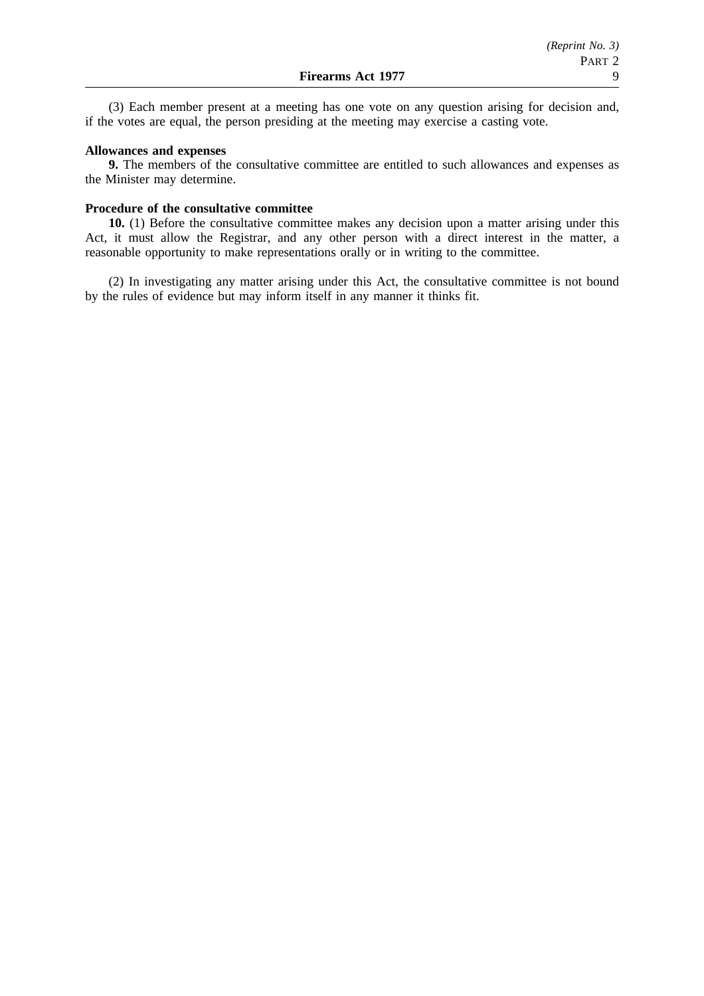(3) Each member present at a meeting has one vote on any question arising for decision and, if the votes are equal, the person presiding at the meeting may exercise a casting vote.

#### **Allowances and expenses**

**9.** The members of the consultative committee are entitled to such allowances and expenses as the Minister may determine.

#### **Procedure of the consultative committee**

**10.** (1) Before the consultative committee makes any decision upon a matter arising under this Act, it must allow the Registrar, and any other person with a direct interest in the matter, a reasonable opportunity to make representations orally or in writing to the committee.

(2) In investigating any matter arising under this Act, the consultative committee is not bound by the rules of evidence but may inform itself in any manner it thinks fit.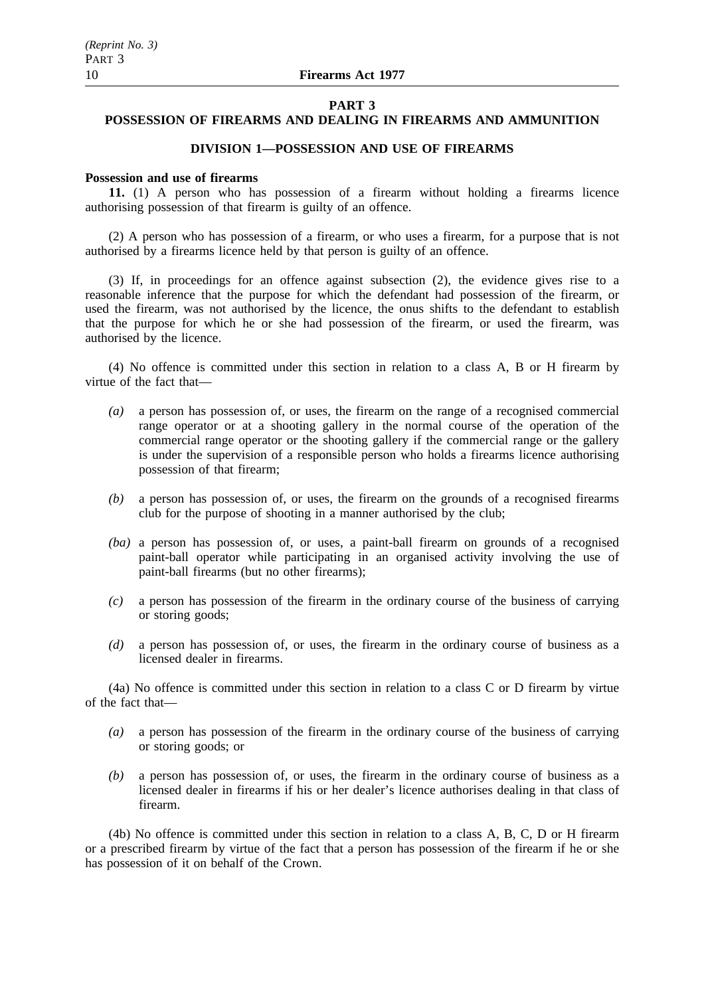#### **PART 3**

# **POSSESSION OF FIREARMS AND DEALING IN FIREARMS AND AMMUNITION**

# **DIVISION 1—POSSESSION AND USE OF FIREARMS**

## **Possession and use of firearms**

**11.** (1) A person who has possession of a firearm without holding a firearms licence authorising possession of that firearm is guilty of an offence.

(2) A person who has possession of a firearm, or who uses a firearm, for a purpose that is not authorised by a firearms licence held by that person is guilty of an offence.

(3) If, in proceedings for an offence against subsection (2), the evidence gives rise to a reasonable inference that the purpose for which the defendant had possession of the firearm, or used the firearm, was not authorised by the licence, the onus shifts to the defendant to establish that the purpose for which he or she had possession of the firearm, or used the firearm, was authorised by the licence.

(4) No offence is committed under this section in relation to a class A, B or H firearm by virtue of the fact that—

- *(a)* a person has possession of, or uses, the firearm on the range of a recognised commercial range operator or at a shooting gallery in the normal course of the operation of the commercial range operator or the shooting gallery if the commercial range or the gallery is under the supervision of a responsible person who holds a firearms licence authorising possession of that firearm;
- *(b)* a person has possession of, or uses, the firearm on the grounds of a recognised firearms club for the purpose of shooting in a manner authorised by the club;
- *(ba)* a person has possession of, or uses, a paint-ball firearm on grounds of a recognised paint-ball operator while participating in an organised activity involving the use of paint-ball firearms (but no other firearms);
- *(c)* a person has possession of the firearm in the ordinary course of the business of carrying or storing goods;
- *(d)* a person has possession of, or uses, the firearm in the ordinary course of business as a licensed dealer in firearms.

(4a) No offence is committed under this section in relation to a class C or D firearm by virtue of the fact that—

- *(a)* a person has possession of the firearm in the ordinary course of the business of carrying or storing goods; or
- *(b)* a person has possession of, or uses, the firearm in the ordinary course of business as a licensed dealer in firearms if his or her dealer's licence authorises dealing in that class of firearm.

(4b) No offence is committed under this section in relation to a class A, B, C, D or H firearm or a prescribed firearm by virtue of the fact that a person has possession of the firearm if he or she has possession of it on behalf of the Crown.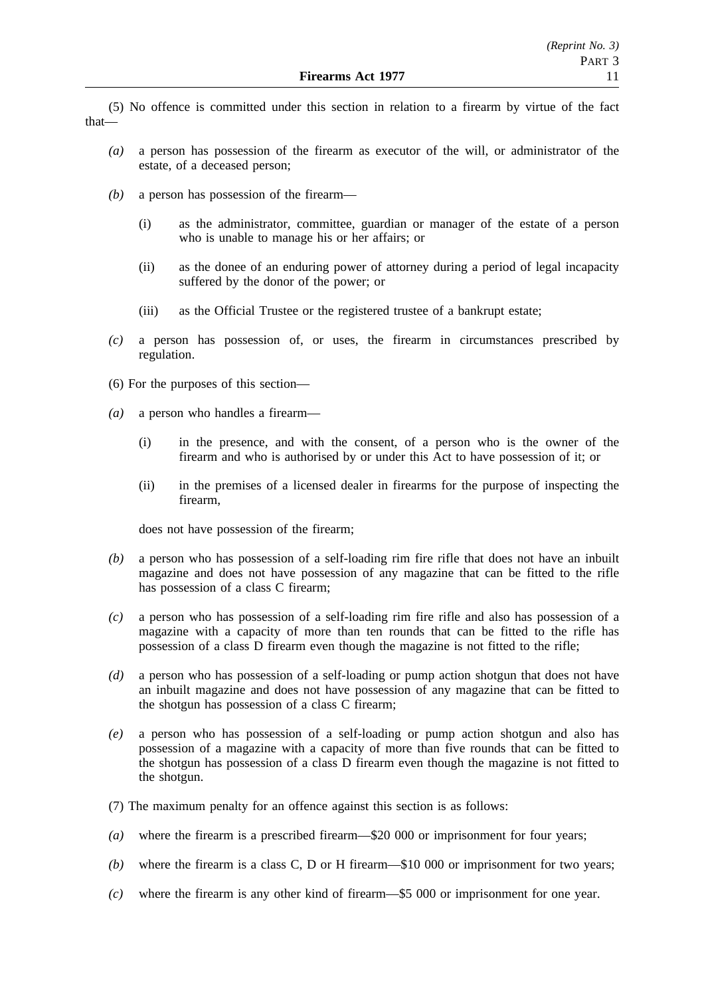(5) No offence is committed under this section in relation to a firearm by virtue of the fact that—

- *(a)* a person has possession of the firearm as executor of the will, or administrator of the estate, of a deceased person;
- *(b)* a person has possession of the firearm—
	- (i) as the administrator, committee, guardian or manager of the estate of a person who is unable to manage his or her affairs; or
	- (ii) as the donee of an enduring power of attorney during a period of legal incapacity suffered by the donor of the power; or
	- (iii) as the Official Trustee or the registered trustee of a bankrupt estate;
- *(c)* a person has possession of, or uses, the firearm in circumstances prescribed by regulation.
- (6) For the purposes of this section—
- *(a)* a person who handles a firearm—
	- (i) in the presence, and with the consent, of a person who is the owner of the firearm and who is authorised by or under this Act to have possession of it; or
	- (ii) in the premises of a licensed dealer in firearms for the purpose of inspecting the firearm,

does not have possession of the firearm;

- *(b)* a person who has possession of a self-loading rim fire rifle that does not have an inbuilt magazine and does not have possession of any magazine that can be fitted to the rifle has possession of a class C firearm;
- *(c)* a person who has possession of a self-loading rim fire rifle and also has possession of a magazine with a capacity of more than ten rounds that can be fitted to the rifle has possession of a class D firearm even though the magazine is not fitted to the rifle;
- *(d)* a person who has possession of a self-loading or pump action shotgun that does not have an inbuilt magazine and does not have possession of any magazine that can be fitted to the shotgun has possession of a class C firearm;
- *(e)* a person who has possession of a self-loading or pump action shotgun and also has possession of a magazine with a capacity of more than five rounds that can be fitted to the shotgun has possession of a class D firearm even though the magazine is not fitted to the shotgun.
- (7) The maximum penalty for an offence against this section is as follows:
- *(a)* where the firearm is a prescribed firearm—\$20 000 or imprisonment for four years;
- *(b)* where the firearm is a class C, D or H firearm—\$10 000 or imprisonment for two years;
- *(c)* where the firearm is any other kind of firearm—\$5 000 or imprisonment for one year.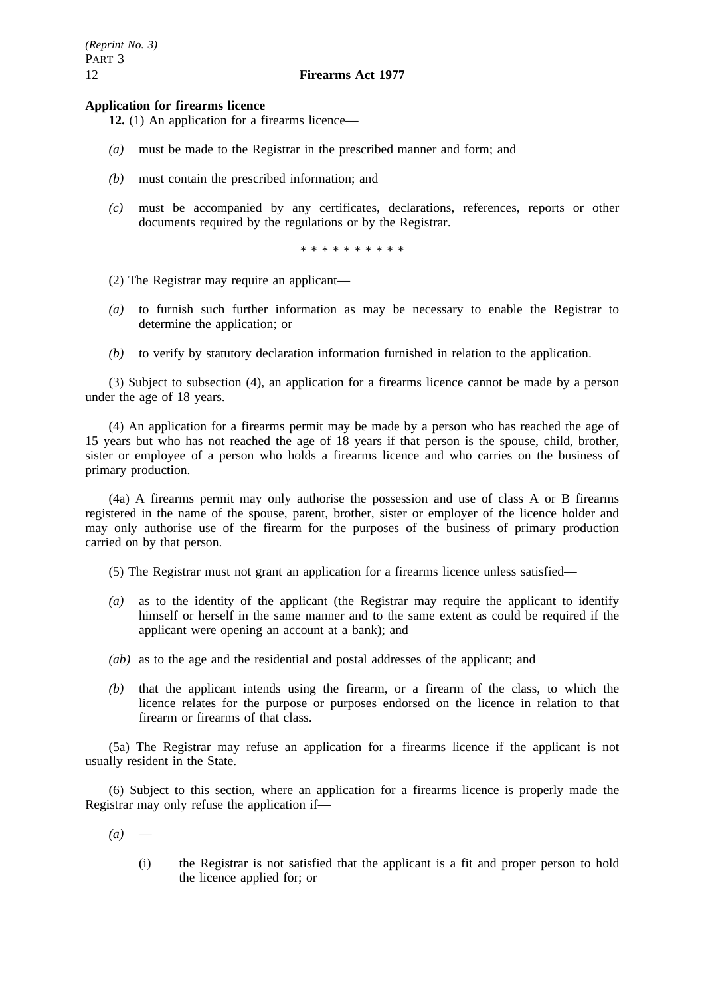#### **Application for firearms licence**

**12.** (1) An application for a firearms licence—

- *(a)* must be made to the Registrar in the prescribed manner and form; and
- *(b)* must contain the prescribed information; and
- *(c)* must be accompanied by any certificates, declarations, references, reports or other documents required by the regulations or by the Registrar.

\*\*\*\*\*\*\*\*\*\*

- (2) The Registrar may require an applicant—
- *(a)* to furnish such further information as may be necessary to enable the Registrar to determine the application; or
- *(b)* to verify by statutory declaration information furnished in relation to the application.

(3) Subject to subsection (4), an application for a firearms licence cannot be made by a person under the age of 18 years.

(4) An application for a firearms permit may be made by a person who has reached the age of 15 years but who has not reached the age of 18 years if that person is the spouse, child, brother, sister or employee of a person who holds a firearms licence and who carries on the business of primary production.

(4a) A firearms permit may only authorise the possession and use of class A or B firearms registered in the name of the spouse, parent, brother, sister or employer of the licence holder and may only authorise use of the firearm for the purposes of the business of primary production carried on by that person.

(5) The Registrar must not grant an application for a firearms licence unless satisfied—

- *(a)* as to the identity of the applicant (the Registrar may require the applicant to identify himself or herself in the same manner and to the same extent as could be required if the applicant were opening an account at a bank); and
- *(ab)* as to the age and the residential and postal addresses of the applicant; and
- *(b)* that the applicant intends using the firearm, or a firearm of the class, to which the licence relates for the purpose or purposes endorsed on the licence in relation to that firearm or firearms of that class.

(5a) The Registrar may refuse an application for a firearms licence if the applicant is not usually resident in the State.

(6) Subject to this section, where an application for a firearms licence is properly made the Registrar may only refuse the application if—

- $(a)$ 
	- (i) the Registrar is not satisfied that the applicant is a fit and proper person to hold the licence applied for; or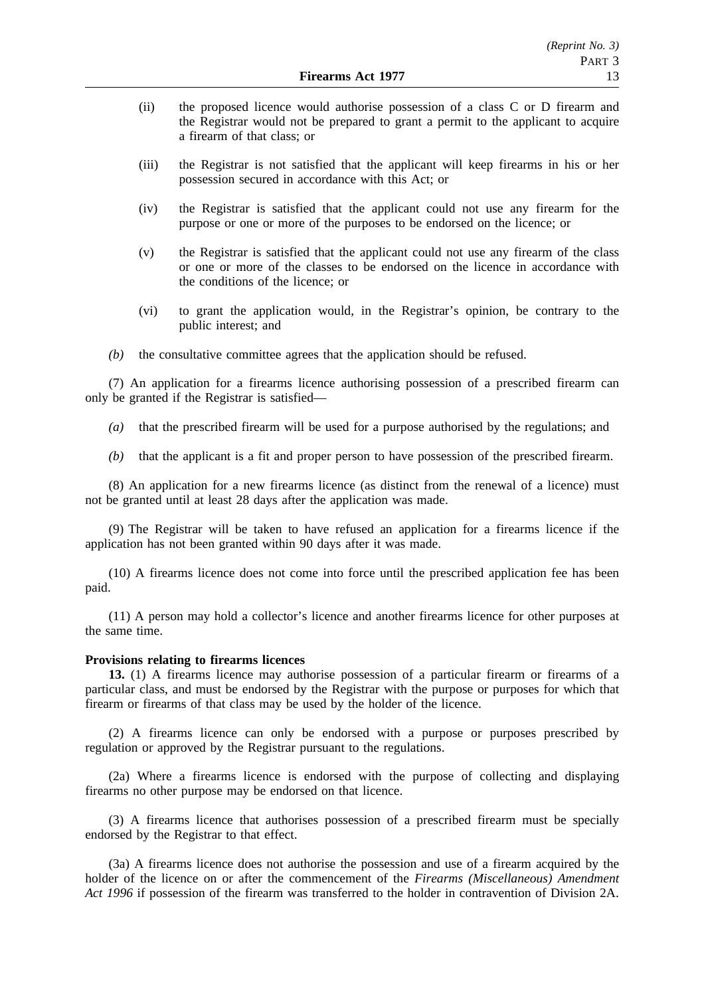- (ii) the proposed licence would authorise possession of a class C or D firearm and the Registrar would not be prepared to grant a permit to the applicant to acquire a firearm of that class; or
- (iii) the Registrar is not satisfied that the applicant will keep firearms in his or her possession secured in accordance with this Act; or
- (iv) the Registrar is satisfied that the applicant could not use any firearm for the purpose or one or more of the purposes to be endorsed on the licence; or
- (v) the Registrar is satisfied that the applicant could not use any firearm of the class or one or more of the classes to be endorsed on the licence in accordance with the conditions of the licence; or
- (vi) to grant the application would, in the Registrar's opinion, be contrary to the public interest; and
- *(b)* the consultative committee agrees that the application should be refused.

(7) An application for a firearms licence authorising possession of a prescribed firearm can only be granted if the Registrar is satisfied—

- *(a)* that the prescribed firearm will be used for a purpose authorised by the regulations; and
- *(b)* that the applicant is a fit and proper person to have possession of the prescribed firearm.

(8) An application for a new firearms licence (as distinct from the renewal of a licence) must not be granted until at least 28 days after the application was made.

(9) The Registrar will be taken to have refused an application for a firearms licence if the application has not been granted within 90 days after it was made.

(10) A firearms licence does not come into force until the prescribed application fee has been paid.

(11) A person may hold a collector's licence and another firearms licence for other purposes at the same time.

#### **Provisions relating to firearms licences**

**13.** (1) A firearms licence may authorise possession of a particular firearm or firearms of a particular class, and must be endorsed by the Registrar with the purpose or purposes for which that firearm or firearms of that class may be used by the holder of the licence.

(2) A firearms licence can only be endorsed with a purpose or purposes prescribed by regulation or approved by the Registrar pursuant to the regulations.

(2a) Where a firearms licence is endorsed with the purpose of collecting and displaying firearms no other purpose may be endorsed on that licence.

(3) A firearms licence that authorises possession of a prescribed firearm must be specially endorsed by the Registrar to that effect.

(3a) A firearms licence does not authorise the possession and use of a firearm acquired by the holder of the licence on or after the commencement of the *Firearms (Miscellaneous) Amendment Act 1996* if possession of the firearm was transferred to the holder in contravention of Division 2A.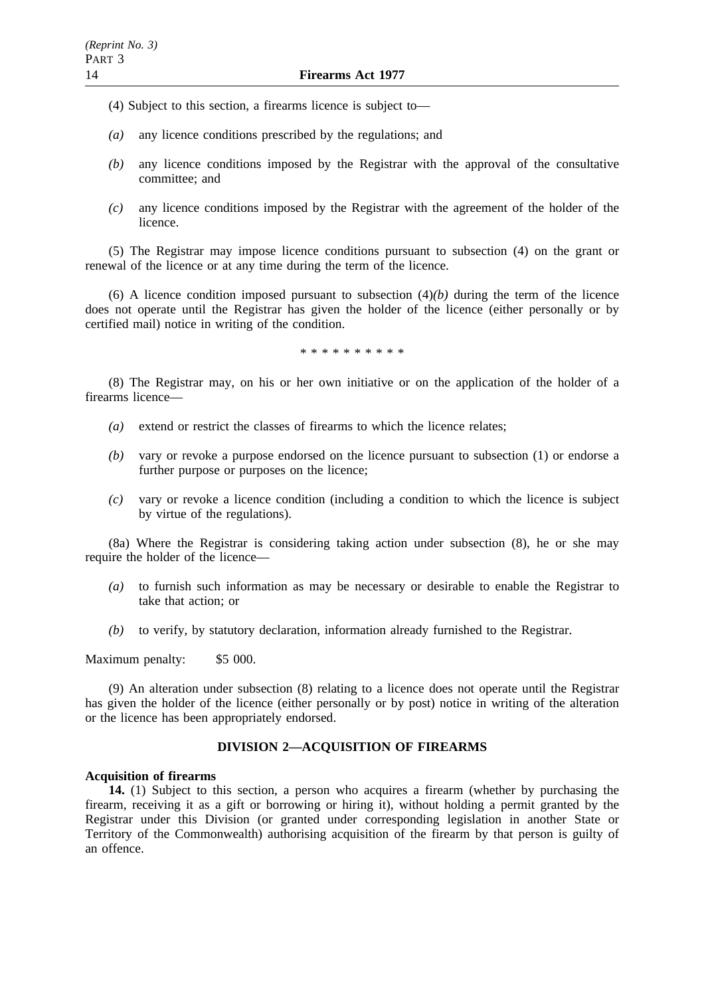- (4) Subject to this section, a firearms licence is subject to—
- *(a)* any licence conditions prescribed by the regulations; and
- *(b)* any licence conditions imposed by the Registrar with the approval of the consultative committee; and
- *(c)* any licence conditions imposed by the Registrar with the agreement of the holder of the licence.

(5) The Registrar may impose licence conditions pursuant to subsection (4) on the grant or renewal of the licence or at any time during the term of the licence.

(6) A licence condition imposed pursuant to subsection  $(4)(b)$  during the term of the licence does not operate until the Registrar has given the holder of the licence (either personally or by certified mail) notice in writing of the condition.

\*\*\*\*\*\*\*\*\*\*

(8) The Registrar may, on his or her own initiative or on the application of the holder of a firearms licence—

- *(a)* extend or restrict the classes of firearms to which the licence relates;
- *(b)* vary or revoke a purpose endorsed on the licence pursuant to subsection (1) or endorse a further purpose or purposes on the licence;
- *(c)* vary or revoke a licence condition (including a condition to which the licence is subject by virtue of the regulations).

(8a) Where the Registrar is considering taking action under subsection (8), he or she may require the holder of the licence—

- *(a)* to furnish such information as may be necessary or desirable to enable the Registrar to take that action; or
- *(b)* to verify, by statutory declaration, information already furnished to the Registrar.

Maximum penalty: \$5 000.

(9) An alteration under subsection (8) relating to a licence does not operate until the Registrar has given the holder of the licence (either personally or by post) notice in writing of the alteration or the licence has been appropriately endorsed.

# **DIVISION 2—ACQUISITION OF FIREARMS**

### **Acquisition of firearms**

**14.** (1) Subject to this section, a person who acquires a firearm (whether by purchasing the firearm, receiving it as a gift or borrowing or hiring it), without holding a permit granted by the Registrar under this Division (or granted under corresponding legislation in another State or Territory of the Commonwealth) authorising acquisition of the firearm by that person is guilty of an offence.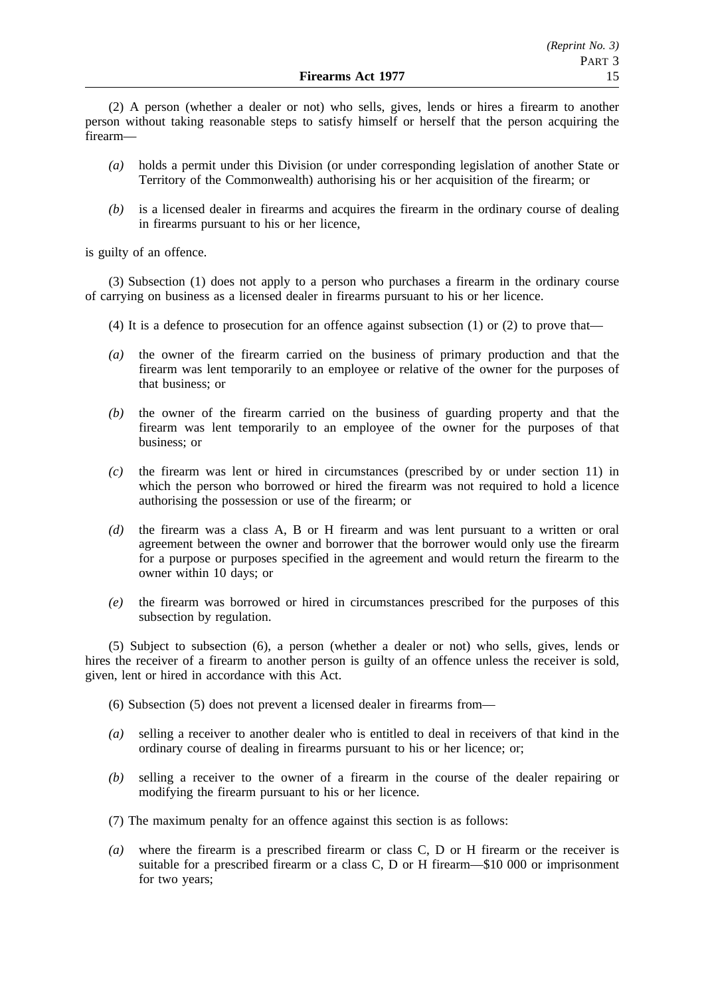(2) A person (whether a dealer or not) who sells, gives, lends or hires a firearm to another person without taking reasonable steps to satisfy himself or herself that the person acquiring the firearm—

- *(a)* holds a permit under this Division (or under corresponding legislation of another State or Territory of the Commonwealth) authorising his or her acquisition of the firearm; or
- *(b)* is a licensed dealer in firearms and acquires the firearm in the ordinary course of dealing in firearms pursuant to his or her licence,

is guilty of an offence.

(3) Subsection (1) does not apply to a person who purchases a firearm in the ordinary course of carrying on business as a licensed dealer in firearms pursuant to his or her licence.

- (4) It is a defence to prosecution for an offence against subsection  $(1)$  or  $(2)$  to prove that—
- *(a)* the owner of the firearm carried on the business of primary production and that the firearm was lent temporarily to an employee or relative of the owner for the purposes of that business; or
- *(b)* the owner of the firearm carried on the business of guarding property and that the firearm was lent temporarily to an employee of the owner for the purposes of that business; or
- *(c)* the firearm was lent or hired in circumstances (prescribed by or under section 11) in which the person who borrowed or hired the firearm was not required to hold a licence authorising the possession or use of the firearm; or
- *(d)* the firearm was a class A, B or H firearm and was lent pursuant to a written or oral agreement between the owner and borrower that the borrower would only use the firearm for a purpose or purposes specified in the agreement and would return the firearm to the owner within 10 days; or
- *(e)* the firearm was borrowed or hired in circumstances prescribed for the purposes of this subsection by regulation.

(5) Subject to subsection (6), a person (whether a dealer or not) who sells, gives, lends or hires the receiver of a firearm to another person is guilty of an offence unless the receiver is sold, given, lent or hired in accordance with this Act.

(6) Subsection (5) does not prevent a licensed dealer in firearms from—

- *(a)* selling a receiver to another dealer who is entitled to deal in receivers of that kind in the ordinary course of dealing in firearms pursuant to his or her licence; or;
- *(b)* selling a receiver to the owner of a firearm in the course of the dealer repairing or modifying the firearm pursuant to his or her licence.
- (7) The maximum penalty for an offence against this section is as follows:
- *(a)* where the firearm is a prescribed firearm or class C, D or H firearm or the receiver is suitable for a prescribed firearm or a class C, D or H firearm—\$10 000 or imprisonment for two years;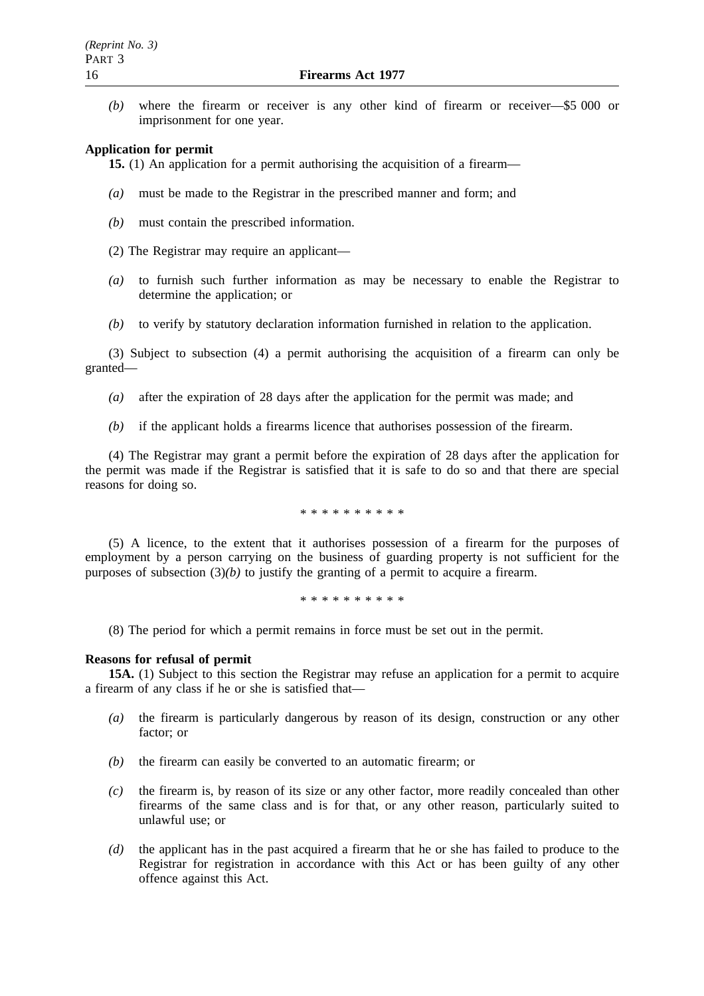*(b)* where the firearm or receiver is any other kind of firearm or receiver—\$5 000 or imprisonment for one year.

#### **Application for permit**

**15.** (1) An application for a permit authorising the acquisition of a firearm—

- *(a)* must be made to the Registrar in the prescribed manner and form; and
- *(b)* must contain the prescribed information.
- (2) The Registrar may require an applicant—
- *(a)* to furnish such further information as may be necessary to enable the Registrar to determine the application; or
- *(b)* to verify by statutory declaration information furnished in relation to the application.

(3) Subject to subsection (4) a permit authorising the acquisition of a firearm can only be granted—

- *(a)* after the expiration of 28 days after the application for the permit was made; and
- *(b)* if the applicant holds a firearms licence that authorises possession of the firearm.

(4) The Registrar may grant a permit before the expiration of 28 days after the application for the permit was made if the Registrar is satisfied that it is safe to do so and that there are special reasons for doing so.

\*\*\*\*\*\*\*\*\*\*

(5) A licence, to the extent that it authorises possession of a firearm for the purposes of employment by a person carrying on the business of guarding property is not sufficient for the purposes of subsection  $(3)(b)$  to justify the granting of a permit to acquire a firearm.

\*\*\*\*\*\*\*\*\*\*

(8) The period for which a permit remains in force must be set out in the permit.

#### **Reasons for refusal of permit**

**15A.** (1) Subject to this section the Registrar may refuse an application for a permit to acquire a firearm of any class if he or she is satisfied that—

- *(a)* the firearm is particularly dangerous by reason of its design, construction or any other factor; or
- *(b)* the firearm can easily be converted to an automatic firearm; or
- *(c)* the firearm is, by reason of its size or any other factor, more readily concealed than other firearms of the same class and is for that, or any other reason, particularly suited to unlawful use; or
- *(d)* the applicant has in the past acquired a firearm that he or she has failed to produce to the Registrar for registration in accordance with this Act or has been guilty of any other offence against this Act.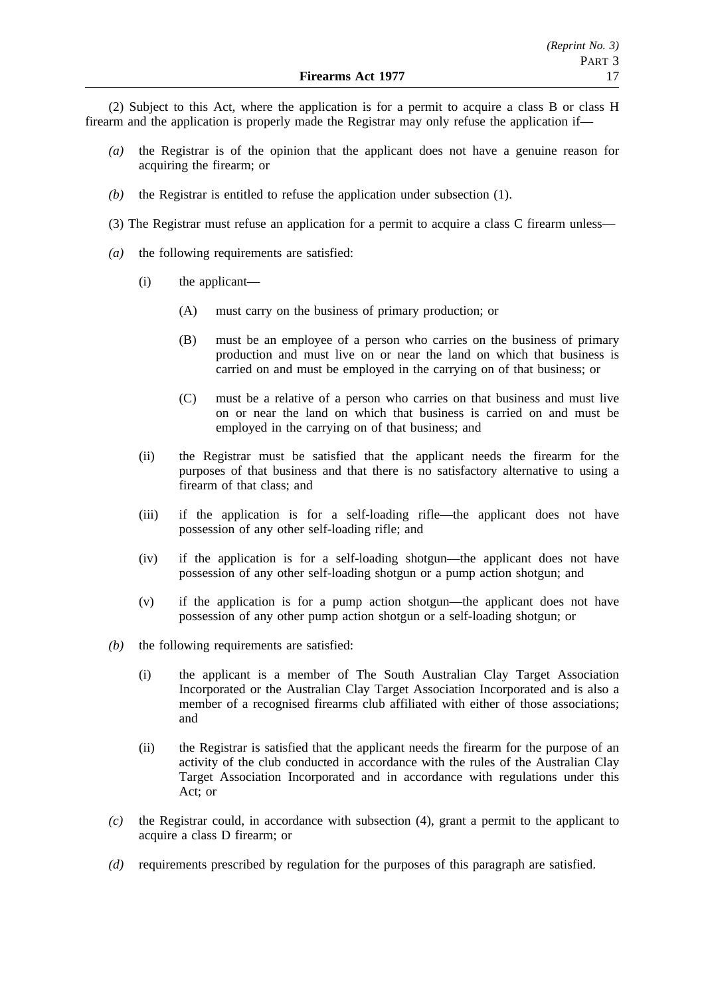(2) Subject to this Act, where the application is for a permit to acquire a class B or class H firearm and the application is properly made the Registrar may only refuse the application if—

- *(a)* the Registrar is of the opinion that the applicant does not have a genuine reason for acquiring the firearm; or
- *(b)* the Registrar is entitled to refuse the application under subsection (1).
- (3) The Registrar must refuse an application for a permit to acquire a class C firearm unless—
- *(a)* the following requirements are satisfied:
	- (i) the applicant—
		- (A) must carry on the business of primary production; or
		- (B) must be an employee of a person who carries on the business of primary production and must live on or near the land on which that business is carried on and must be employed in the carrying on of that business; or
		- (C) must be a relative of a person who carries on that business and must live on or near the land on which that business is carried on and must be employed in the carrying on of that business; and
	- (ii) the Registrar must be satisfied that the applicant needs the firearm for the purposes of that business and that there is no satisfactory alternative to using a firearm of that class; and
	- (iii) if the application is for a self-loading rifle—the applicant does not have possession of any other self-loading rifle; and
	- (iv) if the application is for a self-loading shotgun—the applicant does not have possession of any other self-loading shotgun or a pump action shotgun; and
	- (v) if the application is for a pump action shotgun—the applicant does not have possession of any other pump action shotgun or a self-loading shotgun; or
- *(b)* the following requirements are satisfied:
	- (i) the applicant is a member of The South Australian Clay Target Association Incorporated or the Australian Clay Target Association Incorporated and is also a member of a recognised firearms club affiliated with either of those associations; and
	- (ii) the Registrar is satisfied that the applicant needs the firearm for the purpose of an activity of the club conducted in accordance with the rules of the Australian Clay Target Association Incorporated and in accordance with regulations under this Act; or
- *(c)* the Registrar could, in accordance with subsection (4), grant a permit to the applicant to acquire a class D firearm; or
- *(d)* requirements prescribed by regulation for the purposes of this paragraph are satisfied.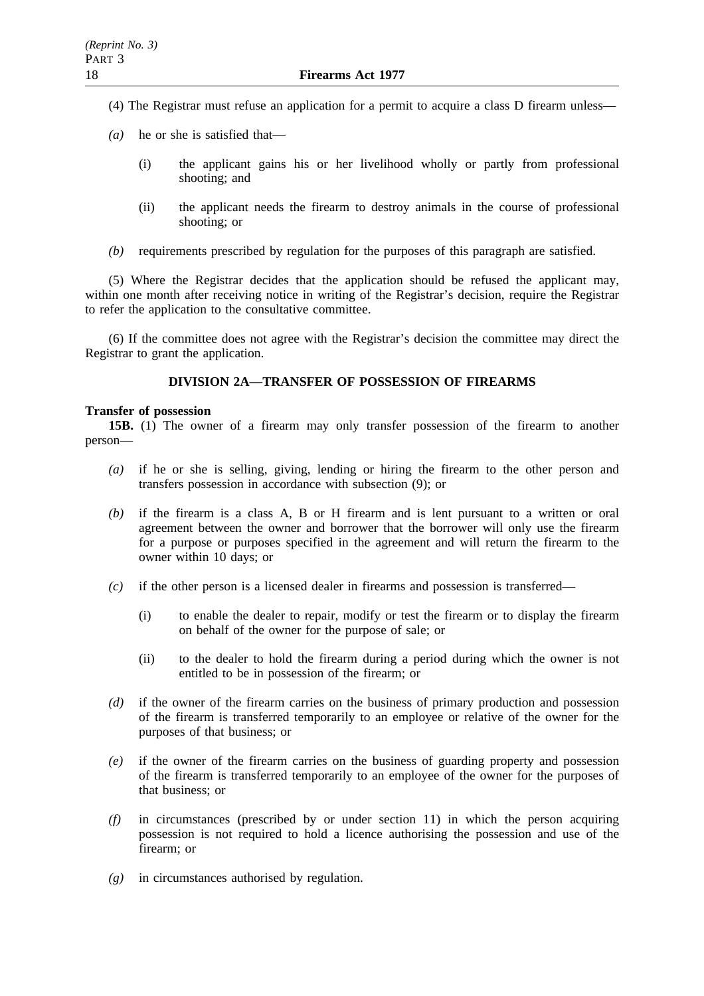- (4) The Registrar must refuse an application for a permit to acquire a class D firearm unless—
- *(a)* he or she is satisfied that—
	- (i) the applicant gains his or her livelihood wholly or partly from professional shooting; and
	- (ii) the applicant needs the firearm to destroy animals in the course of professional shooting; or
- *(b)* requirements prescribed by regulation for the purposes of this paragraph are satisfied.

(5) Where the Registrar decides that the application should be refused the applicant may, within one month after receiving notice in writing of the Registrar's decision, require the Registrar to refer the application to the consultative committee.

(6) If the committee does not agree with the Registrar's decision the committee may direct the Registrar to grant the application.

# **DIVISION 2A—TRANSFER OF POSSESSION OF FIREARMS**

### **Transfer of possession**

**15B.** (1) The owner of a firearm may only transfer possession of the firearm to another person—

- *(a)* if he or she is selling, giving, lending or hiring the firearm to the other person and transfers possession in accordance with subsection (9); or
- *(b)* if the firearm is a class A, B or H firearm and is lent pursuant to a written or oral agreement between the owner and borrower that the borrower will only use the firearm for a purpose or purposes specified in the agreement and will return the firearm to the owner within 10 days; or
- *(c)* if the other person is a licensed dealer in firearms and possession is transferred—
	- (i) to enable the dealer to repair, modify or test the firearm or to display the firearm on behalf of the owner for the purpose of sale; or
	- (ii) to the dealer to hold the firearm during a period during which the owner is not entitled to be in possession of the firearm; or
- *(d)* if the owner of the firearm carries on the business of primary production and possession of the firearm is transferred temporarily to an employee or relative of the owner for the purposes of that business; or
- *(e)* if the owner of the firearm carries on the business of guarding property and possession of the firearm is transferred temporarily to an employee of the owner for the purposes of that business; or
- *(f)* in circumstances (prescribed by or under section 11) in which the person acquiring possession is not required to hold a licence authorising the possession and use of the firearm; or
- *(g)* in circumstances authorised by regulation.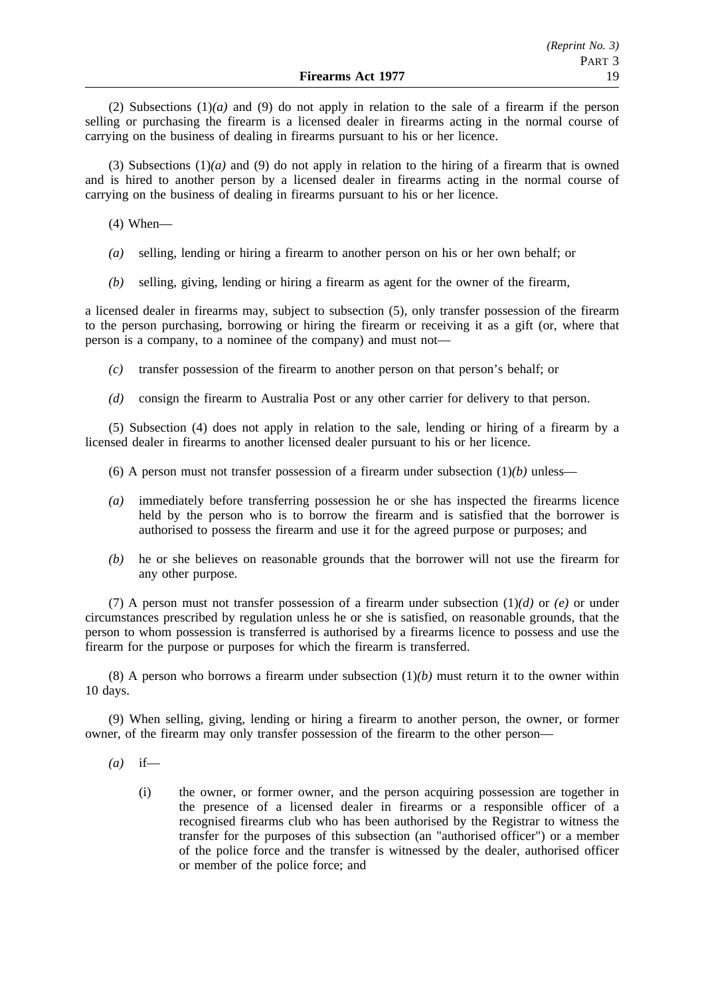(2) Subsections (1)*(a)* and (9) do not apply in relation to the sale of a firearm if the person selling or purchasing the firearm is a licensed dealer in firearms acting in the normal course of carrying on the business of dealing in firearms pursuant to his or her licence.

(3) Subsections (1)*(a)* and (9) do not apply in relation to the hiring of a firearm that is owned and is hired to another person by a licensed dealer in firearms acting in the normal course of carrying on the business of dealing in firearms pursuant to his or her licence.

(4) When—

- *(a)* selling, lending or hiring a firearm to another person on his or her own behalf; or
- *(b)* selling, giving, lending or hiring a firearm as agent for the owner of the firearm,

a licensed dealer in firearms may, subject to subsection (5), only transfer possession of the firearm to the person purchasing, borrowing or hiring the firearm or receiving it as a gift (or, where that person is a company, to a nominee of the company) and must not—

- *(c)* transfer possession of the firearm to another person on that person's behalf; or
- *(d)* consign the firearm to Australia Post or any other carrier for delivery to that person.

(5) Subsection (4) does not apply in relation to the sale, lending or hiring of a firearm by a licensed dealer in firearms to another licensed dealer pursuant to his or her licence.

- (6) A person must not transfer possession of a firearm under subsection  $(1)(b)$  unless—
- *(a)* immediately before transferring possession he or she has inspected the firearms licence held by the person who is to borrow the firearm and is satisfied that the borrower is authorised to possess the firearm and use it for the agreed purpose or purposes; and
- *(b)* he or she believes on reasonable grounds that the borrower will not use the firearm for any other purpose.

(7) A person must not transfer possession of a firearm under subsection (1)*(d)* or *(e)* or under circumstances prescribed by regulation unless he or she is satisfied, on reasonable grounds, that the person to whom possession is transferred is authorised by a firearms licence to possess and use the firearm for the purpose or purposes for which the firearm is transferred.

(8) A person who borrows a firearm under subsection  $(1)(b)$  must return it to the owner within 10 days.

(9) When selling, giving, lending or hiring a firearm to another person, the owner, or former owner, of the firearm may only transfer possession of the firearm to the other person—

- *(a)* if—
	- (i) the owner, or former owner, and the person acquiring possession are together in the presence of a licensed dealer in firearms or a responsible officer of a recognised firearms club who has been authorised by the Registrar to witness the transfer for the purposes of this subsection (an "authorised officer") or a member of the police force and the transfer is witnessed by the dealer, authorised officer or member of the police force; and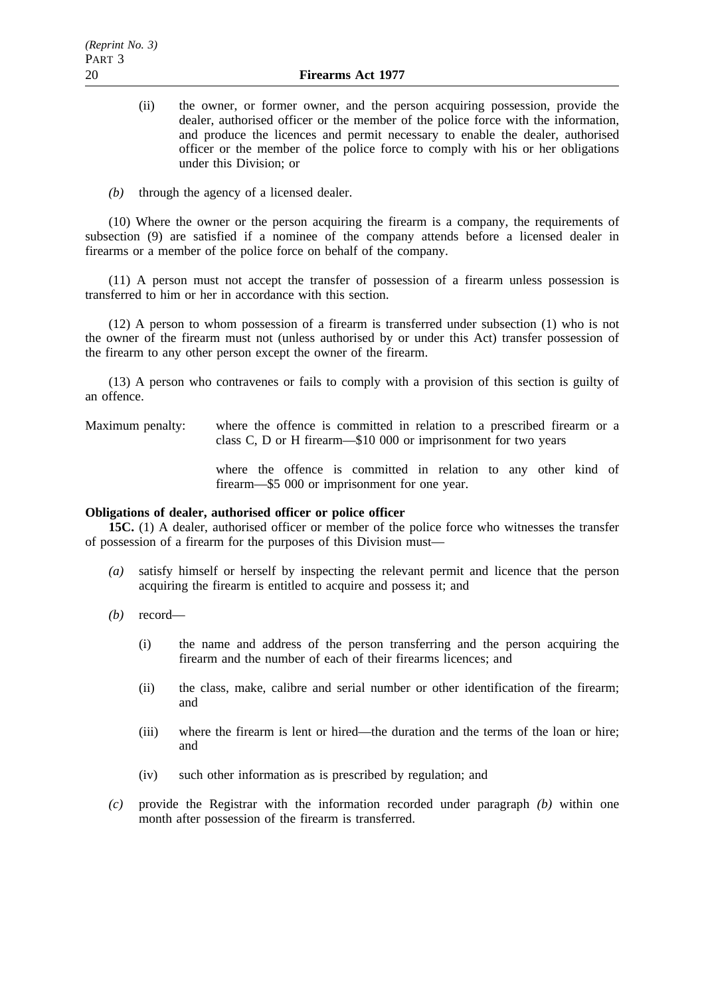- (ii) the owner, or former owner, and the person acquiring possession, provide the dealer, authorised officer or the member of the police force with the information, and produce the licences and permit necessary to enable the dealer, authorised officer or the member of the police force to comply with his or her obligations under this Division; or
- *(b)* through the agency of a licensed dealer.

(10) Where the owner or the person acquiring the firearm is a company, the requirements of subsection (9) are satisfied if a nominee of the company attends before a licensed dealer in firearms or a member of the police force on behalf of the company.

(11) A person must not accept the transfer of possession of a firearm unless possession is transferred to him or her in accordance with this section.

(12) A person to whom possession of a firearm is transferred under subsection (1) who is not the owner of the firearm must not (unless authorised by or under this Act) transfer possession of the firearm to any other person except the owner of the firearm.

(13) A person who contravenes or fails to comply with a provision of this section is guilty of an offence.

Maximum penalty: where the offence is committed in relation to a prescribed firearm or a class C, D or H firearm—\$10 000 or imprisonment for two years

> where the offence is committed in relation to any other kind of firearm—\$5 000 or imprisonment for one year.

# **Obligations of dealer, authorised officer or police officer**

**15C.** (1) A dealer, authorised officer or member of the police force who witnesses the transfer of possession of a firearm for the purposes of this Division must—

- *(a)* satisfy himself or herself by inspecting the relevant permit and licence that the person acquiring the firearm is entitled to acquire and possess it; and
- *(b)* record—
	- (i) the name and address of the person transferring and the person acquiring the firearm and the number of each of their firearms licences; and
	- (ii) the class, make, calibre and serial number or other identification of the firearm; and
	- (iii) where the firearm is lent or hired—the duration and the terms of the loan or hire; and
	- (iv) such other information as is prescribed by regulation; and
- *(c)* provide the Registrar with the information recorded under paragraph *(b)* within one month after possession of the firearm is transferred.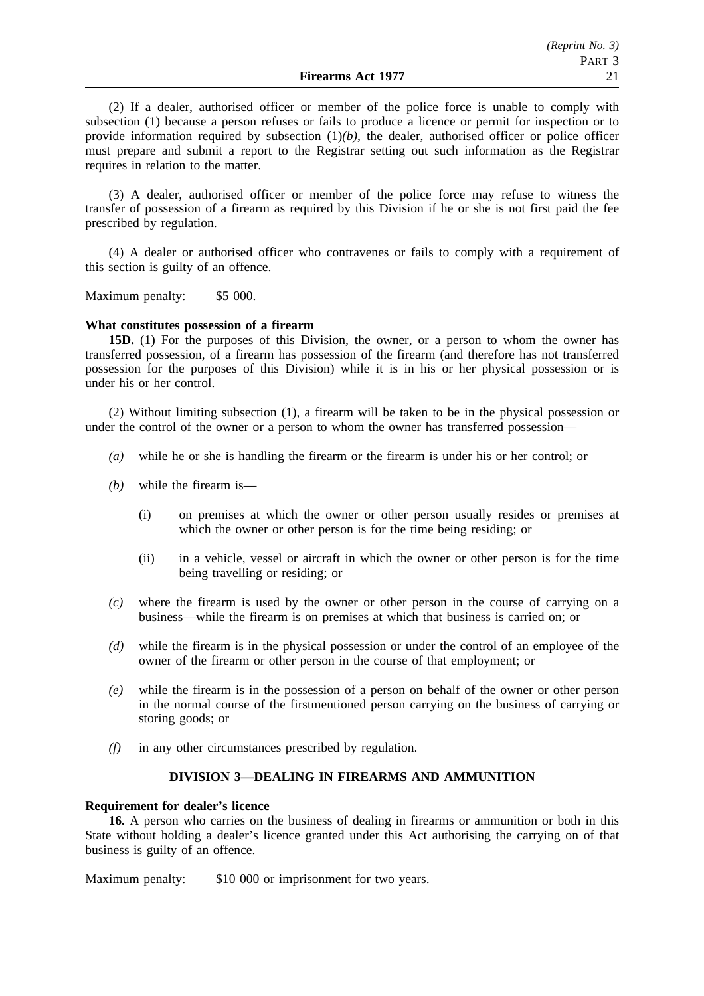(2) If a dealer, authorised officer or member of the police force is unable to comply with subsection (1) because a person refuses or fails to produce a licence or permit for inspection or to provide information required by subsection  $(1)(b)$ , the dealer, authorised officer or police officer must prepare and submit a report to the Registrar setting out such information as the Registrar requires in relation to the matter.

(3) A dealer, authorised officer or member of the police force may refuse to witness the transfer of possession of a firearm as required by this Division if he or she is not first paid the fee prescribed by regulation.

(4) A dealer or authorised officer who contravenes or fails to comply with a requirement of this section is guilty of an offence.

Maximum penalty: \$5 000.

#### **What constitutes possession of a firearm**

**15D.** (1) For the purposes of this Division, the owner, or a person to whom the owner has transferred possession, of a firearm has possession of the firearm (and therefore has not transferred possession for the purposes of this Division) while it is in his or her physical possession or is under his or her control.

(2) Without limiting subsection (1), a firearm will be taken to be in the physical possession or under the control of the owner or a person to whom the owner has transferred possession—

- *(a)* while he or she is handling the firearm or the firearm is under his or her control; or
- *(b)* while the firearm is—
	- (i) on premises at which the owner or other person usually resides or premises at which the owner or other person is for the time being residing; or
	- (ii) in a vehicle, vessel or aircraft in which the owner or other person is for the time being travelling or residing; or
- *(c)* where the firearm is used by the owner or other person in the course of carrying on a business—while the firearm is on premises at which that business is carried on; or
- *(d)* while the firearm is in the physical possession or under the control of an employee of the owner of the firearm or other person in the course of that employment; or
- *(e)* while the firearm is in the possession of a person on behalf of the owner or other person in the normal course of the firstmentioned person carrying on the business of carrying or storing goods; or
- *(f)* in any other circumstances prescribed by regulation.

# **DIVISION 3—DEALING IN FIREARMS AND AMMUNITION**

#### **Requirement for dealer's licence**

**16.** A person who carries on the business of dealing in firearms or ammunition or both in this State without holding a dealer's licence granted under this Act authorising the carrying on of that business is guilty of an offence.

Maximum penalty: \$10 000 or imprisonment for two years.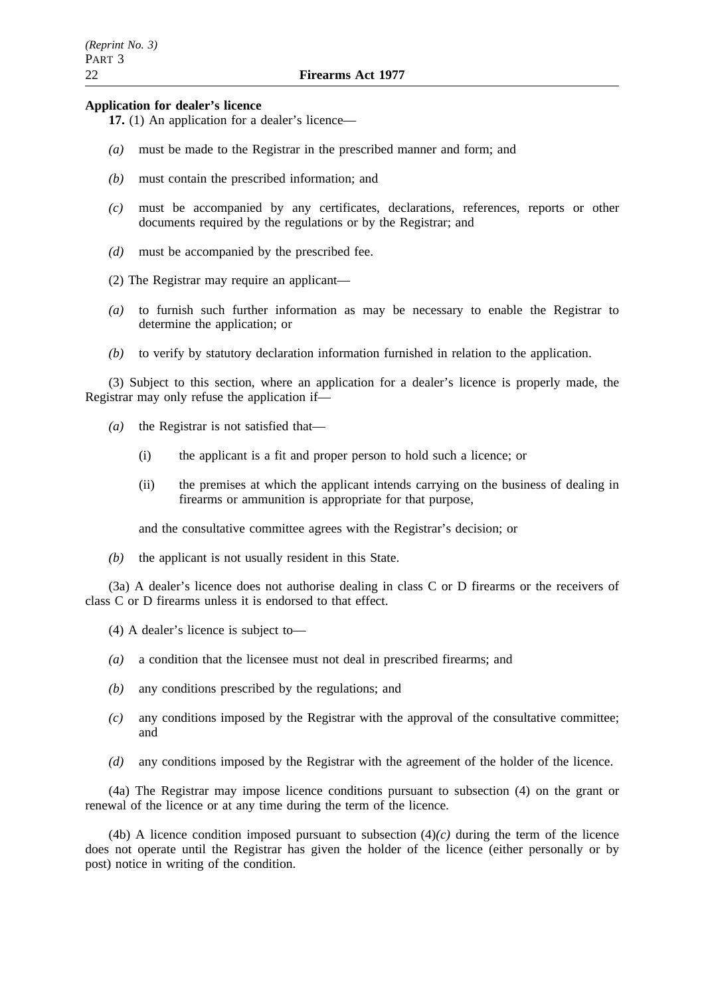#### **Application for dealer's licence**

- **17.** (1) An application for a dealer's licence—
- *(a)* must be made to the Registrar in the prescribed manner and form; and
- *(b)* must contain the prescribed information; and
- *(c)* must be accompanied by any certificates, declarations, references, reports or other documents required by the regulations or by the Registrar; and
- *(d)* must be accompanied by the prescribed fee.
- (2) The Registrar may require an applicant—
- *(a)* to furnish such further information as may be necessary to enable the Registrar to determine the application; or
- *(b)* to verify by statutory declaration information furnished in relation to the application.

(3) Subject to this section, where an application for a dealer's licence is properly made, the Registrar may only refuse the application if—

- *(a)* the Registrar is not satisfied that—
	- (i) the applicant is a fit and proper person to hold such a licence; or
	- (ii) the premises at which the applicant intends carrying on the business of dealing in firearms or ammunition is appropriate for that purpose,

and the consultative committee agrees with the Registrar's decision; or

*(b)* the applicant is not usually resident in this State.

(3a) A dealer's licence does not authorise dealing in class C or D firearms or the receivers of class C or D firearms unless it is endorsed to that effect.

(4) A dealer's licence is subject to—

- *(a)* a condition that the licensee must not deal in prescribed firearms; and
- *(b)* any conditions prescribed by the regulations; and
- *(c)* any conditions imposed by the Registrar with the approval of the consultative committee; and
- *(d)* any conditions imposed by the Registrar with the agreement of the holder of the licence.

(4a) The Registrar may impose licence conditions pursuant to subsection (4) on the grant or renewal of the licence or at any time during the term of the licence.

(4b) A licence condition imposed pursuant to subsection  $(4)(c)$  during the term of the licence does not operate until the Registrar has given the holder of the licence (either personally or by post) notice in writing of the condition.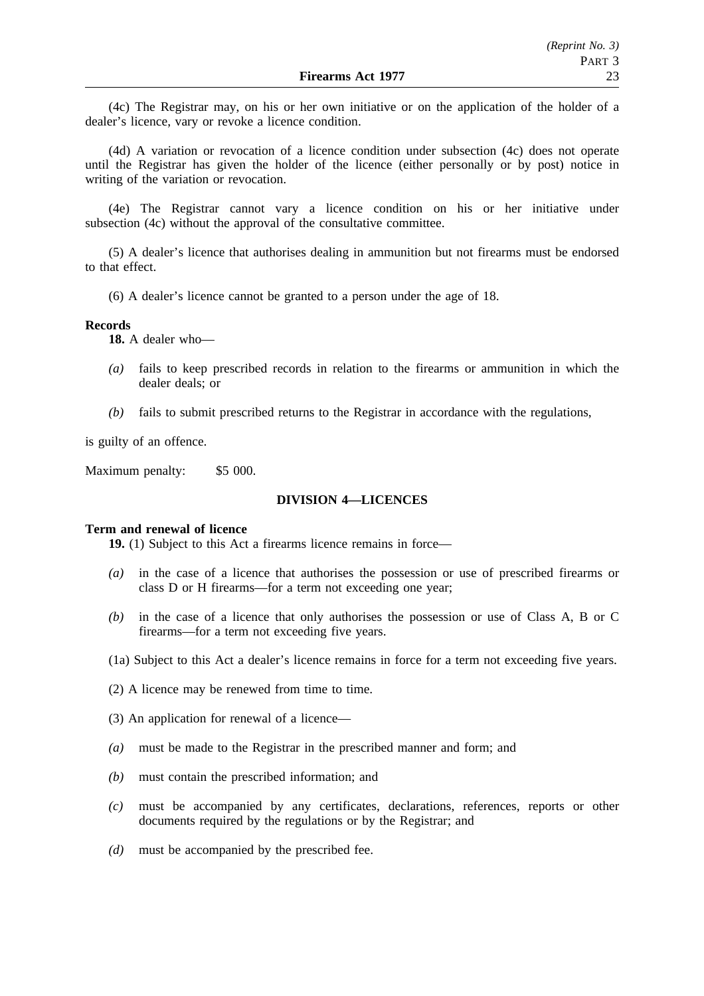(4c) The Registrar may, on his or her own initiative or on the application of the holder of a dealer's licence, vary or revoke a licence condition.

(4d) A variation or revocation of a licence condition under subsection (4c) does not operate until the Registrar has given the holder of the licence (either personally or by post) notice in writing of the variation or revocation.

(4e) The Registrar cannot vary a licence condition on his or her initiative under subsection (4c) without the approval of the consultative committee.

(5) A dealer's licence that authorises dealing in ammunition but not firearms must be endorsed to that effect.

(6) A dealer's licence cannot be granted to a person under the age of 18.

#### **Records**

**18.** A dealer who—

- *(a)* fails to keep prescribed records in relation to the firearms or ammunition in which the dealer deals; or
- *(b)* fails to submit prescribed returns to the Registrar in accordance with the regulations,

is guilty of an offence.

Maximum penalty: \$5 000.

### **DIVISION 4—LICENCES**

### **Term and renewal of licence**

**19.** (1) Subject to this Act a firearms licence remains in force—

- *(a)* in the case of a licence that authorises the possession or use of prescribed firearms or class D or H firearms—for a term not exceeding one year;
- *(b)* in the case of a licence that only authorises the possession or use of Class A, B or C firearms—for a term not exceeding five years.
- (1a) Subject to this Act a dealer's licence remains in force for a term not exceeding five years.
- (2) A licence may be renewed from time to time.
- (3) An application for renewal of a licence—
- *(a)* must be made to the Registrar in the prescribed manner and form; and
- *(b)* must contain the prescribed information; and
- *(c)* must be accompanied by any certificates, declarations, references, reports or other documents required by the regulations or by the Registrar; and
- *(d)* must be accompanied by the prescribed fee.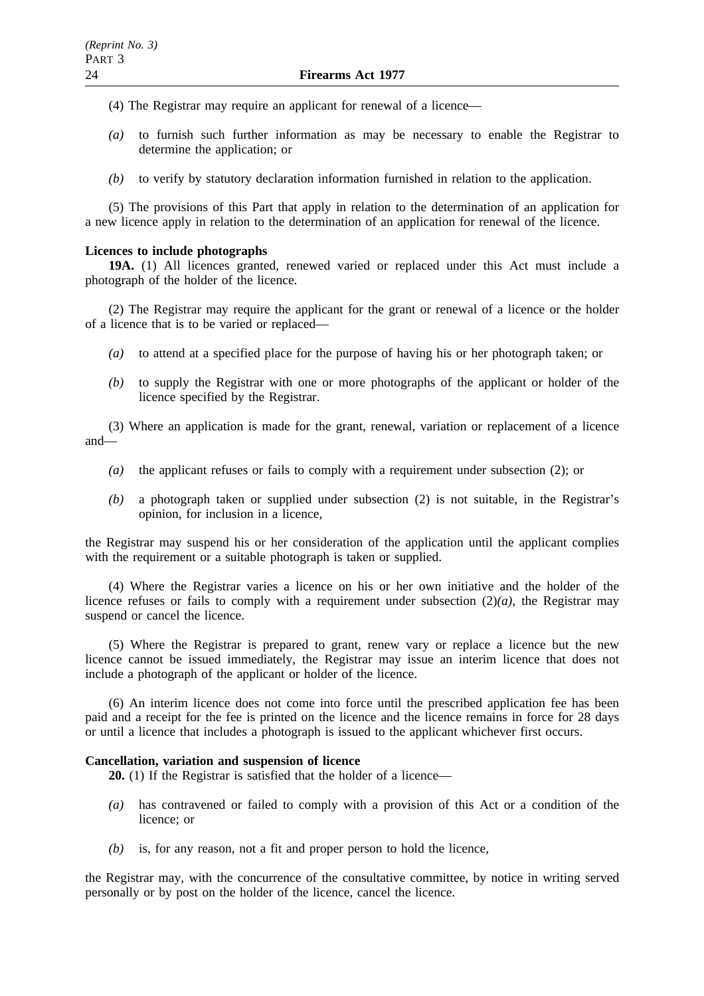- (4) The Registrar may require an applicant for renewal of a licence—
- *(a)* to furnish such further information as may be necessary to enable the Registrar to determine the application; or
- *(b)* to verify by statutory declaration information furnished in relation to the application.

(5) The provisions of this Part that apply in relation to the determination of an application for a new licence apply in relation to the determination of an application for renewal of the licence.

# **Licences to include photographs**

**19A.** (1) All licences granted, renewed varied or replaced under this Act must include a photograph of the holder of the licence.

(2) The Registrar may require the applicant for the grant or renewal of a licence or the holder of a licence that is to be varied or replaced—

- *(a)* to attend at a specified place for the purpose of having his or her photograph taken; or
- *(b)* to supply the Registrar with one or more photographs of the applicant or holder of the licence specified by the Registrar.

(3) Where an application is made for the grant, renewal, variation or replacement of a licence and—

- *(a)* the applicant refuses or fails to comply with a requirement under subsection (2); or
- *(b)* a photograph taken or supplied under subsection (2) is not suitable, in the Registrar's opinion, for inclusion in a licence,

the Registrar may suspend his or her consideration of the application until the applicant complies with the requirement or a suitable photograph is taken or supplied.

(4) Where the Registrar varies a licence on his or her own initiative and the holder of the licence refuses or fails to comply with a requirement under subsection  $(2)(a)$ , the Registrar may suspend or cancel the licence.

(5) Where the Registrar is prepared to grant, renew vary or replace a licence but the new licence cannot be issued immediately, the Registrar may issue an interim licence that does not include a photograph of the applicant or holder of the licence.

(6) An interim licence does not come into force until the prescribed application fee has been paid and a receipt for the fee is printed on the licence and the licence remains in force for 28 days or until a licence that includes a photograph is issued to the applicant whichever first occurs.

# **Cancellation, variation and suspension of licence**

**20.** (1) If the Registrar is satisfied that the holder of a licence—

- *(a)* has contravened or failed to comply with a provision of this Act or a condition of the licence; or
- *(b)* is, for any reason, not a fit and proper person to hold the licence,

the Registrar may, with the concurrence of the consultative committee, by notice in writing served personally or by post on the holder of the licence, cancel the licence.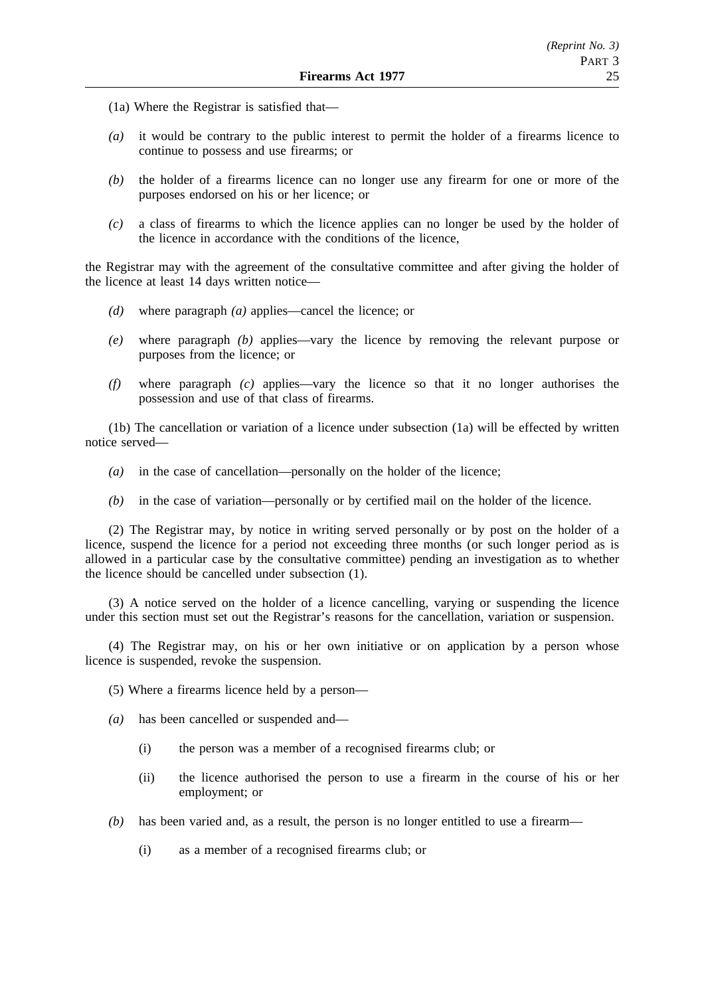- (1a) Where the Registrar is satisfied that—
- *(a)* it would be contrary to the public interest to permit the holder of a firearms licence to continue to possess and use firearms; or
- *(b)* the holder of a firearms licence can no longer use any firearm for one or more of the purposes endorsed on his or her licence; or
- *(c)* a class of firearms to which the licence applies can no longer be used by the holder of the licence in accordance with the conditions of the licence,

the Registrar may with the agreement of the consultative committee and after giving the holder of the licence at least 14 days written notice—

- *(d)* where paragraph *(a)* applies—cancel the licence; or
- *(e)* where paragraph *(b)* applies—vary the licence by removing the relevant purpose or purposes from the licence; or
- *(f)* where paragraph *(c)* applies—vary the licence so that it no longer authorises the possession and use of that class of firearms.

(1b) The cancellation or variation of a licence under subsection (1a) will be effected by written notice served—

- *(a)* in the case of cancellation—personally on the holder of the licence;
- *(b)* in the case of variation—personally or by certified mail on the holder of the licence.

(2) The Registrar may, by notice in writing served personally or by post on the holder of a licence, suspend the licence for a period not exceeding three months (or such longer period as is allowed in a particular case by the consultative committee) pending an investigation as to whether the licence should be cancelled under subsection (1).

(3) A notice served on the holder of a licence cancelling, varying or suspending the licence under this section must set out the Registrar's reasons for the cancellation, variation or suspension.

(4) The Registrar may, on his or her own initiative or on application by a person whose licence is suspended, revoke the suspension.

- (5) Where a firearms licence held by a person—
- *(a)* has been cancelled or suspended and—
	- (i) the person was a member of a recognised firearms club; or
	- (ii) the licence authorised the person to use a firearm in the course of his or her employment; or
- *(b)* has been varied and, as a result, the person is no longer entitled to use a firearm—
	- (i) as a member of a recognised firearms club; or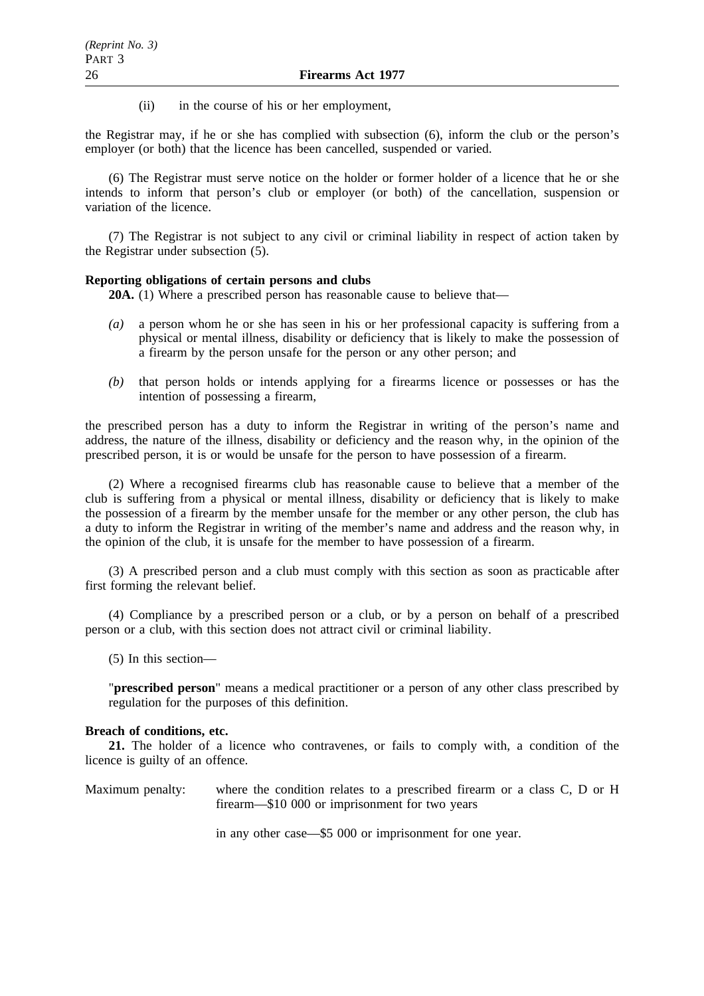(ii) in the course of his or her employment,

the Registrar may, if he or she has complied with subsection (6), inform the club or the person's employer (or both) that the licence has been cancelled, suspended or varied.

(6) The Registrar must serve notice on the holder or former holder of a licence that he or she intends to inform that person's club or employer (or both) of the cancellation, suspension or variation of the licence.

(7) The Registrar is not subject to any civil or criminal liability in respect of action taken by the Registrar under subsection (5).

#### **Reporting obligations of certain persons and clubs**

**20A.** (1) Where a prescribed person has reasonable cause to believe that—

- *(a)* a person whom he or she has seen in his or her professional capacity is suffering from a physical or mental illness, disability or deficiency that is likely to make the possession of a firearm by the person unsafe for the person or any other person; and
- *(b)* that person holds or intends applying for a firearms licence or possesses or has the intention of possessing a firearm,

the prescribed person has a duty to inform the Registrar in writing of the person's name and address, the nature of the illness, disability or deficiency and the reason why, in the opinion of the prescribed person, it is or would be unsafe for the person to have possession of a firearm.

(2) Where a recognised firearms club has reasonable cause to believe that a member of the club is suffering from a physical or mental illness, disability or deficiency that is likely to make the possession of a firearm by the member unsafe for the member or any other person, the club has a duty to inform the Registrar in writing of the member's name and address and the reason why, in the opinion of the club, it is unsafe for the member to have possession of a firearm.

(3) A prescribed person and a club must comply with this section as soon as practicable after first forming the relevant belief.

(4) Compliance by a prescribed person or a club, or by a person on behalf of a prescribed person or a club, with this section does not attract civil or criminal liability.

(5) In this section—

"**prescribed person**" means a medical practitioner or a person of any other class prescribed by regulation for the purposes of this definition.

# **Breach of conditions, etc.**

**21.** The holder of a licence who contravenes, or fails to comply with, a condition of the licence is guilty of an offence.

Maximum penalty: where the condition relates to a prescribed firearm or a class C, D or H firearm—\$10 000 or imprisonment for two years

in any other case—\$5 000 or imprisonment for one year.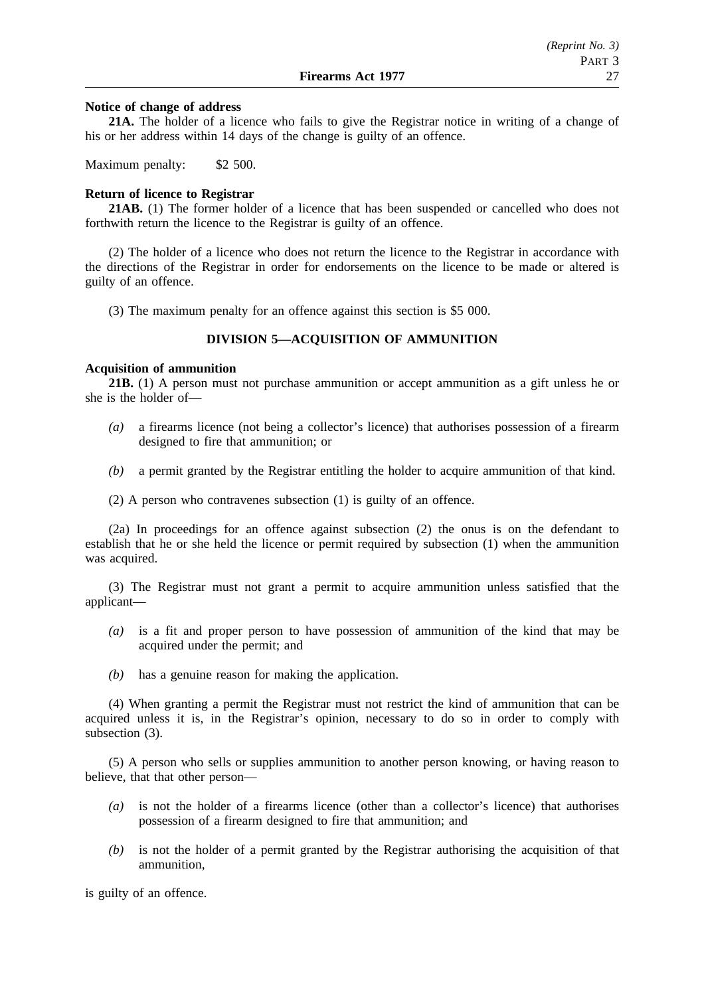### **Notice of change of address**

**21A.** The holder of a licence who fails to give the Registrar notice in writing of a change of his or her address within 14 days of the change is guilty of an offence.

Maximum penalty: \$2 500.

# **Return of licence to Registrar**

**21AB.** (1) The former holder of a licence that has been suspended or cancelled who does not forthwith return the licence to the Registrar is guilty of an offence.

(2) The holder of a licence who does not return the licence to the Registrar in accordance with the directions of the Registrar in order for endorsements on the licence to be made or altered is guilty of an offence.

(3) The maximum penalty for an offence against this section is \$5 000.

# **DIVISION 5—ACQUISITION OF AMMUNITION**

# **Acquisition of ammunition**

**21B.** (1) A person must not purchase ammunition or accept ammunition as a gift unless he or she is the holder of—

- *(a)* a firearms licence (not being a collector's licence) that authorises possession of a firearm designed to fire that ammunition; or
- *(b)* a permit granted by the Registrar entitling the holder to acquire ammunition of that kind.
- (2) A person who contravenes subsection (1) is guilty of an offence.

(2a) In proceedings for an offence against subsection (2) the onus is on the defendant to establish that he or she held the licence or permit required by subsection (1) when the ammunition was acquired.

(3) The Registrar must not grant a permit to acquire ammunition unless satisfied that the applicant—

- *(a)* is a fit and proper person to have possession of ammunition of the kind that may be acquired under the permit; and
- *(b)* has a genuine reason for making the application.

(4) When granting a permit the Registrar must not restrict the kind of ammunition that can be acquired unless it is, in the Registrar's opinion, necessary to do so in order to comply with subsection (3).

(5) A person who sells or supplies ammunition to another person knowing, or having reason to believe, that that other person—

- *(a)* is not the holder of a firearms licence (other than a collector's licence) that authorises possession of a firearm designed to fire that ammunition; and
- *(b)* is not the holder of a permit granted by the Registrar authorising the acquisition of that ammunition,

is guilty of an offence.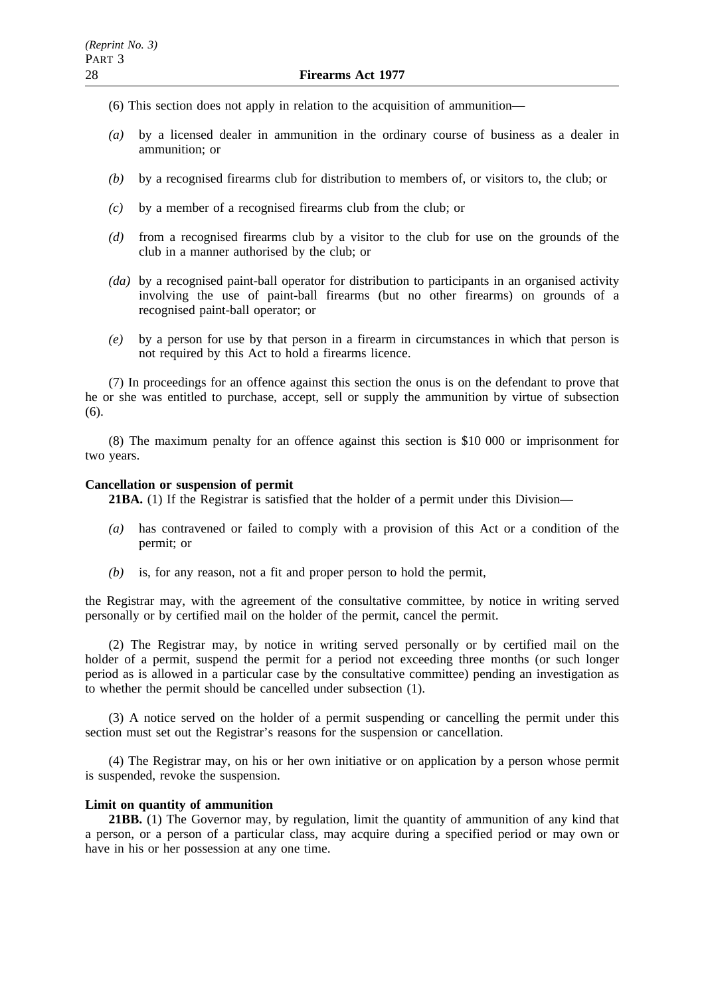- (6) This section does not apply in relation to the acquisition of ammunition—
- *(a)* by a licensed dealer in ammunition in the ordinary course of business as a dealer in ammunition; or
- *(b)* by a recognised firearms club for distribution to members of, or visitors to, the club; or
- *(c)* by a member of a recognised firearms club from the club; or
- *(d)* from a recognised firearms club by a visitor to the club for use on the grounds of the club in a manner authorised by the club; or
- *(da)* by a recognised paint-ball operator for distribution to participants in an organised activity involving the use of paint-ball firearms (but no other firearms) on grounds of a recognised paint-ball operator; or
- *(e)* by a person for use by that person in a firearm in circumstances in which that person is not required by this Act to hold a firearms licence.

(7) In proceedings for an offence against this section the onus is on the defendant to prove that he or she was entitled to purchase, accept, sell or supply the ammunition by virtue of subsection (6).

(8) The maximum penalty for an offence against this section is \$10 000 or imprisonment for two years.

#### **Cancellation or suspension of permit**

**21BA.** (1) If the Registrar is satisfied that the holder of a permit under this Division—

- *(a)* has contravened or failed to comply with a provision of this Act or a condition of the permit; or
- *(b)* is, for any reason, not a fit and proper person to hold the permit,

the Registrar may, with the agreement of the consultative committee, by notice in writing served personally or by certified mail on the holder of the permit, cancel the permit.

(2) The Registrar may, by notice in writing served personally or by certified mail on the holder of a permit, suspend the permit for a period not exceeding three months (or such longer period as is allowed in a particular case by the consultative committee) pending an investigation as to whether the permit should be cancelled under subsection (1).

(3) A notice served on the holder of a permit suspending or cancelling the permit under this section must set out the Registrar's reasons for the suspension or cancellation.

(4) The Registrar may, on his or her own initiative or on application by a person whose permit is suspended, revoke the suspension.

#### **Limit on quantity of ammunition**

**21BB.** (1) The Governor may, by regulation, limit the quantity of ammunition of any kind that a person, or a person of a particular class, may acquire during a specified period or may own or have in his or her possession at any one time.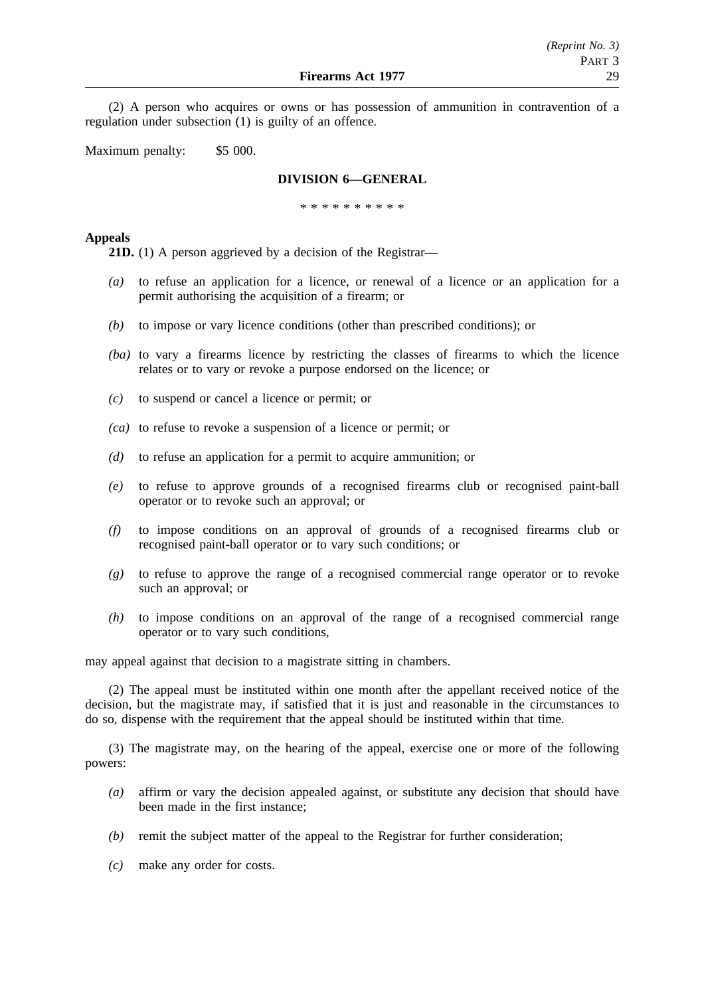(2) A person who acquires or owns or has possession of ammunition in contravention of a regulation under subsection (1) is guilty of an offence.

Maximum penalty: \$5 000.

# **DIVISION 6—GENERAL**

\*\*\*\*\*\*\*\*\*\*

# **Appeals**

**21D.** (1) A person aggrieved by a decision of the Registrar—

- *(a)* to refuse an application for a licence, or renewal of a licence or an application for a permit authorising the acquisition of a firearm; or
- *(b)* to impose or vary licence conditions (other than prescribed conditions); or
- *(ba)* to vary a firearms licence by restricting the classes of firearms to which the licence relates or to vary or revoke a purpose endorsed on the licence; or
- *(c)* to suspend or cancel a licence or permit; or
- *(ca)* to refuse to revoke a suspension of a licence or permit; or
- *(d)* to refuse an application for a permit to acquire ammunition; or
- *(e)* to refuse to approve grounds of a recognised firearms club or recognised paint-ball operator or to revoke such an approval; or
- *(f)* to impose conditions on an approval of grounds of a recognised firearms club or recognised paint-ball operator or to vary such conditions; or
- *(g)* to refuse to approve the range of a recognised commercial range operator or to revoke such an approval; or
- *(h)* to impose conditions on an approval of the range of a recognised commercial range operator or to vary such conditions,

may appeal against that decision to a magistrate sitting in chambers.

(2) The appeal must be instituted within one month after the appellant received notice of the decision, but the magistrate may, if satisfied that it is just and reasonable in the circumstances to do so, dispense with the requirement that the appeal should be instituted within that time.

(3) The magistrate may, on the hearing of the appeal, exercise one or more of the following powers:

- *(a)* affirm or vary the decision appealed against, or substitute any decision that should have been made in the first instance;
- *(b)* remit the subject matter of the appeal to the Registrar for further consideration;
- *(c)* make any order for costs.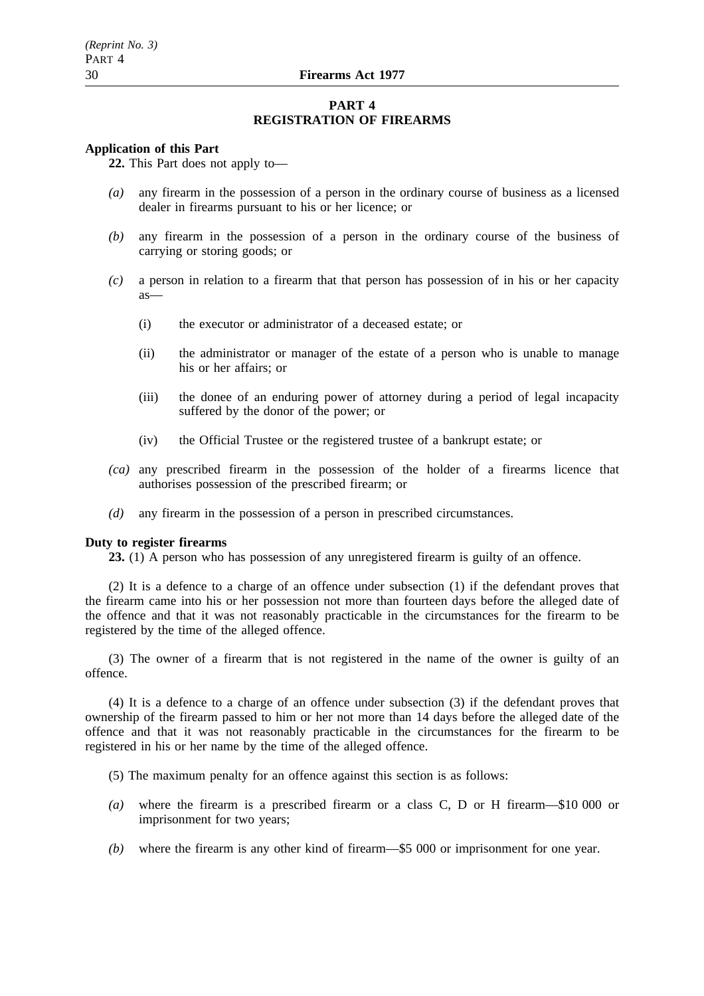## **PART 4 REGISTRATION OF FIREARMS**

#### **Application of this Part**

**22.** This Part does not apply to—

- *(a)* any firearm in the possession of a person in the ordinary course of business as a licensed dealer in firearms pursuant to his or her licence; or
- *(b)* any firearm in the possession of a person in the ordinary course of the business of carrying or storing goods; or
- *(c)* a person in relation to a firearm that that person has possession of in his or her capacity as—
	- (i) the executor or administrator of a deceased estate; or
	- (ii) the administrator or manager of the estate of a person who is unable to manage his or her affairs; or
	- (iii) the donee of an enduring power of attorney during a period of legal incapacity suffered by the donor of the power; or
	- (iv) the Official Trustee or the registered trustee of a bankrupt estate; or
- *(ca)* any prescribed firearm in the possession of the holder of a firearms licence that authorises possession of the prescribed firearm; or
- *(d)* any firearm in the possession of a person in prescribed circumstances.

## **Duty to register firearms**

**23.** (1) A person who has possession of any unregistered firearm is guilty of an offence.

(2) It is a defence to a charge of an offence under subsection (1) if the defendant proves that the firearm came into his or her possession not more than fourteen days before the alleged date of the offence and that it was not reasonably practicable in the circumstances for the firearm to be registered by the time of the alleged offence.

(3) The owner of a firearm that is not registered in the name of the owner is guilty of an offence.

(4) It is a defence to a charge of an offence under subsection (3) if the defendant proves that ownership of the firearm passed to him or her not more than 14 days before the alleged date of the offence and that it was not reasonably practicable in the circumstances for the firearm to be registered in his or her name by the time of the alleged offence.

- (5) The maximum penalty for an offence against this section is as follows:
- *(a)* where the firearm is a prescribed firearm or a class C, D or H firearm—\$10 000 or imprisonment for two years;
- *(b)* where the firearm is any other kind of firearm—\$5 000 or imprisonment for one year.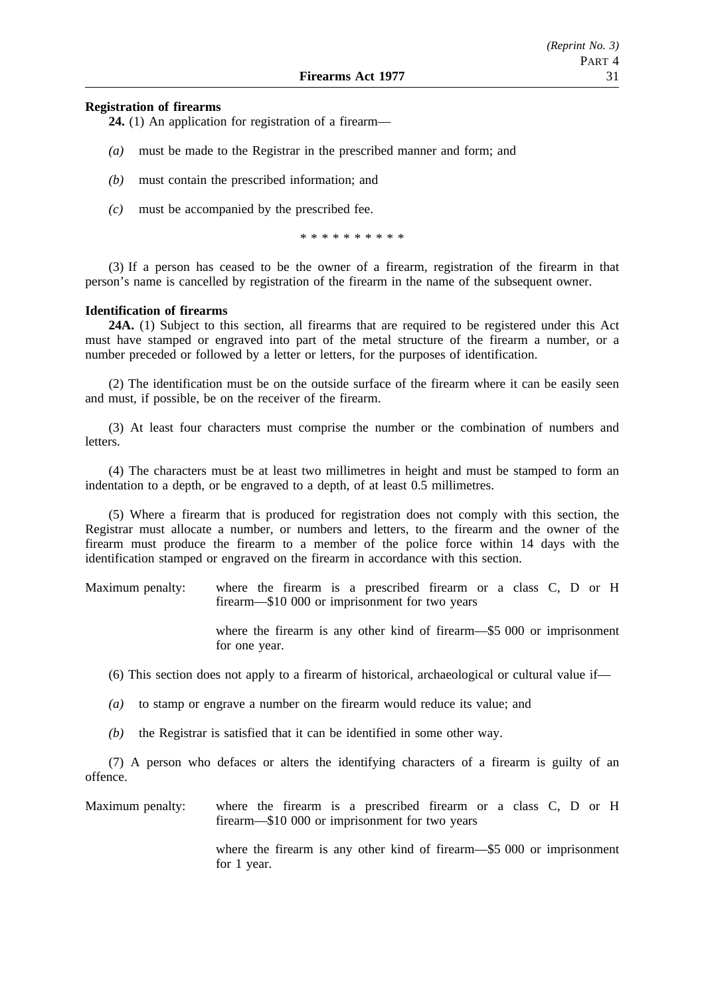# *(Reprint No. 3)* PART 4

# **Registration of firearms**

**24.** (1) An application for registration of a firearm—

- *(a)* must be made to the Registrar in the prescribed manner and form; and
- *(b)* must contain the prescribed information; and
- *(c)* must be accompanied by the prescribed fee.

\*\*\*\*\*\*\*\*\*\*

(3) If a person has ceased to be the owner of a firearm, registration of the firearm in that person's name is cancelled by registration of the firearm in the name of the subsequent owner.

# **Identification of firearms**

**24A.** (1) Subject to this section, all firearms that are required to be registered under this Act must have stamped or engraved into part of the metal structure of the firearm a number, or a number preceded or followed by a letter or letters, for the purposes of identification.

(2) The identification must be on the outside surface of the firearm where it can be easily seen and must, if possible, be on the receiver of the firearm.

(3) At least four characters must comprise the number or the combination of numbers and letters.

(4) The characters must be at least two millimetres in height and must be stamped to form an indentation to a depth, or be engraved to a depth, of at least 0.5 millimetres.

(5) Where a firearm that is produced for registration does not comply with this section, the Registrar must allocate a number, or numbers and letters, to the firearm and the owner of the firearm must produce the firearm to a member of the police force within 14 days with the identification stamped or engraved on the firearm in accordance with this section.

Maximum penalty: where the firearm is a prescribed firearm or a class C, D or H firearm—\$10 000 or imprisonment for two years

> where the firearm is any other kind of firearm—\$5 000 or imprisonment for one year.

(6) This section does not apply to a firearm of historical, archaeological or cultural value if—

*(a)* to stamp or engrave a number on the firearm would reduce its value; and

*(b)* the Registrar is satisfied that it can be identified in some other way.

(7) A person who defaces or alters the identifying characters of a firearm is guilty of an offence.

Maximum penalty: where the firearm is a prescribed firearm or a class C, D or H firearm—\$10 000 or imprisonment for two years

> where the firearm is any other kind of firearm—\$5 000 or imprisonment for 1 year.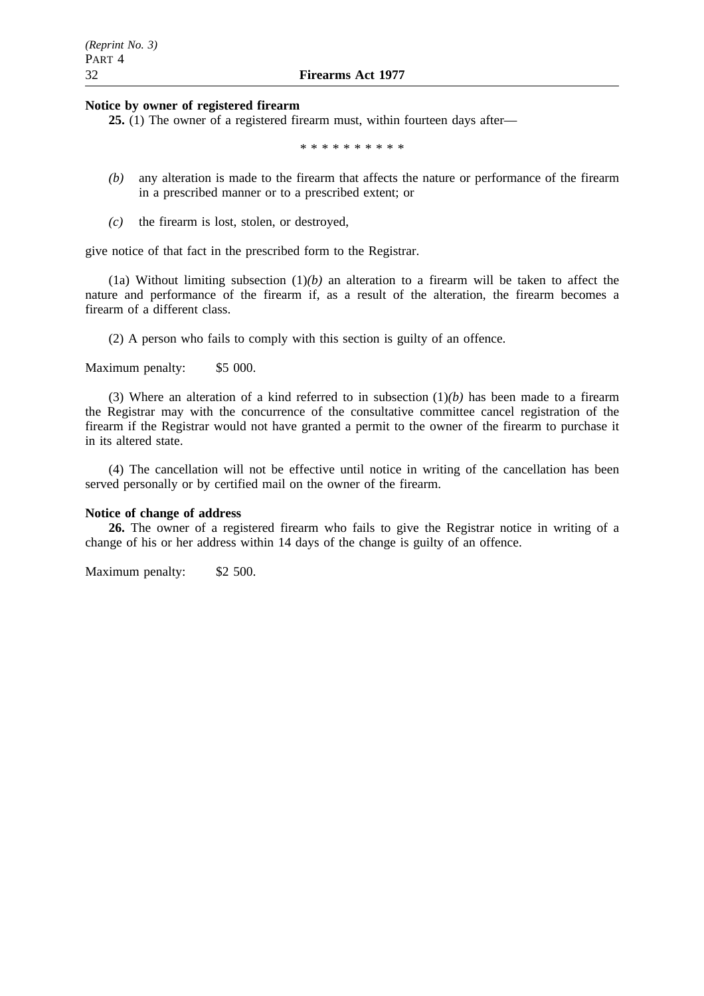#### **Notice by owner of registered firearm**

**25.** (1) The owner of a registered firearm must, within fourteen days after—

\*\*\*\*\*\*\*\*\*\*

- *(b)* any alteration is made to the firearm that affects the nature or performance of the firearm in a prescribed manner or to a prescribed extent; or
- *(c)* the firearm is lost, stolen, or destroyed,

give notice of that fact in the prescribed form to the Registrar.

(1a) Without limiting subsection  $(1)(b)$  an alteration to a firearm will be taken to affect the nature and performance of the firearm if, as a result of the alteration, the firearm becomes a firearm of a different class.

(2) A person who fails to comply with this section is guilty of an offence.

Maximum penalty: \$5 000.

(3) Where an alteration of a kind referred to in subsection (1)*(b)* has been made to a firearm the Registrar may with the concurrence of the consultative committee cancel registration of the firearm if the Registrar would not have granted a permit to the owner of the firearm to purchase it in its altered state.

(4) The cancellation will not be effective until notice in writing of the cancellation has been served personally or by certified mail on the owner of the firearm.

#### **Notice of change of address**

**26.** The owner of a registered firearm who fails to give the Registrar notice in writing of a change of his or her address within 14 days of the change is guilty of an offence.

Maximum penalty: \$2 500.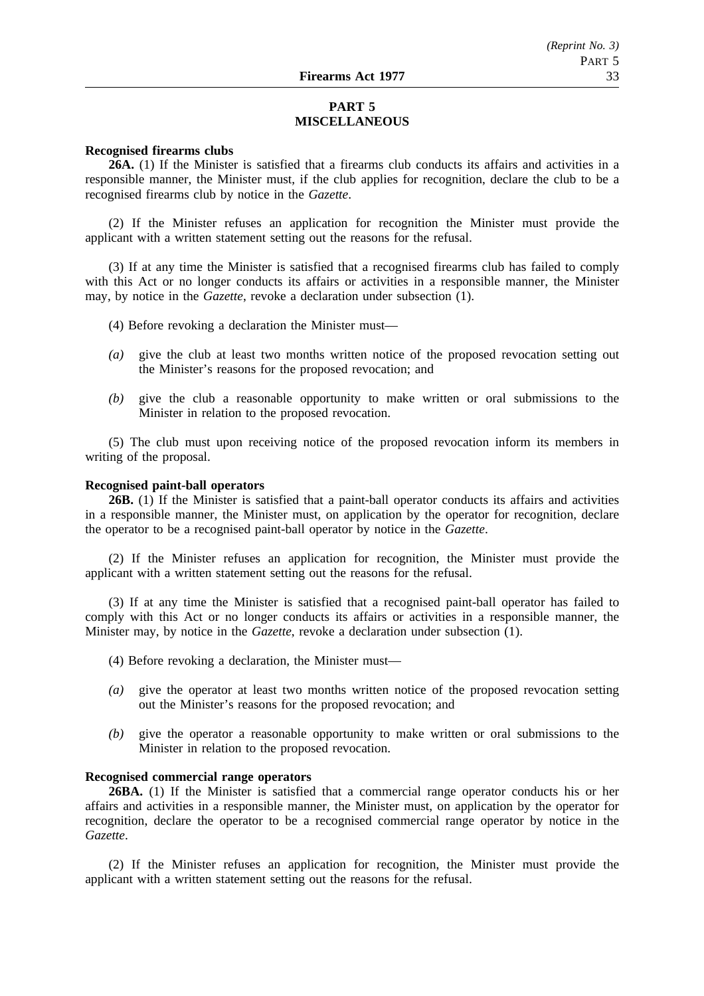# **PART 5 MISCELLANEOUS**

#### **Recognised firearms clubs**

**26A.** (1) If the Minister is satisfied that a firearms club conducts its affairs and activities in a responsible manner, the Minister must, if the club applies for recognition, declare the club to be a recognised firearms club by notice in the *Gazette*.

(2) If the Minister refuses an application for recognition the Minister must provide the applicant with a written statement setting out the reasons for the refusal.

(3) If at any time the Minister is satisfied that a recognised firearms club has failed to comply with this Act or no longer conducts its affairs or activities in a responsible manner, the Minister may, by notice in the *Gazette*, revoke a declaration under subsection (1).

- (4) Before revoking a declaration the Minister must—
- *(a)* give the club at least two months written notice of the proposed revocation setting out the Minister's reasons for the proposed revocation; and
- *(b)* give the club a reasonable opportunity to make written or oral submissions to the Minister in relation to the proposed revocation.

(5) The club must upon receiving notice of the proposed revocation inform its members in writing of the proposal.

## **Recognised paint-ball operators**

**26B.** (1) If the Minister is satisfied that a paint-ball operator conducts its affairs and activities in a responsible manner, the Minister must, on application by the operator for recognition, declare the operator to be a recognised paint-ball operator by notice in the *Gazette*.

(2) If the Minister refuses an application for recognition, the Minister must provide the applicant with a written statement setting out the reasons for the refusal.

(3) If at any time the Minister is satisfied that a recognised paint-ball operator has failed to comply with this Act or no longer conducts its affairs or activities in a responsible manner, the Minister may, by notice in the *Gazette*, revoke a declaration under subsection (1).

- (4) Before revoking a declaration, the Minister must—
- *(a)* give the operator at least two months written notice of the proposed revocation setting out the Minister's reasons for the proposed revocation; and
- *(b)* give the operator a reasonable opportunity to make written or oral submissions to the Minister in relation to the proposed revocation.

### **Recognised commercial range operators**

**26BA.** (1) If the Minister is satisfied that a commercial range operator conducts his or her affairs and activities in a responsible manner, the Minister must, on application by the operator for recognition, declare the operator to be a recognised commercial range operator by notice in the *Gazette*.

(2) If the Minister refuses an application for recognition, the Minister must provide the applicant with a written statement setting out the reasons for the refusal.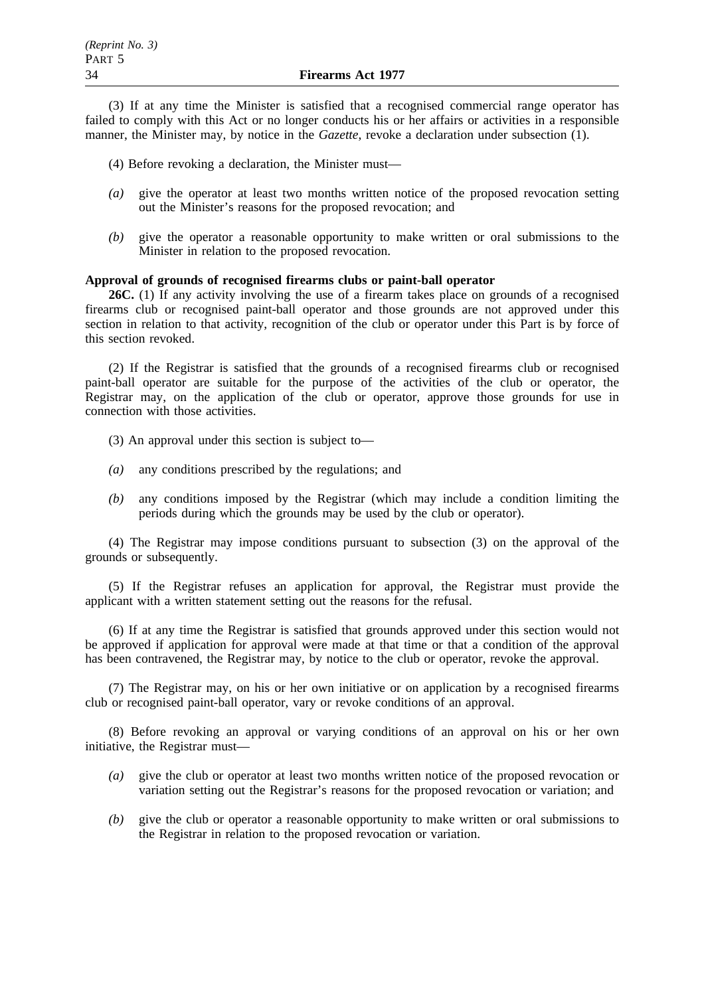(3) If at any time the Minister is satisfied that a recognised commercial range operator has failed to comply with this Act or no longer conducts his or her affairs or activities in a responsible manner, the Minister may, by notice in the *Gazette*, revoke a declaration under subsection (1).

(4) Before revoking a declaration, the Minister must—

- *(a)* give the operator at least two months written notice of the proposed revocation setting out the Minister's reasons for the proposed revocation; and
- *(b)* give the operator a reasonable opportunity to make written or oral submissions to the Minister in relation to the proposed revocation.

# **Approval of grounds of recognised firearms clubs or paint-ball operator**

**26C.** (1) If any activity involving the use of a firearm takes place on grounds of a recognised firearms club or recognised paint-ball operator and those grounds are not approved under this section in relation to that activity, recognition of the club or operator under this Part is by force of this section revoked.

(2) If the Registrar is satisfied that the grounds of a recognised firearms club or recognised paint-ball operator are suitable for the purpose of the activities of the club or operator, the Registrar may, on the application of the club or operator, approve those grounds for use in connection with those activities.

(3) An approval under this section is subject to—

- *(a)* any conditions prescribed by the regulations; and
- *(b)* any conditions imposed by the Registrar (which may include a condition limiting the periods during which the grounds may be used by the club or operator).

(4) The Registrar may impose conditions pursuant to subsection (3) on the approval of the grounds or subsequently.

(5) If the Registrar refuses an application for approval, the Registrar must provide the applicant with a written statement setting out the reasons for the refusal.

(6) If at any time the Registrar is satisfied that grounds approved under this section would not be approved if application for approval were made at that time or that a condition of the approval has been contravened, the Registrar may, by notice to the club or operator, revoke the approval.

(7) The Registrar may, on his or her own initiative or on application by a recognised firearms club or recognised paint-ball operator, vary or revoke conditions of an approval.

(8) Before revoking an approval or varying conditions of an approval on his or her own initiative, the Registrar must—

- *(a)* give the club or operator at least two months written notice of the proposed revocation or variation setting out the Registrar's reasons for the proposed revocation or variation; and
- *(b)* give the club or operator a reasonable opportunity to make written or oral submissions to the Registrar in relation to the proposed revocation or variation.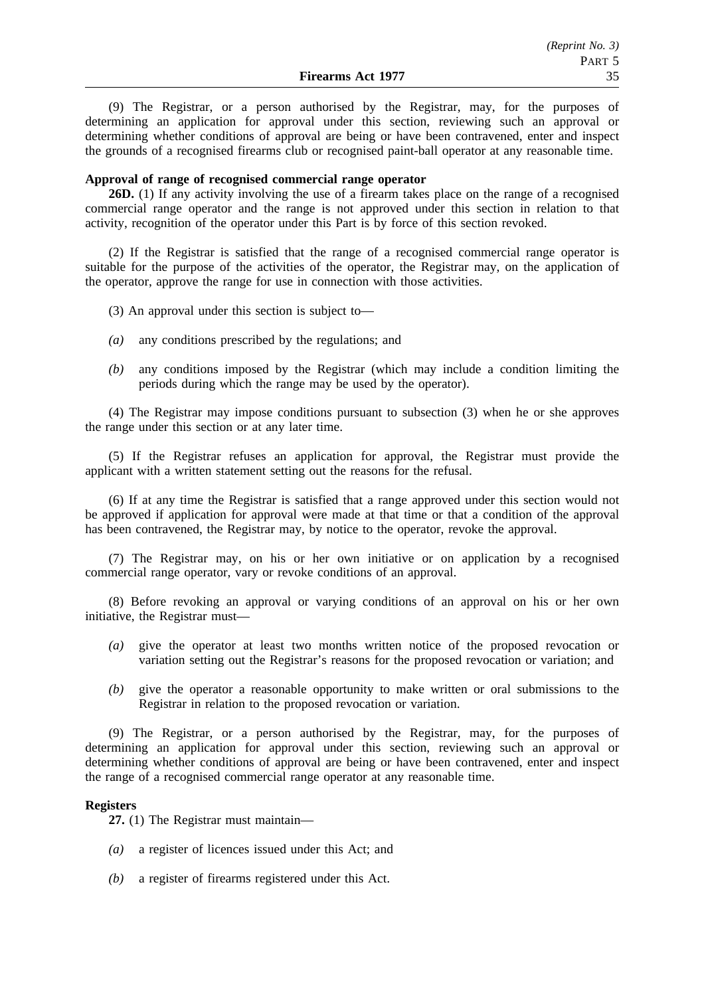(9) The Registrar, or a person authorised by the Registrar, may, for the purposes of determining an application for approval under this section, reviewing such an approval or determining whether conditions of approval are being or have been contravened, enter and inspect the grounds of a recognised firearms club or recognised paint-ball operator at any reasonable time.

#### **Approval of range of recognised commercial range operator**

**26D.** (1) If any activity involving the use of a firearm takes place on the range of a recognised commercial range operator and the range is not approved under this section in relation to that activity, recognition of the operator under this Part is by force of this section revoked.

(2) If the Registrar is satisfied that the range of a recognised commercial range operator is suitable for the purpose of the activities of the operator, the Registrar may, on the application of the operator, approve the range for use in connection with those activities.

(3) An approval under this section is subject to—

- *(a)* any conditions prescribed by the regulations; and
- *(b)* any conditions imposed by the Registrar (which may include a condition limiting the periods during which the range may be used by the operator).

(4) The Registrar may impose conditions pursuant to subsection (3) when he or she approves the range under this section or at any later time.

(5) If the Registrar refuses an application for approval, the Registrar must provide the applicant with a written statement setting out the reasons for the refusal.

(6) If at any time the Registrar is satisfied that a range approved under this section would not be approved if application for approval were made at that time or that a condition of the approval has been contravened, the Registrar may, by notice to the operator, revoke the approval.

(7) The Registrar may, on his or her own initiative or on application by a recognised commercial range operator, vary or revoke conditions of an approval.

(8) Before revoking an approval or varying conditions of an approval on his or her own initiative, the Registrar must—

- *(a)* give the operator at least two months written notice of the proposed revocation or variation setting out the Registrar's reasons for the proposed revocation or variation; and
- *(b)* give the operator a reasonable opportunity to make written or oral submissions to the Registrar in relation to the proposed revocation or variation.

(9) The Registrar, or a person authorised by the Registrar, may, for the purposes of determining an application for approval under this section, reviewing such an approval or determining whether conditions of approval are being or have been contravened, enter and inspect the range of a recognised commercial range operator at any reasonable time.

#### **Registers**

**27.** (1) The Registrar must maintain—

- *(a)* a register of licences issued under this Act; and
- *(b)* a register of firearms registered under this Act.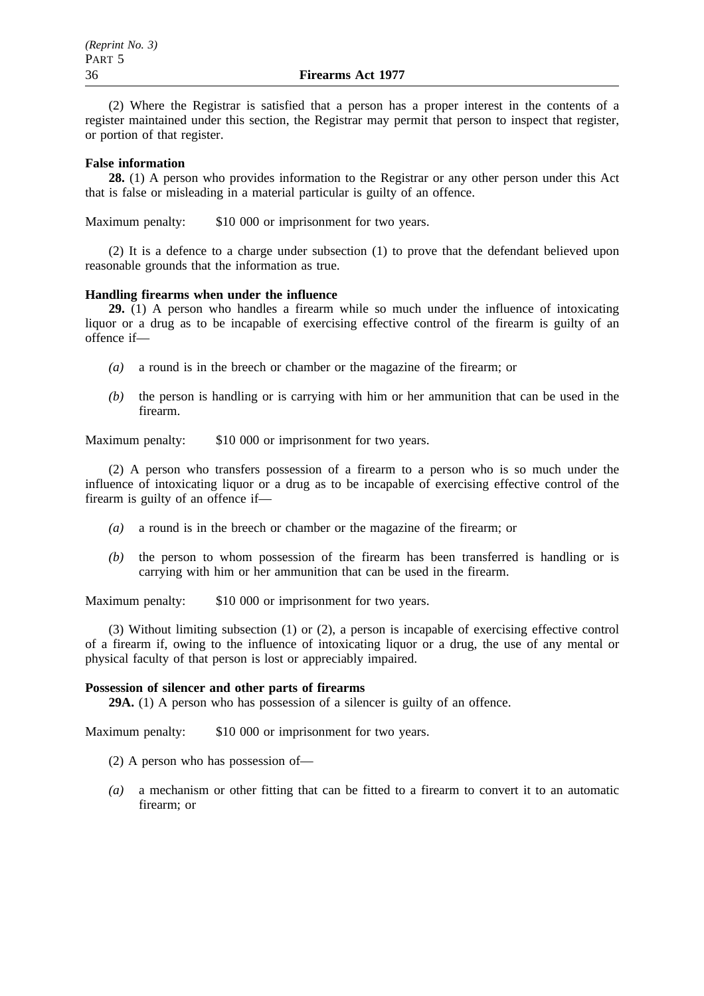(2) Where the Registrar is satisfied that a person has a proper interest in the contents of a register maintained under this section, the Registrar may permit that person to inspect that register, or portion of that register.

## **False information**

**28.** (1) A person who provides information to the Registrar or any other person under this Act that is false or misleading in a material particular is guilty of an offence.

Maximum penalty: \$10 000 or imprisonment for two years.

(2) It is a defence to a charge under subsection (1) to prove that the defendant believed upon reasonable grounds that the information as true.

#### **Handling firearms when under the influence**

**29.** (1) A person who handles a firearm while so much under the influence of intoxicating liquor or a drug as to be incapable of exercising effective control of the firearm is guilty of an offence if—

- *(a)* a round is in the breech or chamber or the magazine of the firearm; or
- *(b)* the person is handling or is carrying with him or her ammunition that can be used in the firearm.

Maximum penalty: \$10 000 or imprisonment for two years.

(2) A person who transfers possession of a firearm to a person who is so much under the influence of intoxicating liquor or a drug as to be incapable of exercising effective control of the firearm is guilty of an offence if—

- *(a)* a round is in the breech or chamber or the magazine of the firearm; or
- *(b)* the person to whom possession of the firearm has been transferred is handling or is carrying with him or her ammunition that can be used in the firearm.

Maximum penalty: \$10 000 or imprisonment for two years.

(3) Without limiting subsection (1) or (2), a person is incapable of exercising effective control of a firearm if, owing to the influence of intoxicating liquor or a drug, the use of any mental or physical faculty of that person is lost or appreciably impaired.

#### **Possession of silencer and other parts of firearms**

**29A.** (1) A person who has possession of a silencer is guilty of an offence.

Maximum penalty: \$10 000 or imprisonment for two years.

- (2) A person who has possession of—
- *(a)* a mechanism or other fitting that can be fitted to a firearm to convert it to an automatic firearm; or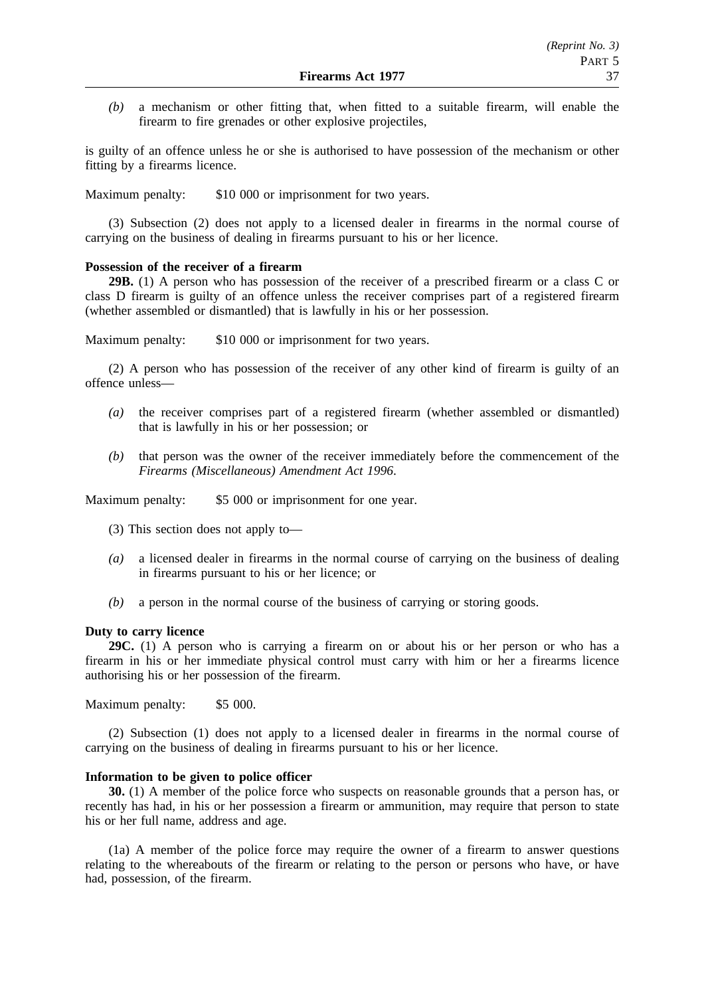*(b)* a mechanism or other fitting that, when fitted to a suitable firearm, will enable the firearm to fire grenades or other explosive projectiles,

is guilty of an offence unless he or she is authorised to have possession of the mechanism or other fitting by a firearms licence.

Maximum penalty: \$10 000 or imprisonment for two years.

(3) Subsection (2) does not apply to a licensed dealer in firearms in the normal course of carrying on the business of dealing in firearms pursuant to his or her licence.

#### **Possession of the receiver of a firearm**

**29B.** (1) A person who has possession of the receiver of a prescribed firearm or a class C or class D firearm is guilty of an offence unless the receiver comprises part of a registered firearm (whether assembled or dismantled) that is lawfully in his or her possession.

Maximum penalty: \$10 000 or imprisonment for two years.

(2) A person who has possession of the receiver of any other kind of firearm is guilty of an offence unless—

- *(a)* the receiver comprises part of a registered firearm (whether assembled or dismantled) that is lawfully in his or her possession; or
- *(b)* that person was the owner of the receiver immediately before the commencement of the *Firearms (Miscellaneous) Amendment Act 1996*.

Maximum penalty: \$5 000 or imprisonment for one year.

- (3) This section does not apply to—
- *(a)* a licensed dealer in firearms in the normal course of carrying on the business of dealing in firearms pursuant to his or her licence; or
- *(b)* a person in the normal course of the business of carrying or storing goods.

#### **Duty to carry licence**

**29C.** (1) A person who is carrying a firearm on or about his or her person or who has a firearm in his or her immediate physical control must carry with him or her a firearms licence authorising his or her possession of the firearm.

Maximum penalty: \$5 000.

(2) Subsection (1) does not apply to a licensed dealer in firearms in the normal course of carrying on the business of dealing in firearms pursuant to his or her licence.

#### **Information to be given to police officer**

**30.** (1) A member of the police force who suspects on reasonable grounds that a person has, or recently has had, in his or her possession a firearm or ammunition, may require that person to state his or her full name, address and age.

(1a) A member of the police force may require the owner of a firearm to answer questions relating to the whereabouts of the firearm or relating to the person or persons who have, or have had, possession, of the firearm.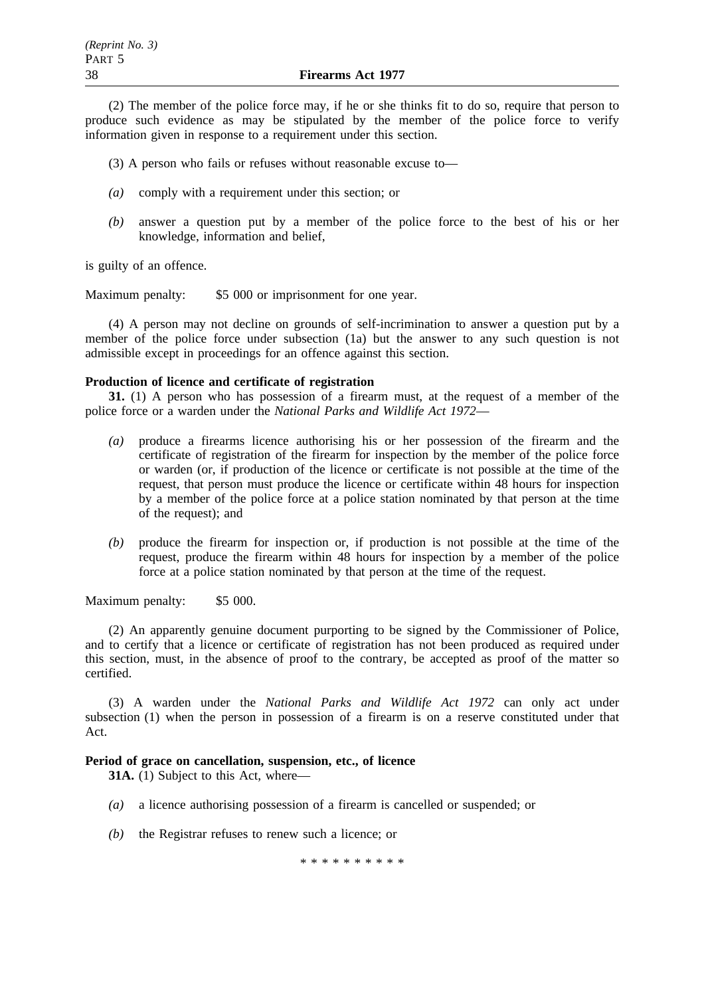(2) The member of the police force may, if he or she thinks fit to do so, require that person to produce such evidence as may be stipulated by the member of the police force to verify information given in response to a requirement under this section.

- (3) A person who fails or refuses without reasonable excuse to—
- *(a)* comply with a requirement under this section; or
- *(b)* answer a question put by a member of the police force to the best of his or her knowledge, information and belief,

is guilty of an offence.

Maximum penalty: \$5 000 or imprisonment for one year.

(4) A person may not decline on grounds of self-incrimination to answer a question put by a member of the police force under subsection (1a) but the answer to any such question is not admissible except in proceedings for an offence against this section.

### **Production of licence and certificate of registration**

**31.** (1) A person who has possession of a firearm must, at the request of a member of the police force or a warden under the *National Parks and Wildlife Act 1972*—

- *(a)* produce a firearms licence authorising his or her possession of the firearm and the certificate of registration of the firearm for inspection by the member of the police force or warden (or, if production of the licence or certificate is not possible at the time of the request, that person must produce the licence or certificate within 48 hours for inspection by a member of the police force at a police station nominated by that person at the time of the request); and
- *(b)* produce the firearm for inspection or, if production is not possible at the time of the request, produce the firearm within 48 hours for inspection by a member of the police force at a police station nominated by that person at the time of the request.

Maximum penalty: \$5 000.

(2) An apparently genuine document purporting to be signed by the Commissioner of Police, and to certify that a licence or certificate of registration has not been produced as required under this section, must, in the absence of proof to the contrary, be accepted as proof of the matter so certified.

(3) A warden under the *National Parks and Wildlife Act 1972* can only act under subsection (1) when the person in possession of a firearm is on a reserve constituted under that Act.

#### **Period of grace on cancellation, suspension, etc., of licence**

**31A.** (1) Subject to this Act, where—

- *(a)* a licence authorising possession of a firearm is cancelled or suspended; or
- *(b)* the Registrar refuses to renew such a licence; or

\*\*\*\*\*\*\*\*\*\*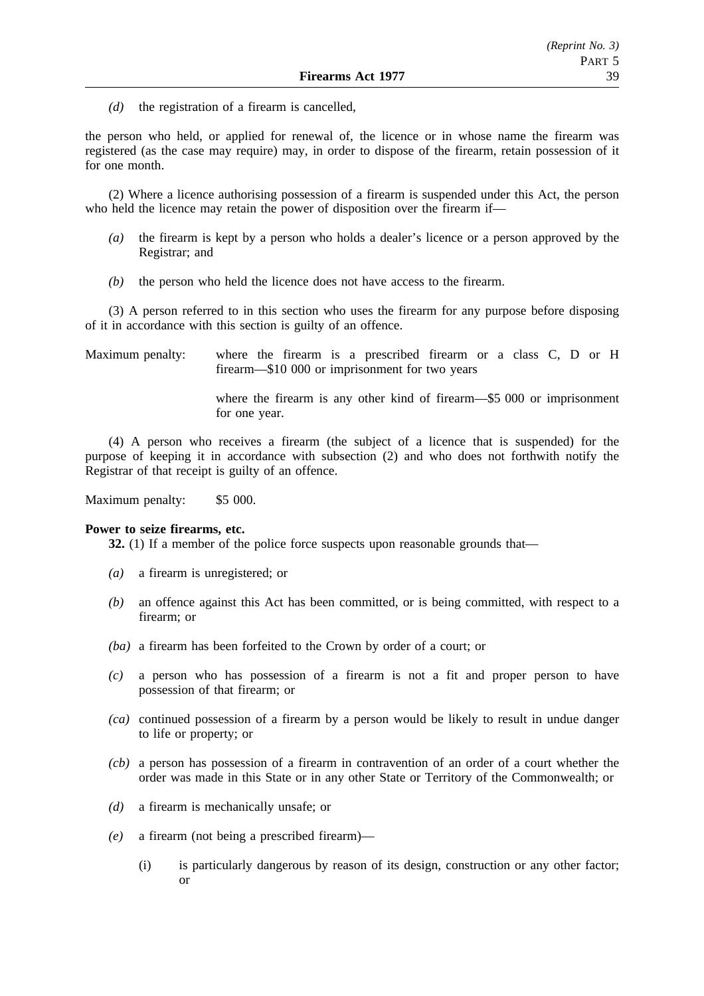*(d)* the registration of a firearm is cancelled,

the person who held, or applied for renewal of, the licence or in whose name the firearm was registered (as the case may require) may, in order to dispose of the firearm, retain possession of it for one month.

(2) Where a licence authorising possession of a firearm is suspended under this Act, the person who held the licence may retain the power of disposition over the firearm if—

- *(a)* the firearm is kept by a person who holds a dealer's licence or a person approved by the Registrar; and
- *(b)* the person who held the licence does not have access to the firearm.

(3) A person referred to in this section who uses the firearm for any purpose before disposing of it in accordance with this section is guilty of an offence.

Maximum penalty: where the firearm is a prescribed firearm or a class C, D or H firearm—\$10 000 or imprisonment for two years

> where the firearm is any other kind of firearm—\$5 000 or imprisonment for one year.

(4) A person who receives a firearm (the subject of a licence that is suspended) for the purpose of keeping it in accordance with subsection (2) and who does not forthwith notify the Registrar of that receipt is guilty of an offence.

Maximum penalty: \$5 000.

#### **Power to seize firearms, etc.**

**32.** (1) If a member of the police force suspects upon reasonable grounds that—

- *(a)* a firearm is unregistered; or
- *(b)* an offence against this Act has been committed, or is being committed, with respect to a firearm; or
- *(ba)* a firearm has been forfeited to the Crown by order of a court; or
- *(c)* a person who has possession of a firearm is not a fit and proper person to have possession of that firearm; or
- *(ca)* continued possession of a firearm by a person would be likely to result in undue danger to life or property; or
- *(cb)* a person has possession of a firearm in contravention of an order of a court whether the order was made in this State or in any other State or Territory of the Commonwealth; or
- *(d)* a firearm is mechanically unsafe; or
- *(e)* a firearm (not being a prescribed firearm)—
	- (i) is particularly dangerous by reason of its design, construction or any other factor; or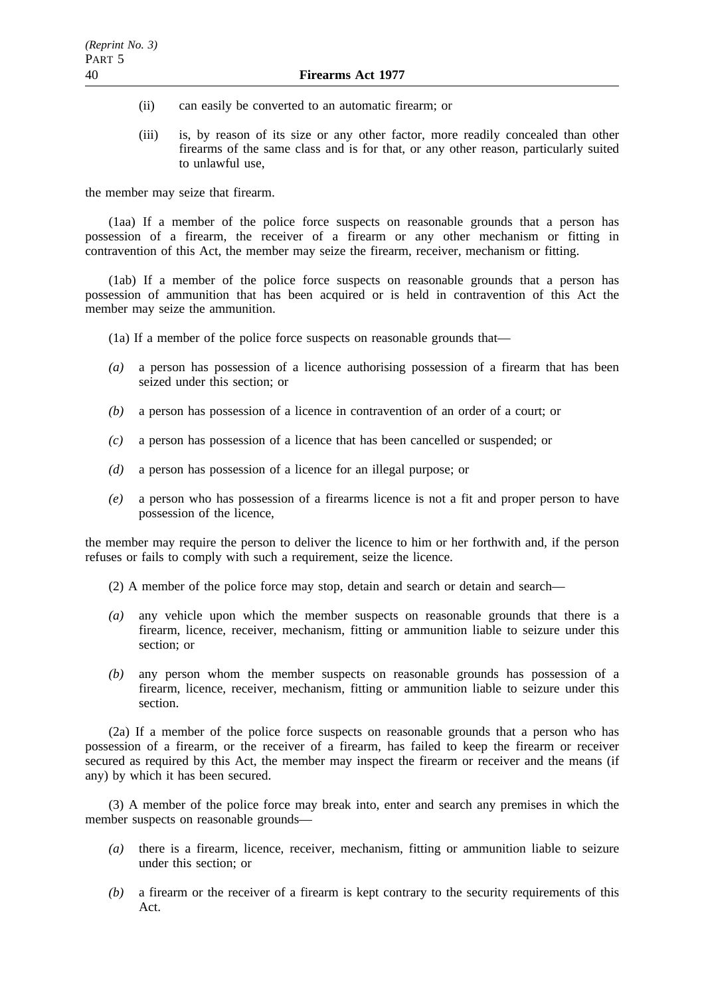- (ii) can easily be converted to an automatic firearm; or
- (iii) is, by reason of its size or any other factor, more readily concealed than other firearms of the same class and is for that, or any other reason, particularly suited to unlawful use,

the member may seize that firearm.

(1aa) If a member of the police force suspects on reasonable grounds that a person has possession of a firearm, the receiver of a firearm or any other mechanism or fitting in contravention of this Act, the member may seize the firearm, receiver, mechanism or fitting.

(1ab) If a member of the police force suspects on reasonable grounds that a person has possession of ammunition that has been acquired or is held in contravention of this Act the member may seize the ammunition.

- (1a) If a member of the police force suspects on reasonable grounds that—
- *(a)* a person has possession of a licence authorising possession of a firearm that has been seized under this section; or
- *(b)* a person has possession of a licence in contravention of an order of a court; or
- *(c)* a person has possession of a licence that has been cancelled or suspended; or
- *(d)* a person has possession of a licence for an illegal purpose; or
- *(e)* a person who has possession of a firearms licence is not a fit and proper person to have possession of the licence,

the member may require the person to deliver the licence to him or her forthwith and, if the person refuses or fails to comply with such a requirement, seize the licence.

- (2) A member of the police force may stop, detain and search or detain and search—
- *(a)* any vehicle upon which the member suspects on reasonable grounds that there is a firearm, licence, receiver, mechanism, fitting or ammunition liable to seizure under this section; or
- *(b)* any person whom the member suspects on reasonable grounds has possession of a firearm, licence, receiver, mechanism, fitting or ammunition liable to seizure under this section.

(2a) If a member of the police force suspects on reasonable grounds that a person who has possession of a firearm, or the receiver of a firearm, has failed to keep the firearm or receiver secured as required by this Act, the member may inspect the firearm or receiver and the means (if any) by which it has been secured.

(3) A member of the police force may break into, enter and search any premises in which the member suspects on reasonable grounds—

- *(a)* there is a firearm, licence, receiver, mechanism, fitting or ammunition liable to seizure under this section; or
- *(b)* a firearm or the receiver of a firearm is kept contrary to the security requirements of this Act.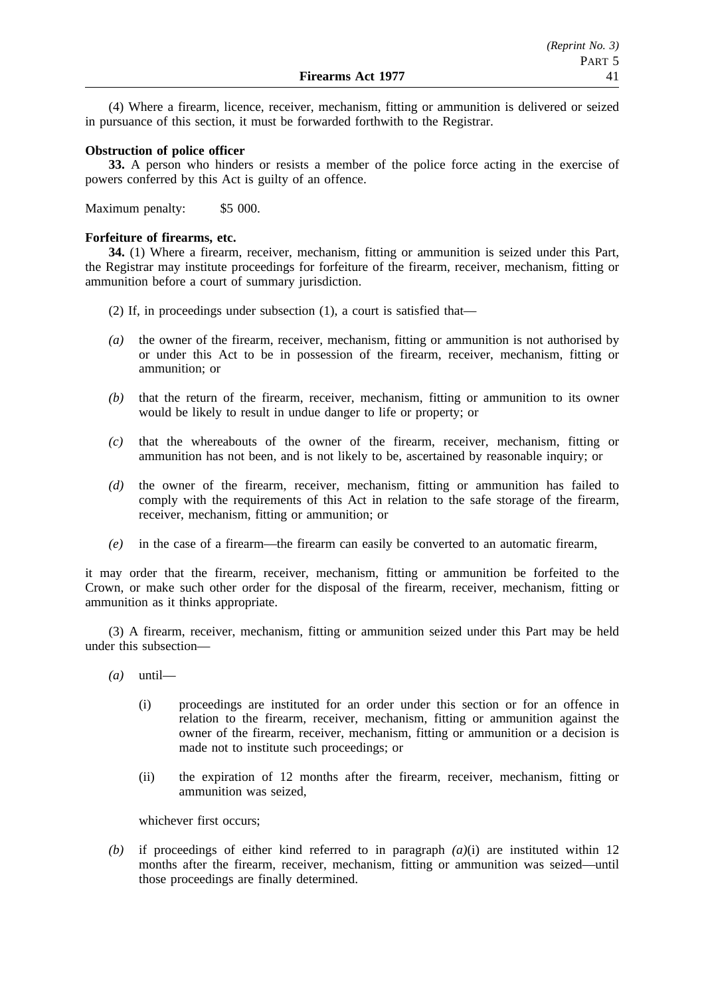(4) Where a firearm, licence, receiver, mechanism, fitting or ammunition is delivered or seized in pursuance of this section, it must be forwarded forthwith to the Registrar.

## **Obstruction of police officer**

**33.** A person who hinders or resists a member of the police force acting in the exercise of powers conferred by this Act is guilty of an offence.

Maximum penalty: \$5 000.

# **Forfeiture of firearms, etc.**

**34.** (1) Where a firearm, receiver, mechanism, fitting or ammunition is seized under this Part, the Registrar may institute proceedings for forfeiture of the firearm, receiver, mechanism, fitting or ammunition before a court of summary jurisdiction.

- (2) If, in proceedings under subsection (1), a court is satisfied that—
- *(a)* the owner of the firearm, receiver, mechanism, fitting or ammunition is not authorised by or under this Act to be in possession of the firearm, receiver, mechanism, fitting or ammunition; or
- *(b)* that the return of the firearm, receiver, mechanism, fitting or ammunition to its owner would be likely to result in undue danger to life or property; or
- *(c)* that the whereabouts of the owner of the firearm, receiver, mechanism, fitting or ammunition has not been, and is not likely to be, ascertained by reasonable inquiry; or
- *(d)* the owner of the firearm, receiver, mechanism, fitting or ammunition has failed to comply with the requirements of this Act in relation to the safe storage of the firearm, receiver, mechanism, fitting or ammunition; or
- *(e)* in the case of a firearm—the firearm can easily be converted to an automatic firearm,

it may order that the firearm, receiver, mechanism, fitting or ammunition be forfeited to the Crown, or make such other order for the disposal of the firearm, receiver, mechanism, fitting or ammunition as it thinks appropriate.

(3) A firearm, receiver, mechanism, fitting or ammunition seized under this Part may be held under this subsection—

- *(a)* until—
	- (i) proceedings are instituted for an order under this section or for an offence in relation to the firearm, receiver, mechanism, fitting or ammunition against the owner of the firearm, receiver, mechanism, fitting or ammunition or a decision is made not to institute such proceedings; or
	- (ii) the expiration of 12 months after the firearm, receiver, mechanism, fitting or ammunition was seized,

whichever first occurs;

*(b)* if proceedings of either kind referred to in paragraph *(a)*(i) are instituted within 12 months after the firearm, receiver, mechanism, fitting or ammunition was seized—until those proceedings are finally determined.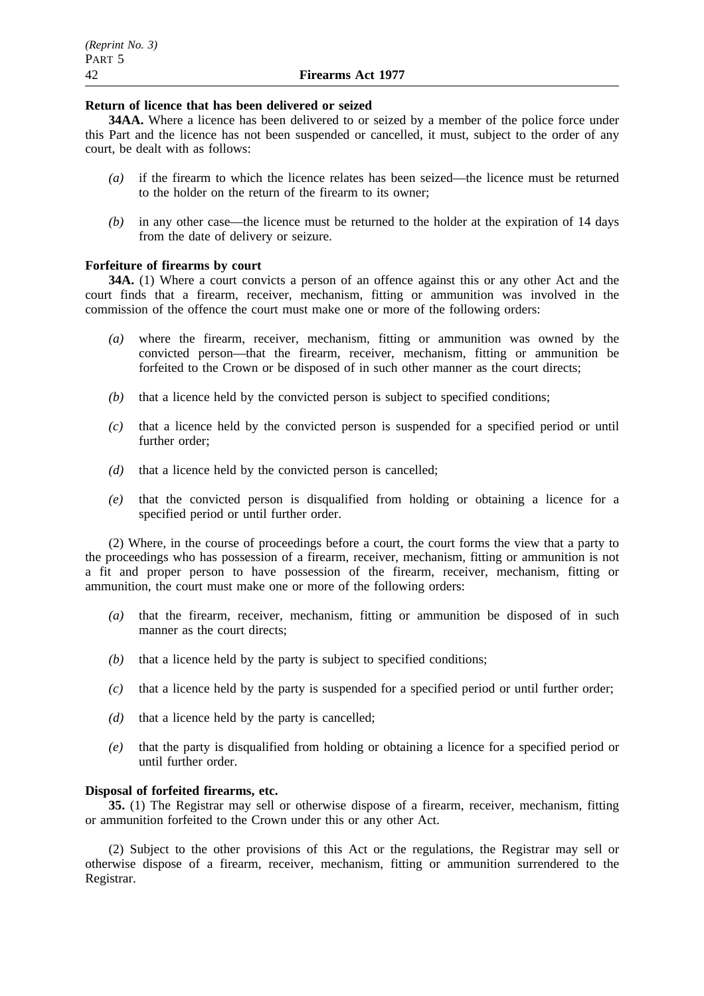## **Return of licence that has been delivered or seized**

**34AA.** Where a licence has been delivered to or seized by a member of the police force under this Part and the licence has not been suspended or cancelled, it must, subject to the order of any court, be dealt with as follows:

- *(a)* if the firearm to which the licence relates has been seized—the licence must be returned to the holder on the return of the firearm to its owner;
- *(b)* in any other case—the licence must be returned to the holder at the expiration of 14 days from the date of delivery or seizure.

# **Forfeiture of firearms by court**

**34A.** (1) Where a court convicts a person of an offence against this or any other Act and the court finds that a firearm, receiver, mechanism, fitting or ammunition was involved in the commission of the offence the court must make one or more of the following orders:

- *(a)* where the firearm, receiver, mechanism, fitting or ammunition was owned by the convicted person—that the firearm, receiver, mechanism, fitting or ammunition be forfeited to the Crown or be disposed of in such other manner as the court directs;
- *(b)* that a licence held by the convicted person is subject to specified conditions;
- *(c)* that a licence held by the convicted person is suspended for a specified period or until further order;
- *(d)* that a licence held by the convicted person is cancelled;
- *(e)* that the convicted person is disqualified from holding or obtaining a licence for a specified period or until further order.

(2) Where, in the course of proceedings before a court, the court forms the view that a party to the proceedings who has possession of a firearm, receiver, mechanism, fitting or ammunition is not a fit and proper person to have possession of the firearm, receiver, mechanism, fitting or ammunition, the court must make one or more of the following orders:

- *(a)* that the firearm, receiver, mechanism, fitting or ammunition be disposed of in such manner as the court directs;
- *(b)* that a licence held by the party is subject to specified conditions;
- *(c)* that a licence held by the party is suspended for a specified period or until further order;
- *(d)* that a licence held by the party is cancelled;
- *(e)* that the party is disqualified from holding or obtaining a licence for a specified period or until further order.

### **Disposal of forfeited firearms, etc.**

**35.** (1) The Registrar may sell or otherwise dispose of a firearm, receiver, mechanism, fitting or ammunition forfeited to the Crown under this or any other Act.

(2) Subject to the other provisions of this Act or the regulations, the Registrar may sell or otherwise dispose of a firearm, receiver, mechanism, fitting or ammunition surrendered to the Registrar.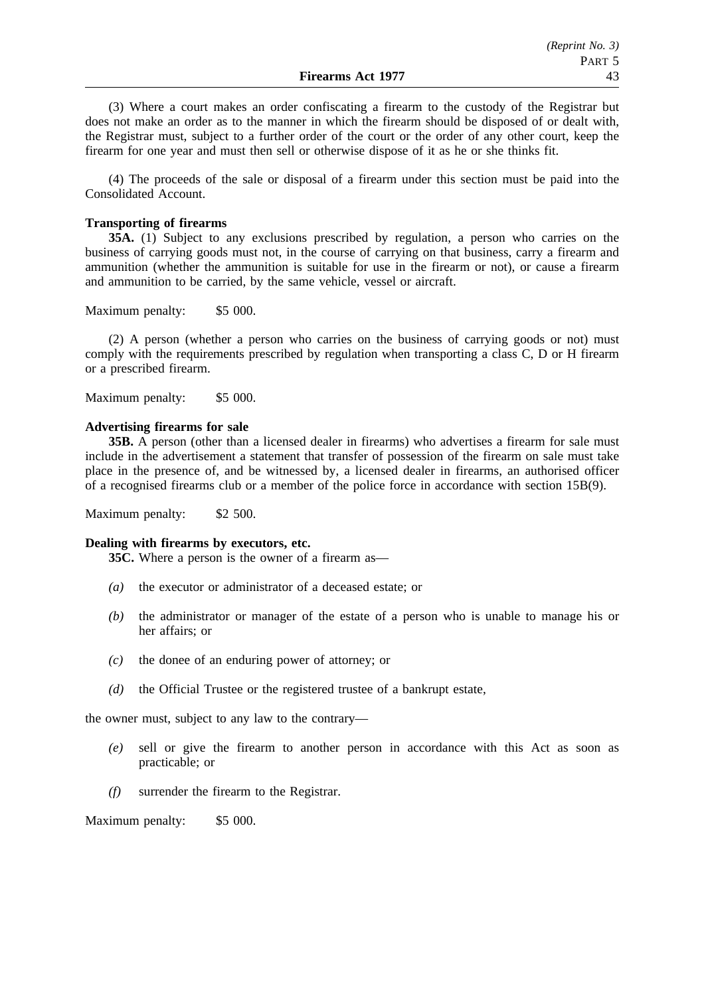(3) Where a court makes an order confiscating a firearm to the custody of the Registrar but does not make an order as to the manner in which the firearm should be disposed of or dealt with, the Registrar must, subject to a further order of the court or the order of any other court, keep the firearm for one year and must then sell or otherwise dispose of it as he or she thinks fit.

(4) The proceeds of the sale or disposal of a firearm under this section must be paid into the Consolidated Account.

# **Transporting of firearms**

**35A.** (1) Subject to any exclusions prescribed by regulation, a person who carries on the business of carrying goods must not, in the course of carrying on that business, carry a firearm and ammunition (whether the ammunition is suitable for use in the firearm or not), or cause a firearm and ammunition to be carried, by the same vehicle, vessel or aircraft.

Maximum penalty: \$5 000.

(2) A person (whether a person who carries on the business of carrying goods or not) must comply with the requirements prescribed by regulation when transporting a class C, D or H firearm or a prescribed firearm.

Maximum penalty: \$5 000.

### **Advertising firearms for sale**

**35B.** A person (other than a licensed dealer in firearms) who advertises a firearm for sale must include in the advertisement a statement that transfer of possession of the firearm on sale must take place in the presence of, and be witnessed by, a licensed dealer in firearms, an authorised officer of a recognised firearms club or a member of the police force in accordance with section 15B(9).

Maximum penalty: \$2 500.

### **Dealing with firearms by executors, etc.**

**35C.** Where a person is the owner of a firearm as—

- *(a)* the executor or administrator of a deceased estate; or
- *(b)* the administrator or manager of the estate of a person who is unable to manage his or her affairs; or
- *(c)* the donee of an enduring power of attorney; or
- *(d)* the Official Trustee or the registered trustee of a bankrupt estate,

the owner must, subject to any law to the contrary—

- *(e)* sell or give the firearm to another person in accordance with this Act as soon as practicable; or
- *(f)* surrender the firearm to the Registrar.

Maximum penalty: \$5 000.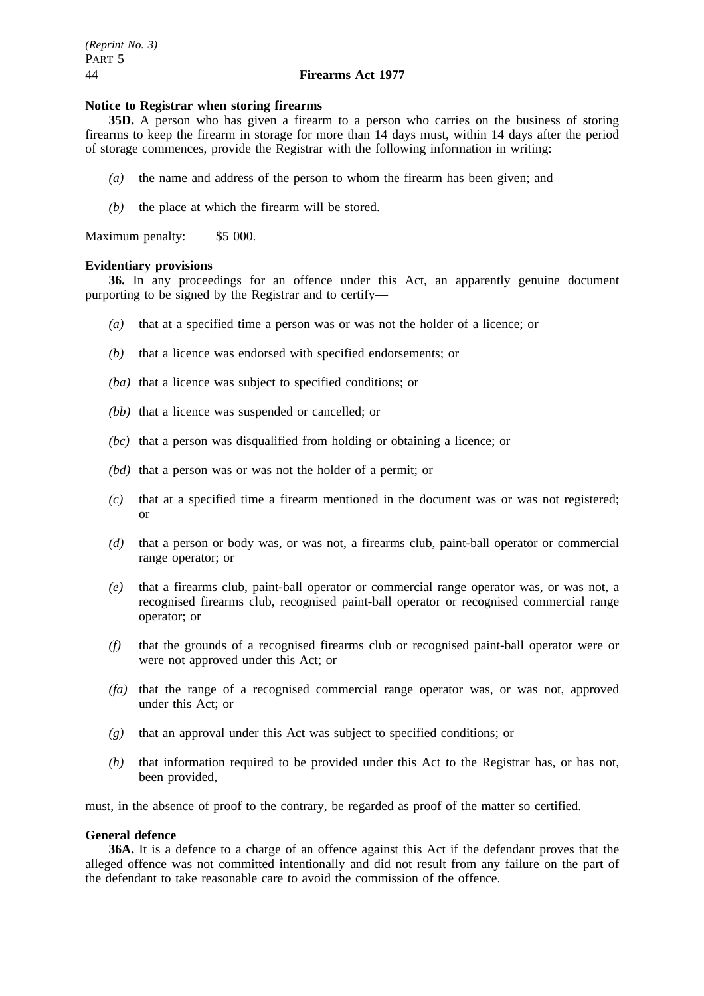#### **Notice to Registrar when storing firearms**

**35D.** A person who has given a firearm to a person who carries on the business of storing firearms to keep the firearm in storage for more than 14 days must, within 14 days after the period of storage commences, provide the Registrar with the following information in writing:

- *(a)* the name and address of the person to whom the firearm has been given; and
- *(b)* the place at which the firearm will be stored.

Maximum penalty: \$5 000.

#### **Evidentiary provisions**

**36.** In any proceedings for an offence under this Act, an apparently genuine document purporting to be signed by the Registrar and to certify—

- *(a)* that at a specified time a person was or was not the holder of a licence; or
- *(b)* that a licence was endorsed with specified endorsements; or
- *(ba)* that a licence was subject to specified conditions; or
- *(bb)* that a licence was suspended or cancelled; or
- *(bc)* that a person was disqualified from holding or obtaining a licence; or
- *(bd)* that a person was or was not the holder of a permit; or
- *(c)* that at a specified time a firearm mentioned in the document was or was not registered; or
- *(d)* that a person or body was, or was not, a firearms club, paint-ball operator or commercial range operator; or
- *(e)* that a firearms club, paint-ball operator or commercial range operator was, or was not, a recognised firearms club, recognised paint-ball operator or recognised commercial range operator; or
- *(f)* that the grounds of a recognised firearms club or recognised paint-ball operator were or were not approved under this Act; or
- *(fa)* that the range of a recognised commercial range operator was, or was not, approved under this Act; or
- *(g)* that an approval under this Act was subject to specified conditions; or
- *(h)* that information required to be provided under this Act to the Registrar has, or has not, been provided,

must, in the absence of proof to the contrary, be regarded as proof of the matter so certified.

## **General defence**

**36A.** It is a defence to a charge of an offence against this Act if the defendant proves that the alleged offence was not committed intentionally and did not result from any failure on the part of the defendant to take reasonable care to avoid the commission of the offence.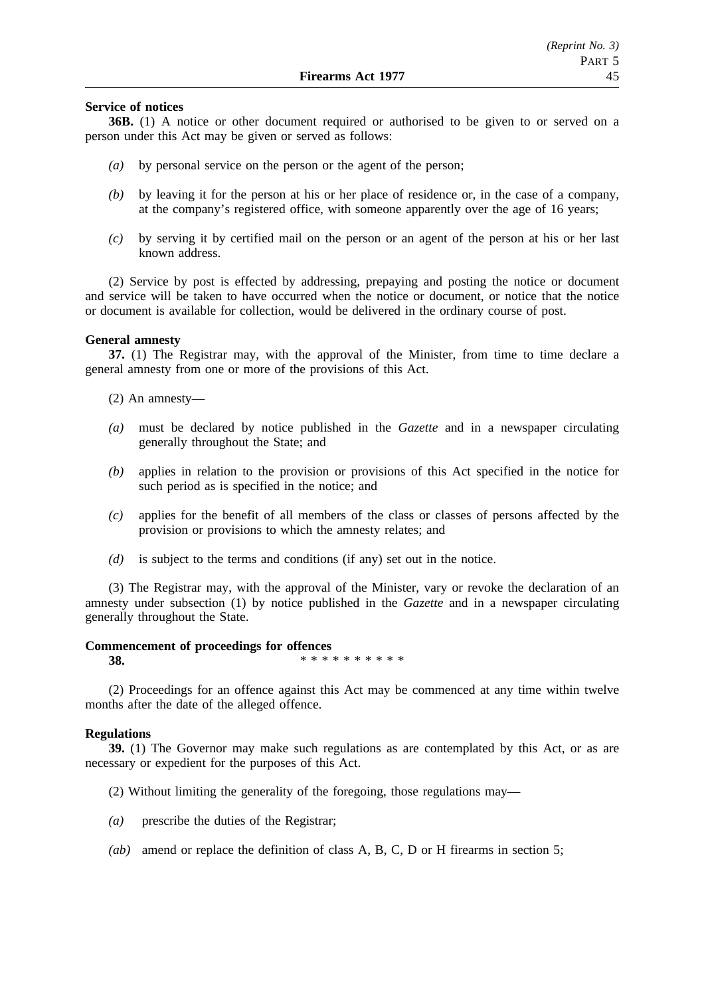### **Service of notices**

**36B.** (1) A notice or other document required or authorised to be given to or served on a person under this Act may be given or served as follows:

- *(a)* by personal service on the person or the agent of the person;
- *(b)* by leaving it for the person at his or her place of residence or, in the case of a company, at the company's registered office, with someone apparently over the age of 16 years;
- *(c)* by serving it by certified mail on the person or an agent of the person at his or her last known address.

(2) Service by post is effected by addressing, prepaying and posting the notice or document and service will be taken to have occurred when the notice or document, or notice that the notice or document is available for collection, would be delivered in the ordinary course of post.

### **General amnesty**

**37.** (1) The Registrar may, with the approval of the Minister, from time to time declare a general amnesty from one or more of the provisions of this Act.

(2) An amnesty—

- *(a)* must be declared by notice published in the *Gazette* and in a newspaper circulating generally throughout the State; and
- *(b)* applies in relation to the provision or provisions of this Act specified in the notice for such period as is specified in the notice; and
- *(c)* applies for the benefit of all members of the class or classes of persons affected by the provision or provisions to which the amnesty relates; and
- *(d)* is subject to the terms and conditions (if any) set out in the notice.

(3) The Registrar may, with the approval of the Minister, vary or revoke the declaration of an amnesty under subsection (1) by notice published in the *Gazette* and in a newspaper circulating generally throughout the State.

#### **Commencement of proceedings for offences**

**38.** \*\*\*\*\*\*\*\*\*\*

(2) Proceedings for an offence against this Act may be commenced at any time within twelve months after the date of the alleged offence.

### **Regulations**

**39.** (1) The Governor may make such regulations as are contemplated by this Act, or as are necessary or expedient for the purposes of this Act.

(2) Without limiting the generality of the foregoing, those regulations may—

- *(a)* prescribe the duties of the Registrar;
- *(ab)* amend or replace the definition of class A, B, C, D or H firearms in section 5;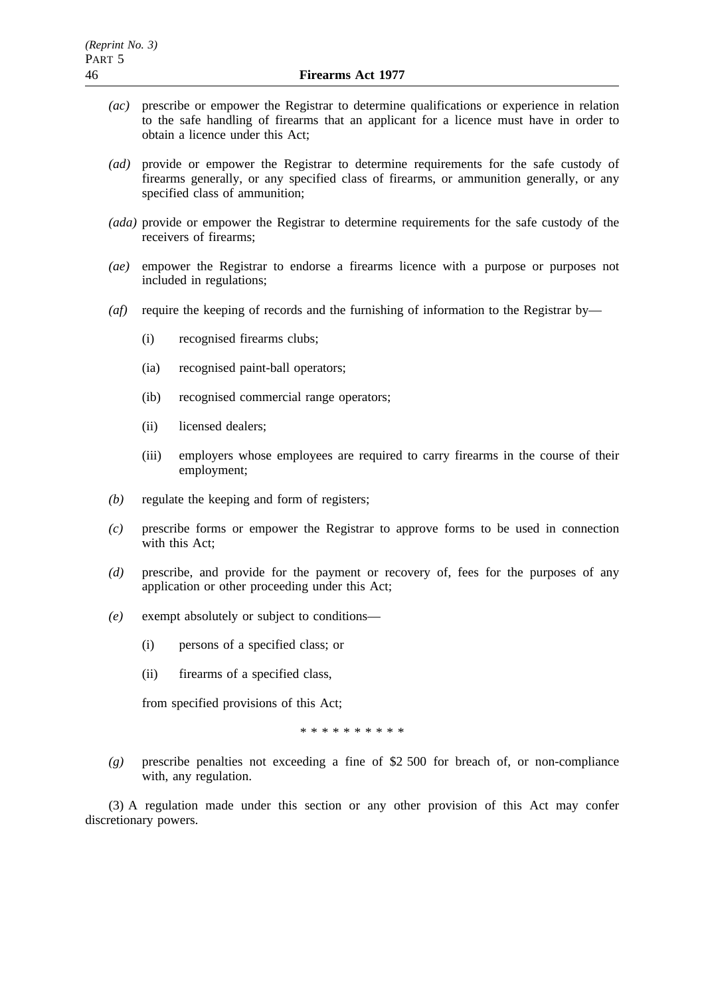- *(ac)* prescribe or empower the Registrar to determine qualifications or experience in relation to the safe handling of firearms that an applicant for a licence must have in order to obtain a licence under this Act;
- *(ad)* provide or empower the Registrar to determine requirements for the safe custody of firearms generally, or any specified class of firearms, or ammunition generally, or any specified class of ammunition;
- *(ada)* provide or empower the Registrar to determine requirements for the safe custody of the receivers of firearms;
- *(ae)* empower the Registrar to endorse a firearms licence with a purpose or purposes not included in regulations;
- *(af)* require the keeping of records and the furnishing of information to the Registrar by—
	- (i) recognised firearms clubs;
	- (ia) recognised paint-ball operators;
	- (ib) recognised commercial range operators;
	- (ii) licensed dealers;
	- (iii) employers whose employees are required to carry firearms in the course of their employment;
- *(b)* regulate the keeping and form of registers;
- *(c)* prescribe forms or empower the Registrar to approve forms to be used in connection with this Act;
- *(d)* prescribe, and provide for the payment or recovery of, fees for the purposes of any application or other proceeding under this Act;
- *(e)* exempt absolutely or subject to conditions—
	- (i) persons of a specified class; or
	- (ii) firearms of a specified class,

from specified provisions of this Act;

\*\*\*\*\*\*\*\*\*\*

*(g)* prescribe penalties not exceeding a fine of \$2 500 for breach of, or non-compliance with, any regulation.

(3) A regulation made under this section or any other provision of this Act may confer discretionary powers.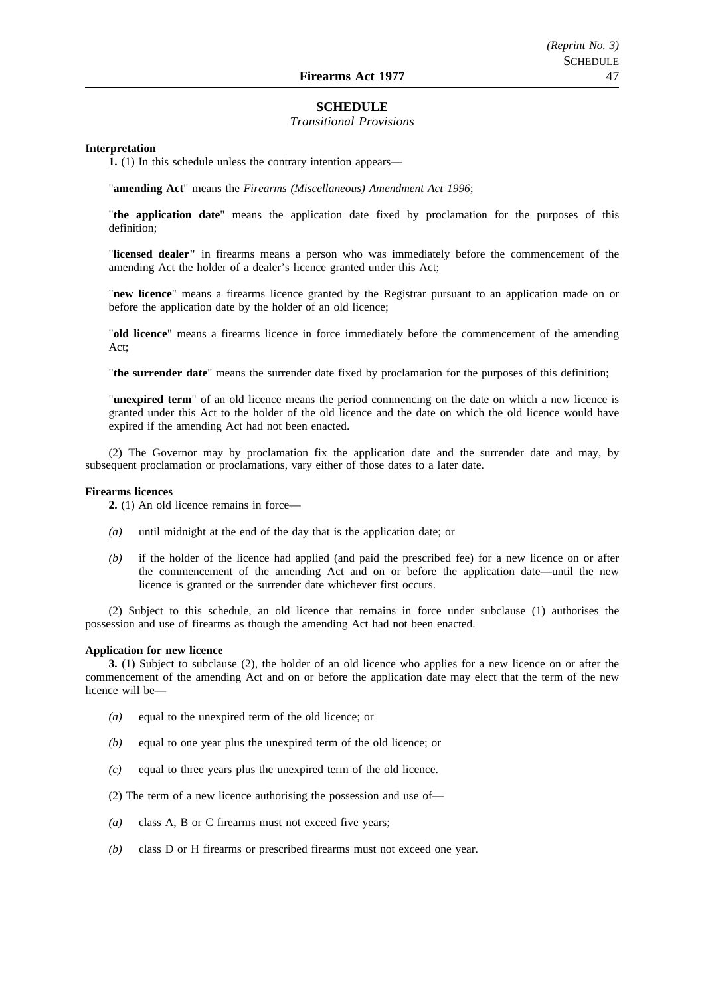#### **SCHEDULE**

#### *Transitional Provisions*

#### **Interpretation**

**1.** (1) In this schedule unless the contrary intention appears—

"**amending Act**" means the *Firearms (Miscellaneous) Amendment Act 1996*;

"**the application date**" means the application date fixed by proclamation for the purposes of this definition;

"**licensed dealer"** in firearms means a person who was immediately before the commencement of the amending Act the holder of a dealer's licence granted under this Act;

"**new licence**" means a firearms licence granted by the Registrar pursuant to an application made on or before the application date by the holder of an old licence;

"**old licence**" means a firearms licence in force immediately before the commencement of the amending Act;

"**the surrender date**" means the surrender date fixed by proclamation for the purposes of this definition;

"**unexpired term**" of an old licence means the period commencing on the date on which a new licence is granted under this Act to the holder of the old licence and the date on which the old licence would have expired if the amending Act had not been enacted.

(2) The Governor may by proclamation fix the application date and the surrender date and may, by subsequent proclamation or proclamations, vary either of those dates to a later date.

#### **Firearms licences**

**2.** (1) An old licence remains in force—

- *(a)* until midnight at the end of the day that is the application date; or
- *(b)* if the holder of the licence had applied (and paid the prescribed fee) for a new licence on or after the commencement of the amending Act and on or before the application date—until the new licence is granted or the surrender date whichever first occurs.

(2) Subject to this schedule, an old licence that remains in force under subclause (1) authorises the possession and use of firearms as though the amending Act had not been enacted.

#### **Application for new licence**

**3.** (1) Subject to subclause (2), the holder of an old licence who applies for a new licence on or after the commencement of the amending Act and on or before the application date may elect that the term of the new licence will be—

- *(a)* equal to the unexpired term of the old licence; or
- *(b)* equal to one year plus the unexpired term of the old licence; or
- *(c)* equal to three years plus the unexpired term of the old licence.

(2) The term of a new licence authorising the possession and use of—

- *(a)* class A, B or C firearms must not exceed five years;
- *(b)* class D or H firearms or prescribed firearms must not exceed one year.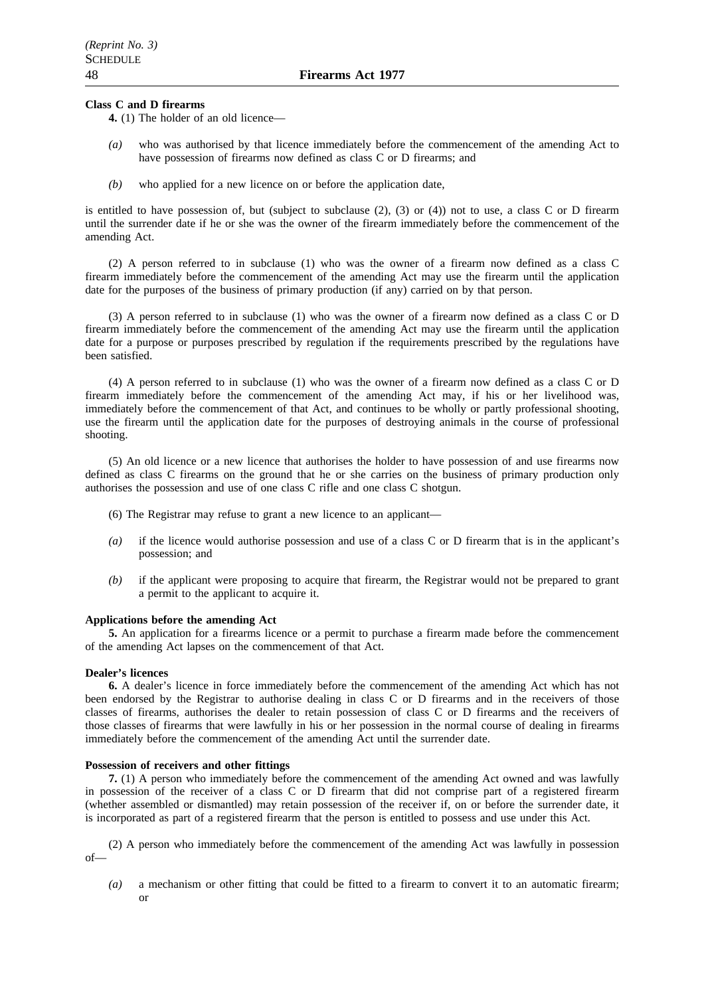#### **Class C and D firearms**

**4.** (1) The holder of an old licence—

- *(a)* who was authorised by that licence immediately before the commencement of the amending Act to have possession of firearms now defined as class C or D firearms; and
- *(b)* who applied for a new licence on or before the application date,

is entitled to have possession of, but (subject to subclause (2), (3) or (4)) not to use, a class C or D firearm until the surrender date if he or she was the owner of the firearm immediately before the commencement of the amending Act.

(2) A person referred to in subclause (1) who was the owner of a firearm now defined as a class C firearm immediately before the commencement of the amending Act may use the firearm until the application date for the purposes of the business of primary production (if any) carried on by that person.

(3) A person referred to in subclause (1) who was the owner of a firearm now defined as a class C or D firearm immediately before the commencement of the amending Act may use the firearm until the application date for a purpose or purposes prescribed by regulation if the requirements prescribed by the regulations have been satisfied.

(4) A person referred to in subclause (1) who was the owner of a firearm now defined as a class C or D firearm immediately before the commencement of the amending Act may, if his or her livelihood was, immediately before the commencement of that Act, and continues to be wholly or partly professional shooting, use the firearm until the application date for the purposes of destroying animals in the course of professional shooting.

(5) An old licence or a new licence that authorises the holder to have possession of and use firearms now defined as class C firearms on the ground that he or she carries on the business of primary production only authorises the possession and use of one class C rifle and one class C shotgun.

- (6) The Registrar may refuse to grant a new licence to an applicant—
- *(a)* if the licence would authorise possession and use of a class C or D firearm that is in the applicant's possession; and
- *(b)* if the applicant were proposing to acquire that firearm, the Registrar would not be prepared to grant a permit to the applicant to acquire it.

#### **Applications before the amending Act**

**5.** An application for a firearms licence or a permit to purchase a firearm made before the commencement of the amending Act lapses on the commencement of that Act.

#### **Dealer's licences**

**6.** A dealer's licence in force immediately before the commencement of the amending Act which has not been endorsed by the Registrar to authorise dealing in class C or D firearms and in the receivers of those classes of firearms, authorises the dealer to retain possession of class C or D firearms and the receivers of those classes of firearms that were lawfully in his or her possession in the normal course of dealing in firearms immediately before the commencement of the amending Act until the surrender date.

#### **Possession of receivers and other fittings**

**7.** (1) A person who immediately before the commencement of the amending Act owned and was lawfully in possession of the receiver of a class C or D firearm that did not comprise part of a registered firearm (whether assembled or dismantled) may retain possession of the receiver if, on or before the surrender date, it is incorporated as part of a registered firearm that the person is entitled to possess and use under this Act.

(2) A person who immediately before the commencement of the amending Act was lawfully in possession of—

*(a)* a mechanism or other fitting that could be fitted to a firearm to convert it to an automatic firearm; or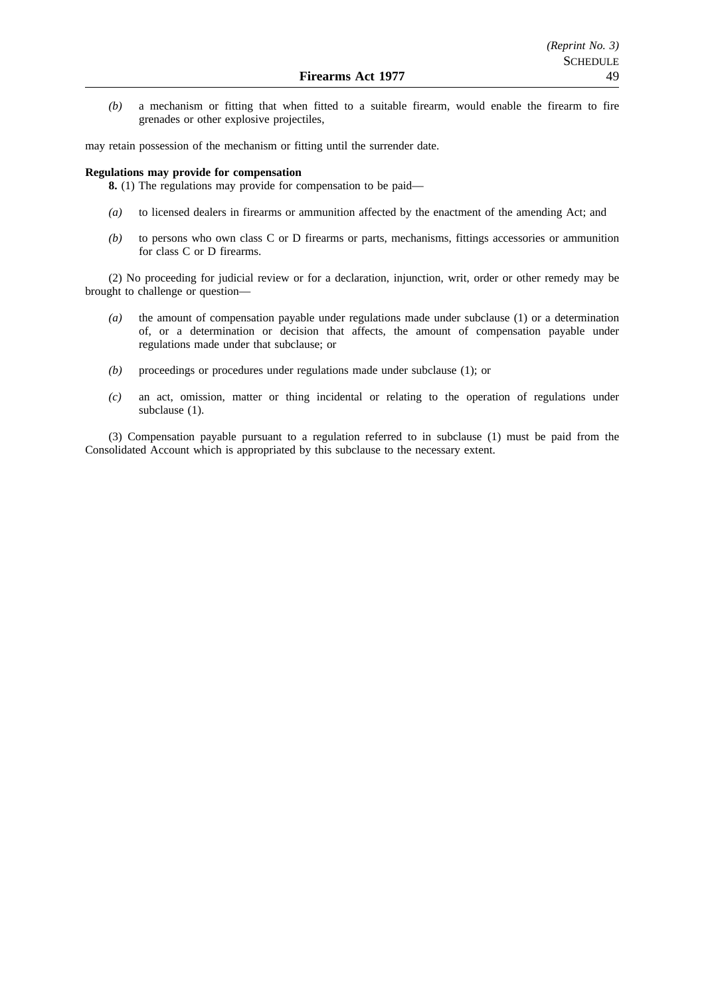*(b)* a mechanism or fitting that when fitted to a suitable firearm, would enable the firearm to fire grenades or other explosive projectiles,

may retain possession of the mechanism or fitting until the surrender date.

#### **Regulations may provide for compensation**

**8.** (1) The regulations may provide for compensation to be paid—

- *(a)* to licensed dealers in firearms or ammunition affected by the enactment of the amending Act; and
- *(b)* to persons who own class C or D firearms or parts, mechanisms, fittings accessories or ammunition for class C or D firearms.

(2) No proceeding for judicial review or for a declaration, injunction, writ, order or other remedy may be brought to challenge or question—

- *(a)* the amount of compensation payable under regulations made under subclause (1) or a determination of, or a determination or decision that affects, the amount of compensation payable under regulations made under that subclause; or
- *(b)* proceedings or procedures under regulations made under subclause (1); or
- *(c)* an act, omission, matter or thing incidental or relating to the operation of regulations under subclause (1).

(3) Compensation payable pursuant to a regulation referred to in subclause (1) must be paid from the Consolidated Account which is appropriated by this subclause to the necessary extent.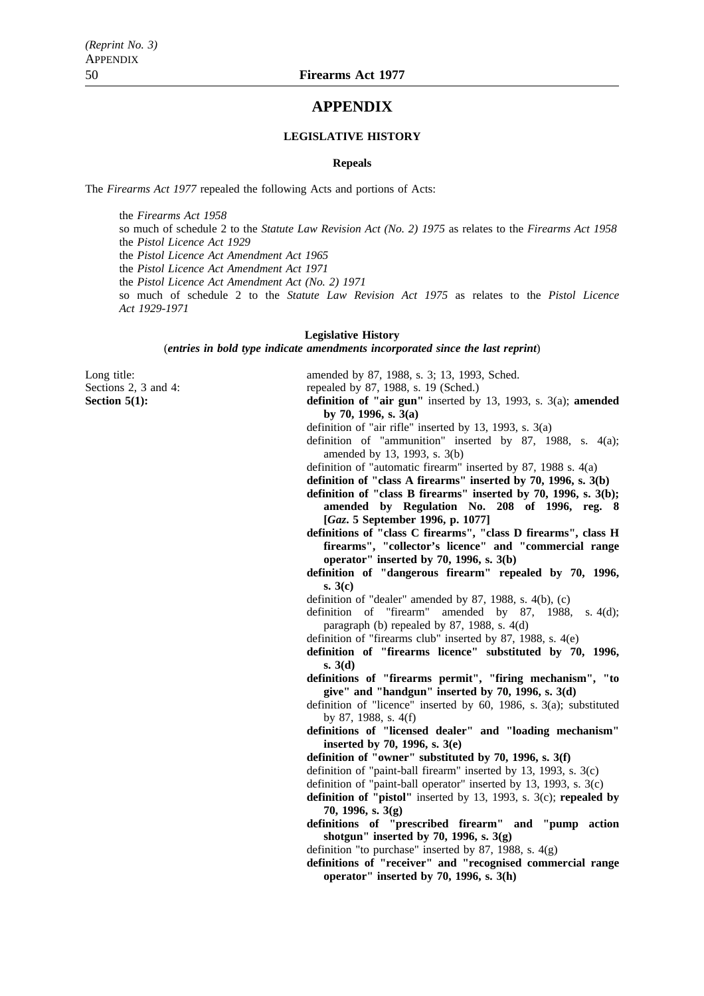## **APPENDIX**

#### **LEGISLATIVE HISTORY**

#### **Repeals**

The *Firearms Act 1977* repealed the following Acts and portions of Acts:

the *Firearms Act 1958* so much of schedule 2 to the *Statute Law Revision Act (No. 2) 1975* as relates to the *Firearms Act 1958* the *Pistol Licence Act 1929* the *Pistol Licence Act Amendment Act 1965* the *Pistol Licence Act Amendment Act 1971* the *Pistol Licence Act Amendment Act (No. 2) 1971* so much of schedule 2 to the *Statute Law Revision Act 1975* as relates to the *Pistol Licence Act 1929-1971*

#### **Legislative History**

(*entries in bold type indicate amendments incorporated since the last reprint*)

Long title: **amended** by 87, 1988, s. 3; 13, 1993, Sched.

Sections 2, 3 and 4: repealed by 87, 1988, s. 19 (Sched.)

**Section 5(1): definition of "air gun"** inserted by 13, 1993, s. 3(a); **amended by 70, 1996, s. 3(a)**

definition of "air rifle" inserted by 13, 1993, s. 3(a)

- definition of "ammunition" inserted by 87, 1988, s. 4(a); amended by 13, 1993, s. 3(b)
- definition of "automatic firearm" inserted by 87, 1988 s. 4(a)
- **definition of "class A firearms" inserted by 70, 1996, s. 3(b)**
- **definition of "class B firearms" inserted by 70, 1996, s. 3(b);**
- **amended by Regulation No. 208 of 1996, reg. 8 [***Gaz***. 5 September 1996, p. 1077]**
- **definitions of "class C firearms", "class D firearms", class H firearms", "collector's licence" and "commercial range operator" inserted by 70, 1996, s. 3(b)**
- **definition of "dangerous firearm" repealed by 70, 1996, s. 3(c)**
- definition of "dealer" amended by 87, 1988, s. 4(b), (c)

definition of "firearm" amended by 87, 1988, s. 4(d); paragraph (b) repealed by 87, 1988, s. 4(d)

definition of "firearms club" inserted by 87, 1988, s. 4(e)

- **definition of "firearms licence" substituted by 70, 1996, s. 3(d)**
- **definitions of "firearms permit", "firing mechanism", "to give" and "handgun" inserted by 70, 1996, s. 3(d)**
- definition of "licence" inserted by 60, 1986, s. 3(a); substituted by 87, 1988, s. 4(f)
- **definitions of "licensed dealer" and "loading mechanism" inserted by 70, 1996, s. 3(e)**
- **definition of "owner" substituted by 70, 1996, s. 3(f)**
- definition of "paint-ball firearm" inserted by 13, 1993, s. 3(c)
- definition of "paint-ball operator" inserted by 13, 1993, s. 3(c)
- **definition of "pistol"** inserted by 13, 1993, s. 3(c); **repealed by 70, 1996, s. 3(g)**
- **definitions of "prescribed firearm" and "pump action shotgun" inserted by 70, 1996, s. 3(g)**
- definition "to purchase" inserted by 87, 1988, s.  $4(g)$
- **definitions of "receiver" and "recognised commercial range operator" inserted by 70, 1996, s. 3(h)**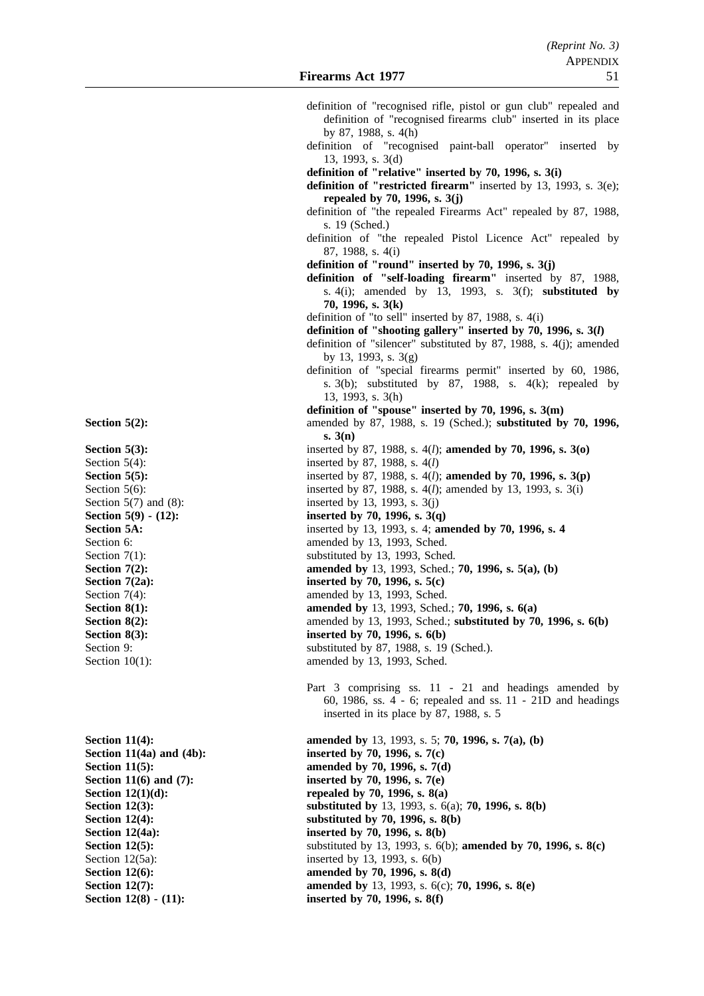- definition of "recognised rifle, pistol or gun club" repealed and definition of "recognised firearms club" inserted in its place by 87, 1988, s. 4(h)
	- definition of "recognised paint-ball operator" inserted by 13, 1993, s. 3(d)

**definition of "relative" inserted by 70, 1996, s. 3(i)**

- **definition of "restricted firearm"** inserted by 13, 1993, s. 3(e); **repealed by 70, 1996, s. 3(j)**
- definition of "the repealed Firearms Act" repealed by 87, 1988, s. 19 (Sched.)
- definition of "the repealed Pistol Licence Act" repealed by 87, 1988, s. 4(i)
- **definition of "round" inserted by 70, 1996, s. 3(j)**
- **definition of "self-loading firearm"** inserted by 87, 1988, s. 4(i); amended by 13, 1993, s. 3(f); **substituted by 70, 1996, s. 3(k)**
- definition of "to sell" inserted by 87, 1988, s. 4(i)
- **definition of "shooting gallery" inserted by 70, 1996, s. 3(***l***)**
- definition of "silencer" substituted by 87, 1988, s. 4(j); amended by 13, 1993, s. 3(g)
- definition of "special firearms permit" inserted by 60, 1986, s.  $3(b)$ ; substituted by 87, 1988, s.  $4(k)$ ; repealed by 13, 1993, s. 3(h)
- **definition of "spouse" inserted by 70, 1996, s. 3(m)**
- **Section 5(2):** amended by 87, 1988, s. 19 (Sched.); **substituted by 70, 1996, s. 3(n)**
- **Section 5(3):** inserted by 87, 1988, s. 4(*l*); **amended by 70, 1996, s. 3(o)**<br>Section 5(4): inserted by 87, 1988, s. 4(*l*)
	- inserted by 87, 1988, s. 4(*l*)
- **Section 5(5):** inserted by 87, 1988, s. 4(*l*); **amended by 70, 1996, s. 3(p**)
- Section 5(6): inserted by 87, 1988, s. 4(*l*); amended by 13, 1993, s. 3(i)
	-
	-
- **Section 5A:** inserted by 13, 1993, s. 4; **amended by 70, 1996, s. 4** 
	-
- Section 7(1): substituted by 13, 1993, Sched.
- **Section 7(2): amended by** 13, 1993, Sched.; **70, 1996, s. 5(a), (b)** 
	-
	-
- **Section 8(1): amended by** 13, 1993, Sched.; **70, 1996, s. 6(a)**
- **Section 8(2):** amended by 13, 1993, Sched.; **substituted by 70, 1996, s. 6(b)**
- **Section 8(3):** inserted by 70, 1996, s. 6(b)
- Section 9: substituted by 87, 1988, s. 19 (Sched.).
- Section 10(1): amended by 13, 1993, Sched.
	- Part 3 comprising ss. 11 21 and headings amended by 60, 1986, ss. 4 - 6; repealed and ss. 11 - 21D and headings inserted in its place by 87, 1988, s. 5

**Section 11(4): amended by** 13, 1993, s. 5; **70, 1996, s. 7(a), (b) Section 11(4a) and (4b):** inserted by 70, 1996, s. 7(c) **Section 11(5):** amended by 70, 1996, s. 7(d) **Section 11(6) and (7):** inserted by 70, 1996, s. 7(e) **Section 12(1)(d):** repealed by 70, 1996, s. 8(a) **Section 12(3): Substituted by** 13, 1993, s. 6(a); **70, 1996, s. 8(b) Section 12(4):** substituted by 70, 1996, s. 8(b) **Section 12(4a):** inserted by 70, 1996, s. 8(b) **Section 12(5):** substituted by 13, 1993, s. 6(b); **amended by 70, 1996, s. 8(c)** Section 12(5a): inserted by 13, 1993, s. 6(b) **Section 12(6): amended by 70, 1996, s. 8(d) Section 12(7): amended by** 13, 1993, s. 6(c); **70, 1996, s. 8(e)** Section 12(8) - (11): inserted by 70, 1996, s. 8(f)

Section  $5(7)$  and  $(8)$ : inserted by 13, 1993, s.  $3(j)$ **Section 5(9) - (12):** inserted by 70, 1996, s. 3(q) Section 6: amended by 13, 1993, Sched. **Section 7(2a):** inserted by 70, 1996, s. 5(c) Section 7(4): amended by 13, 1993, Sched.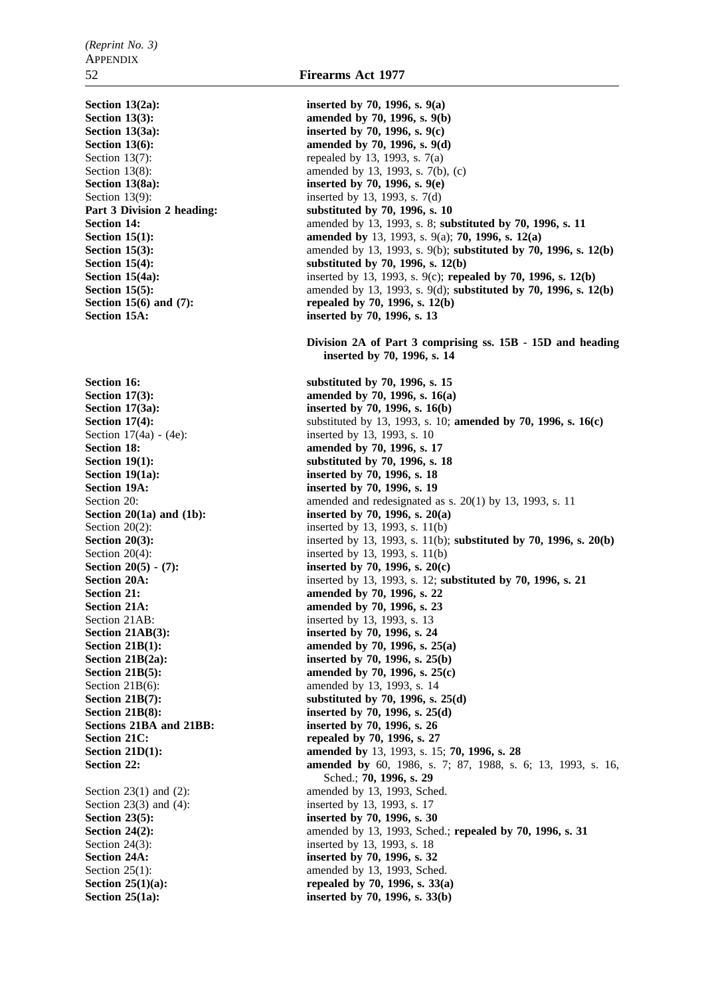Section 13(9): inserted by 13, 1993, s. 7(d)

Section 21AB: inserted by 13, 1993, s. 13 Section 23(3) and (4): inserted by 13, 1993, s. 17

**Section 13(2a):** inserted by 70, 1996, s. 9(a) **Section 13(3):** amended by 70, 1996, s. 9(b) **Section 13(3a):** inserted by 70, 1996, s. 9(c) **Section 13(6):** amended by 70, 1996, s. 9(d) Section 13(7): repealed by 13, 1993, s.  $7(a)$ Section 13(8): amended by 13, 1993, s. 7(b), (c) **Section 13(8a):** inserted by 70, 1996, s. 9(e) Part 3 Division 2 heading: substituted by 70, 1996, s. 10 **Section 14: amended by 13, 1993, s. 8; <b>substituted by 70, 1996, s. 11 Section 15(1): amended by** 13, 1993, s. 9(a); **70, 1996, s. 12(a) Section 15(3):** amended by 13, 1993, s. 9(b); **substituted by 70, 1996, s. 12(b) Section 15(4):** substituted by 70, 1996, s. 12(b) **Section 15(4a):** inserted by 13, 1993, s. 9(c); **repealed by 70, 1996, s. 12(b) Section 15(5):** amended by 13, 1993, s. 9(d); **substituted by 70, 1996, s. 12(b) Section 15(6) and (7):** repealed by 70, 1996, s. 12(b) **Section 15A: inserted by 70, 1996, s. 13 Division 2A of Part 3 comprising ss. 15B - 15D and heading inserted by 70, 1996, s. 14 Section 16:** substituted by 70, 1996, s. 15 **Section 17(3):** amended by 70, 1996, s. 16(a) **Section 17(3a):** inserted by 70, 1996, s. 16(b) **Section 17(4):** substituted by 13, 1993, s. 10; **amended by 70, 1996, s. 16(c)** Section 17(4a) - (4e): inserted by 13, 1993, s. 10 **Section 18: amended by 70, 1996, s. 17 Section 19(1):** substituted by 70, 1996, s. 18 **Section 19(1a):** inserted by 70, 1996, s. 18 **Section 19A: inserted by 70, 1996, s. 19** Section 20: amended and redesignated as s. 20(1) by 13, 1993, s. 11 **Section 20(1a) and (1b):** inserted by 70, 1996, s. 20(a) Section 20(2): inserted by 13, 1993, s. 11(b) **Section 20(3):** inserted by 13, 1993, s. 11(b); **substituted by 70, 1996, s. 20(b)** Section 20(4): inserted by 13, 1993, s. 11(b) **Section 20(5) - (7):** inserted by 70, 1996, s. 20(c) **Section 20A:** inserted by 13, 1993, s. 12; **substituted by 70, 1996, s. 21 Section 21: amended by 70, 1996, s. 22 Section 21A: amended by 70, 1996, s. 23 Section 21AB(3):** inserted by 70, 1996, s. 24 **Section 21B(1):** amended by 70, 1996, s. 25(a) **Section 21B(2a):** inserted by 70, 1996, s. 25(b) **Section 21B(5):** amended by 70, 1996, s. 25(c) Section 21B(6): amended by 13, 1993, s. 14 **Section 21B(7):** substituted by 70, 1996, s. 25(d) **Section 21B(8):** inserted by 70, 1996, s. 25(d) **Sections 21BA and 21BB: inserted by 70, 1996, s. 26 Section 21C:** repealed by 70, 1996, s. 27 **Section 21D(1):** amended by 13, 1993, s. 15; **70, 1996, s. 28 Section 22: amended by** 60, 1986, s. 7; 87, 1988, s. 6; 13, 1993, s. 16, Sched.; **70, 1996, s. 29** Section 23(1) and (2): amended by 13, 1993, Sched. **Section 23(5):** inserted by 70, 1996, s. 30 **Section 24(2):** amended by 13, 1993, Sched.; **repealed by 70, 1996, s. 31** Section 24(3): inserted by 13, 1993, s. 18 **Section 24A: inserted by 70, 1996, s. 32** Section 25(1): amended by 13, 1993, Sched. **Section 25(1)(a):** repealed by 70, 1996, s. 33(a) **Section 25(1a):** inserted by 70, 1996, s. 33(b)